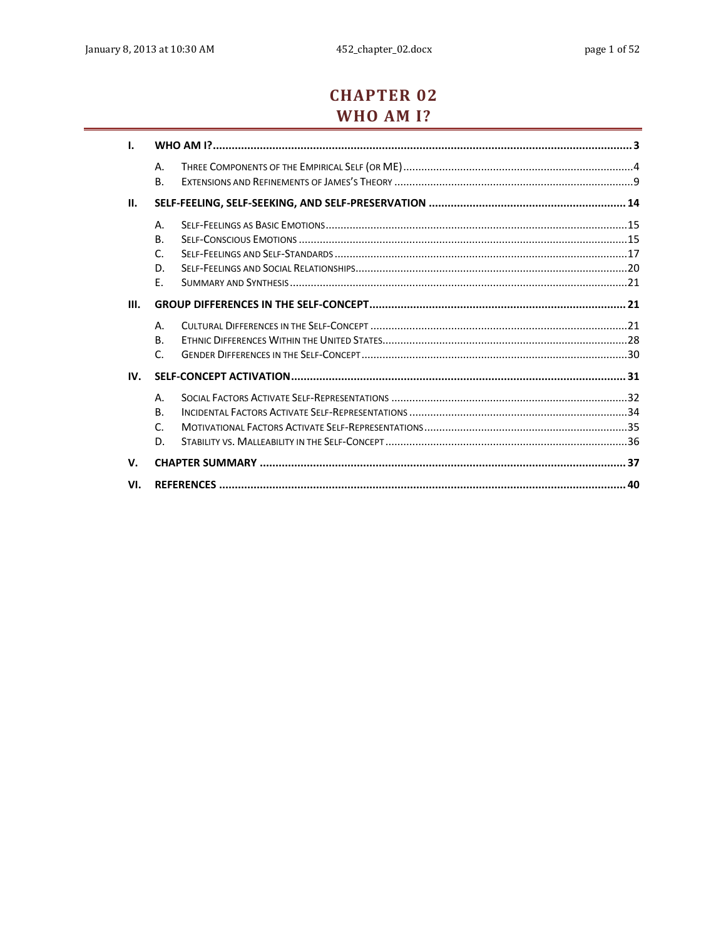# **CHAPTER 02** WHO AM I?

| ı.   |                 |  |  |  |
|------|-----------------|--|--|--|
|      | Α.<br><b>B.</b> |  |  |  |
| II.  |                 |  |  |  |
|      | Α.              |  |  |  |
|      | <b>B.</b>       |  |  |  |
|      | $\mathsf{C}$    |  |  |  |
|      | D.              |  |  |  |
|      | Ε.              |  |  |  |
| III. |                 |  |  |  |
|      | Α.              |  |  |  |
|      | <b>B.</b>       |  |  |  |
|      | $\mathsf{C}$    |  |  |  |
| IV.  |                 |  |  |  |
|      | Α.              |  |  |  |
|      | <b>B.</b>       |  |  |  |
|      | $\mathsf{C}$    |  |  |  |
|      | D.              |  |  |  |
| V.   |                 |  |  |  |
| VI.  |                 |  |  |  |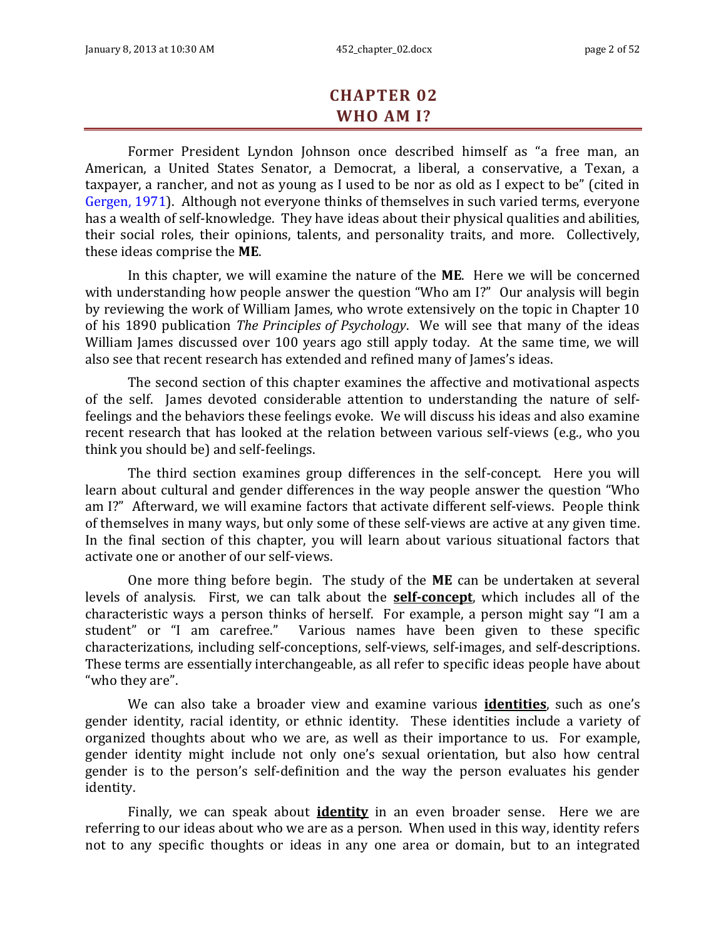# **CHAPTER 02 WHO AM I?**

Former President Lyndon Johnson once described himself as "a free man, an American, a United States Senator, a Democrat, a liberal, a conservative, a Texan, a taxpayer, a rancher, and not as young as I used to be nor as old as I expect to be" (cited in Gergen, 1971). Although not everyone thinks of themselves in such varied terms, everyone has a wealth of self-knowledge. They have ideas about their physical qualities and abilities, their social roles, their opinions, talents, and personality traits, and more. Collectively, these ideas comprise the **ME**.

In this chapter, we will examine the nature of the **ME**. Here we will be concerned with understanding how people answer the question "Who am I?" Our analysis will begin by reviewing the work of William James, who wrote extensively on the topic in Chapter 10 of his 1890 publication *The Principles of Psychology*. We will see that many of the ideas William James discussed over 100 years ago still apply today. At the same time, we will also see that recent research has extended and refined many of James's ideas.

The second section of this chapter examines the affective and motivational aspects of the self. James devoted considerable attention to understanding the nature of selffeelings and the behaviors these feelings evoke. We will discuss his ideas and also examine recent research that has looked at the relation between various self-views (e.g., who you think you should be) and self-feelings.

The third section examines group differences in the self-concept. Here you will learn about cultural and gender differences in the way people answer the question "Who am I?" Afterward, we will examine factors that activate different self-views. People think of themselves in many ways, but only some of these self-views are active at any given time. In the final section of this chapter, you will learn about various situational factors that activate one or another of our self-views.

One more thing before begin. The study of the **ME** can be undertaken at several levels of analysis. First, we can talk about the **self-concept**, which includes all of the characteristic ways a person thinks of herself. For example, a person might say "I am a student" or "I am carefree." Various names have been given to these specific characterizations, including self-conceptions, self-views, self-images, and self-descriptions. These terms are essentially interchangeable, as all refer to specific ideas people have about "who they are".

We can also take a broader view and examine various **identities**, such as one's gender identity, racial identity, or ethnic identity. These identities include a variety of organized thoughts about who we are, as well as their importance to us. For example, gender identity might include not only one's sexual orientation, but also how central gender is to the person's self-definition and the way the person evaluates his gender identity.

Finally, we can speak about **identity** in an even broader sense. Here we are referring to our ideas about who we are as a person. When used in this way, identity refers not to any specific thoughts or ideas in any one area or domain, but to an integrated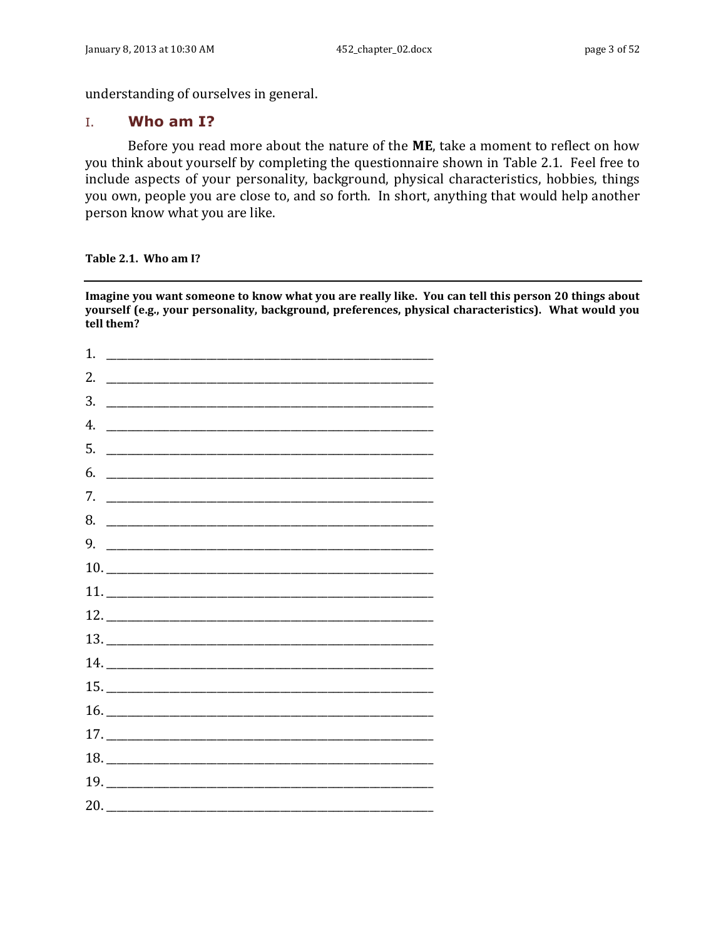understanding of ourselves in general.

### <span id="page-2-0"></span>I. **Who am I?**

Before you read more about the nature of the **ME**, take a moment to reflect on how you think about yourself by completing the questionnaire shown in [Table 2.1.](#page-2-1) Feel free to include aspects of your personality, background, physical characteristics, hobbies, things you own, people you are close to, and so forth. In short, anything that would help another person know what you are like.

<span id="page-2-1"></span>**Table 2.1. Who am I?**

**Imagine you want someone to know what you are really like. You can tell this person 20 things about yourself (e.g., your personality, background, preferences, physical characteristics). What would you tell them?**

| $\begin{tabular}{c} 10. \end{tabular}$<br>12.<br>14.<br>16.<br>$17. \_$<br>19.<br>20. |
|---------------------------------------------------------------------------------------|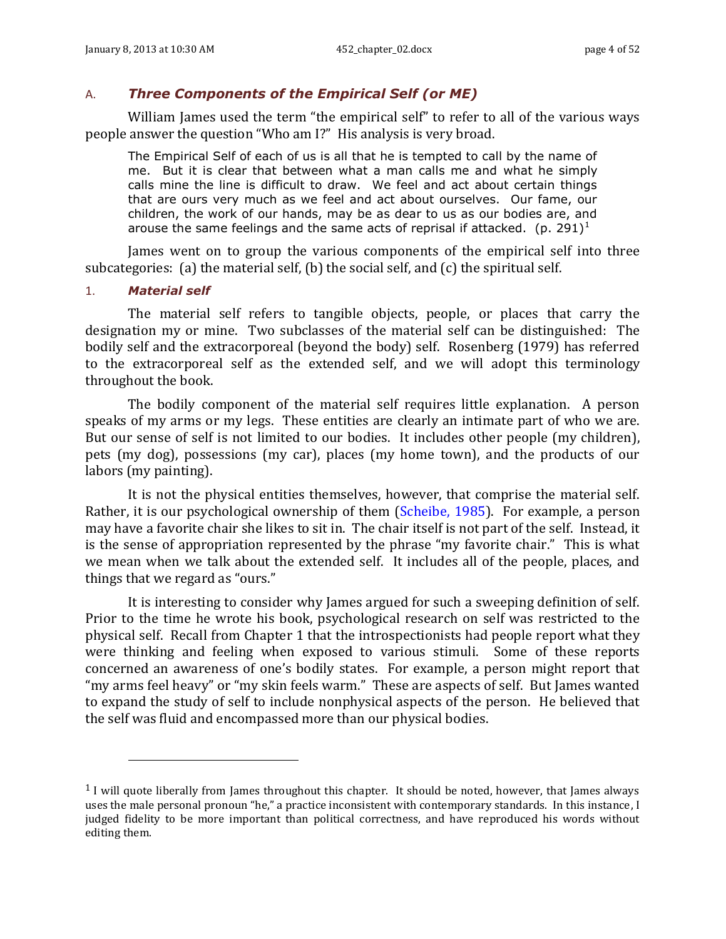### <span id="page-3-0"></span>A. *Three Components of the Empirical Self (or ME)*

William James used the term "the empirical self" to refer to all of the various ways people answer the question "Who am I?" His analysis is very broad.

The Empirical Self of each of us is all that he is tempted to call by the name of me. But it is clear that between what a man calls me and what he simply calls mine the line is difficult to draw. We feel and act about certain things that are ours very much as we feel and act about ourselves. Our fame, our children, the work of our hands, may be as dear to us as our bodies are, and arouse the same feelings and the same acts of reprisal if attacked. (p. 291)<sup>1</sup>

James went on to group the various components of the empirical self into three subcategories: (a) the material self, (b) the social self, and (c) the spiritual self.

### 1. *Material self*

l

The material self refers to tangible objects, people, or places that carry the designation my or mine. Two subclasses of the material self can be distinguished: The bodily self and the extracorporeal (beyond the body) self. Rosenberg (1979) has referred to the extracorporeal self as the extended self, and we will adopt this terminology throughout the book.

The bodily component of the material self requires little explanation. A person speaks of my arms or my legs. These entities are clearly an intimate part of who we are. But our sense of self is not limited to our bodies. It includes other people (my children), pets (my dog), possessions (my car), places (my home town), and the products of our labors (my painting).

It is not the physical entities themselves, however, that comprise the material self. Rather, it is our psychological ownership of them (Scheibe, 1985). For example, a person may have a favorite chair she likes to sit in. The chair itself is not part of the self. Instead, it is the sense of appropriation represented by the phrase "my favorite chair." This is what we mean when we talk about the extended self. It includes all of the people, places, and things that we regard as "ours."

It is interesting to consider why James argued for such a sweeping definition of self. Prior to the time he wrote his book, psychological research on self was restricted to the physical self. Recall from Chapter 1 that the introspectionists had people report what they were thinking and feeling when exposed to various stimuli. Some of these reports concerned an awareness of one's bodily states. For example, a person might report that "my arms feel heavy" or "my skin feels warm." These are aspects of self. But James wanted to expand the study of self to include nonphysical aspects of the person. He believed that the self was fluid and encompassed more than our physical bodies.

<sup>1</sup> I will quote liberally from James throughout this chapter. It should be noted, however, that James always uses the male personal pronoun "he," a practice inconsistent with contemporary standards. In this instance, I judged fidelity to be more important than political correctness, and have reproduced his words without editing them.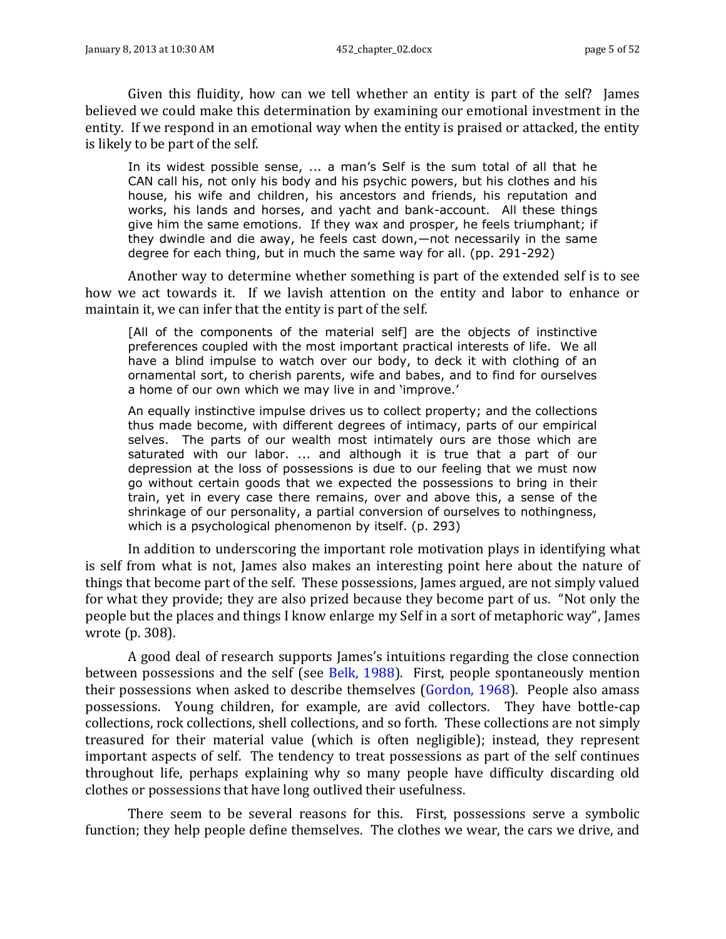Given this fluidity, how can we tell whether an entity is part of the self? James believed we could make this determination by examining our emotional investment in the entity. If we respond in an emotional way when the entity is praised or attacked, the entity is likely to be part of the self.

In its widest possible sense, ... a man's Self is the sum total of all that he CAN call his, not only his body and his psychic powers, but his clothes and his house, his wife and children, his ancestors and friends, his reputation and works, his lands and horses, and yacht and bank-account. All these things give him the same emotions. If they wax and prosper, he feels triumphant; if they dwindle and die away, he feels cast down,—not necessarily in the same degree for each thing, but in much the same way for all. (pp. 291-292)

Another way to determine whether something is part of the extended self is to see how we act towards it. If we lavish attention on the entity and labor to enhance or maintain it, we can infer that the entity is part of the self.

[All of the components of the material self] are the objects of instinctive preferences coupled with the most important practical interests of life. We all have a blind impulse to watch over our body, to deck it with clothing of an ornamental sort, to cherish parents, wife and babes, and to find for ourselves a home of our own which we may live in and 'improve.'

An equally instinctive impulse drives us to collect property; and the collections thus made become, with different degrees of intimacy, parts of our empirical selves. The parts of our wealth most intimately ours are those which are saturated with our labor. ... and although it is true that a part of our depression at the loss of possessions is due to our feeling that we must now go without certain goods that we expected the possessions to bring in their train, yet in every case there remains, over and above this, a sense of the shrinkage of our personality, a partial conversion of ourselves to nothingness, which is a psychological phenomenon by itself. (p. 293)

In addition to underscoring the important role motivation plays in identifying what is self from what is not, James also makes an interesting point here about the nature of things that become part of the self. These possessions, James argued, are not simply valued for what they provide; they are also prized because they become part of us. "Not only the people but the places and things I know enlarge my Self in a sort of metaphoric way", James wrote (p. 308).

A good deal of research supports James's intuitions regarding the close connection between possessions and the self (see Belk, 1988). First, people spontaneously mention their possessions when asked to describe themselves (Gordon, 1968). People also amass possessions. Young children, for example, are avid collectors. They have bottle-cap collections, rock collections, shell collections, and so forth. These collections are not simply treasured for their material value (which is often negligible); instead, they represent important aspects of self. The tendency to treat possessions as part of the self continues throughout life, perhaps explaining why so many people have difficulty discarding old clothes or possessions that have long outlived their usefulness.

There seem to be several reasons for this. First, possessions serve a symbolic function; they help people define themselves. The clothes we wear, the cars we drive, and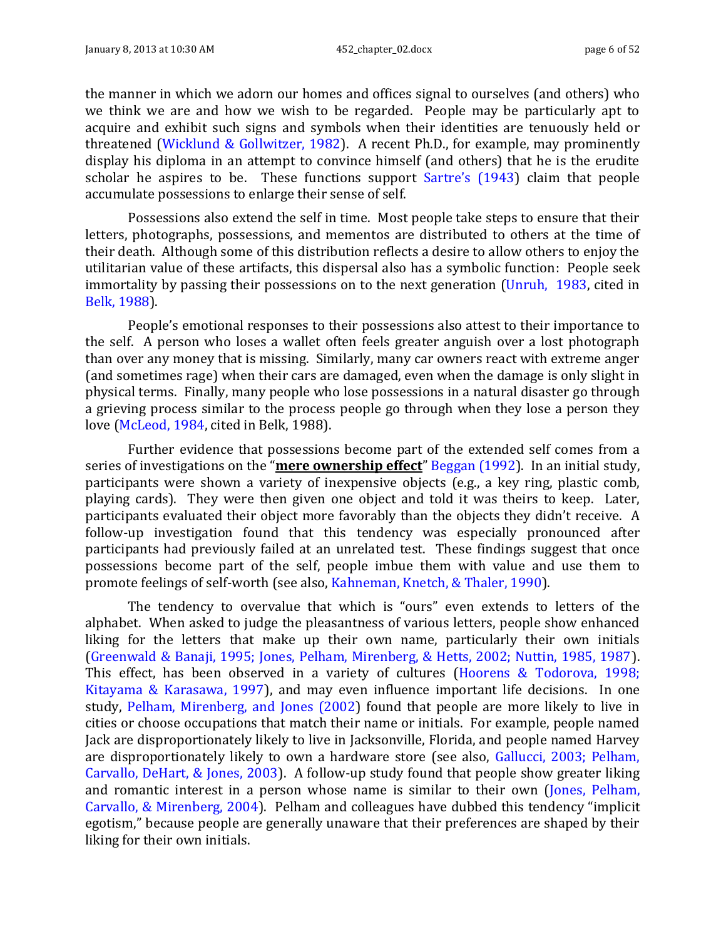the manner in which we adorn our homes and offices signal to ourselves (and others) who we think we are and how we wish to be regarded. People may be particularly apt to acquire and exhibit such signs and symbols when their identities are tenuously held or threatened (Wicklund & Gollwitzer, 1982). A recent Ph.D., for example, may prominently display his diploma in an attempt to convince himself (and others) that he is the erudite scholar he aspires to be. These functions support Sartre's (1943) claim that people accumulate possessions to enlarge their sense of self.

Possessions also extend the self in time. Most people take steps to ensure that their letters, photographs, possessions, and mementos are distributed to others at the time of their death. Although some of this distribution reflects a desire to allow others to enjoy the utilitarian value of these artifacts, this dispersal also has a symbolic function: People seek immortality by passing their possessions on to the next generation (Unruh, 1983, cited in Belk, 1988).

People's emotional responses to their possessions also attest to their importance to the self. A person who loses a wallet often feels greater anguish over a lost photograph than over any money that is missing. Similarly, many car owners react with extreme anger (and sometimes rage) when their cars are damaged, even when the damage is only slight in physical terms. Finally, many people who lose possessions in a natural disaster go through a grieving process similar to the process people go through when they lose a person they love (McLeod, 1984, cited in Belk, 1988).

Further evidence that possessions become part of the extended self comes from a series of investigations on the "**mere ownership effect**" Beggan (1992). In an initial study, participants were shown a variety of inexpensive objects (e.g., a key ring, plastic comb, playing cards). They were then given one object and told it was theirs to keep. Later, participants evaluated their object more favorably than the objects they didn't receive. A follow-up investigation found that this tendency was especially pronounced after participants had previously failed at an unrelated test. These findings suggest that once possessions become part of the self, people imbue them with value and use them to promote feelings of self-worth (see also, Kahneman, Knetch, & Thaler, 1990).

The tendency to overvalue that which is "ours" even extends to letters of the alphabet. When asked to judge the pleasantness of various letters, people show enhanced liking for the letters that make up their own name, particularly their own initials (Greenwald & Banaji, 1995; Jones, Pelham, Mirenberg, & Hetts, 2002; Nuttin, 1985, 1987). This effect, has been observed in a variety of cultures (Hoorens & Todorova, 1998; Kitayama & Karasawa, 1997), and may even influence important life decisions. In one study, Pelham, Mirenberg, and Jones (2002) found that people are more likely to live in cities or choose occupations that match their name or initials. For example, people named Jack are disproportionately likely to live in Jacksonville, Florida, and people named Harvey are disproportionately likely to own a hardware store (see also, Gallucci, 2003; Pelham, Carvallo, DeHart, & Jones, 2003). A follow-up study found that people show greater liking and romantic interest in a person whose name is similar to their own (Jones, Pelham, Carvallo, & Mirenberg, 2004). Pelham and colleagues have dubbed this tendency "implicit egotism," because people are generally unaware that their preferences are shaped by their liking for their own initials.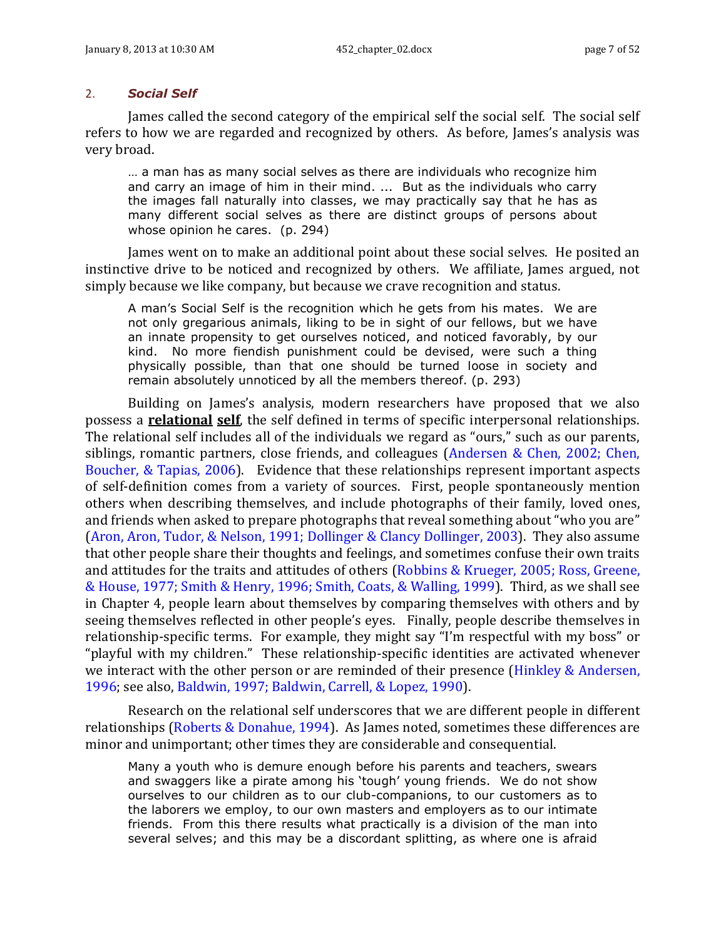#### 2. *Social Self*

James called the second category of the empirical self the social self. The social self refers to how we are regarded and recognized by others. As before, James's analysis was very broad.

… a man has as many social selves as there are individuals who recognize him and carry an image of him in their mind. ... But as the individuals who carry the images fall naturally into classes, we may practically say that he has as many different social selves as there are distinct groups of persons about whose opinion he cares. (p. 294)

James went on to make an additional point about these social selves. He posited an instinctive drive to be noticed and recognized by others. We affiliate, James argued, not simply because we like company, but because we crave recognition and status.

A man's Social Self is the recognition which he gets from his mates. We are not only gregarious animals, liking to be in sight of our fellows, but we have an innate propensity to get ourselves noticed, and noticed favorably, by our kind. No more fiendish punishment could be devised, were such a thing physically possible, than that one should be turned loose in society and remain absolutely unnoticed by all the members thereof. (p. 293)

Building on James's analysis, modern researchers have proposed that we also possess a **relational self**, the self defined in terms of specific interpersonal relationships. The relational self includes all of the individuals we regard as "ours," such as our parents, siblings, romantic partners, close friends, and colleagues (Andersen & Chen, 2002; Chen, Boucher, & Tapias, 2006). Evidence that these relationships represent important aspects of self-definition comes from a variety of sources. First, people spontaneously mention others when describing themselves, and include photographs of their family, loved ones, and friends when asked to prepare photographs that reveal something about "who you are" (Aron, Aron, Tudor, & Nelson, 1991; Dollinger & Clancy Dollinger, 2003). They also assume that other people share their thoughts and feelings, and sometimes confuse their own traits and attitudes for the traits and attitudes of others (Robbins & Krueger, 2005; Ross, Greene, & House, 1977; Smith & Henry, 1996; Smith, Coats, & Walling, 1999). Third, as we shall see in Chapter 4, people learn about themselves by comparing themselves with others and by seeing themselves reflected in other people's eyes. Finally, people describe themselves in relationship-specific terms. For example, they might say "I'm respectful with my boss" or "playful with my children." These relationship-specific identities are activated whenever we interact with the other person or are reminded of their presence (Hinkley & Andersen, 1996; see also, Baldwin, 1997; Baldwin, Carrell, & Lopez, 1990).

Research on the relational self underscores that we are different people in different relationships (Roberts & Donahue, 1994). As James noted, sometimes these differences are minor and unimportant; other times they are considerable and consequential.

Many a youth who is demure enough before his parents and teachers, swears and swaggers like a pirate among his 'tough' young friends. We do not show ourselves to our children as to our club-companions, to our customers as to the laborers we employ, to our own masters and employers as to our intimate friends. From this there results what practically is a division of the man into several selves; and this may be a discordant splitting, as where one is afraid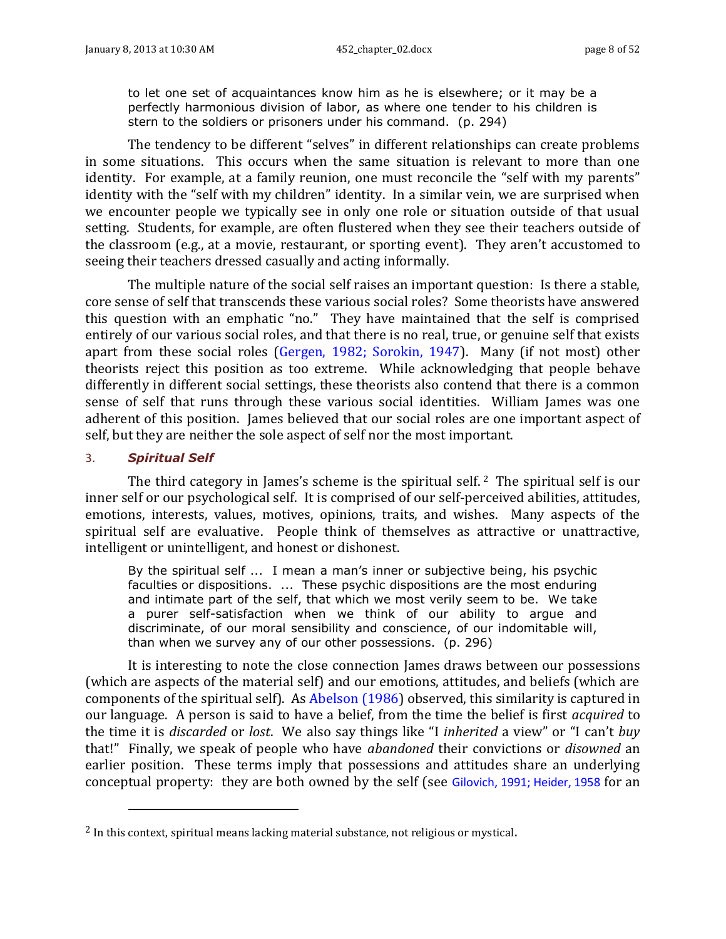to let one set of acquaintances know him as he is elsewhere; or it may be a perfectly harmonious division of labor, as where one tender to his children is stern to the soldiers or prisoners under his command. (p. 294)

The tendency to be different "selves" in different relationships can create problems in some situations. This occurs when the same situation is relevant to more than one identity. For example, at a family reunion, one must reconcile the "self with my parents" identity with the "self with my children" identity. In a similar vein, we are surprised when we encounter people we typically see in only one role or situation outside of that usual setting. Students, for example, are often flustered when they see their teachers outside of the classroom (e.g., at a movie, restaurant, or sporting event). They aren't accustomed to seeing their teachers dressed casually and acting informally.

The multiple nature of the social self raises an important question: Is there a stable, core sense of self that transcends these various social roles? Some theorists have answered this question with an emphatic "no." They have maintained that the self is comprised entirely of our various social roles, and that there is no real, true, or genuine self that exists apart from these social roles (Gergen, 1982; Sorokin, 1947). Many (if not most) other theorists reject this position as too extreme. While acknowledging that people behave differently in different social settings, these theorists also contend that there is a common sense of self that runs through these various social identities. William James was one adherent of this position. James believed that our social roles are one important aspect of self, but they are neither the sole aspect of self nor the most important.

#### 3. *Spiritual Self*

l

The third category in James's scheme is the spiritual self.  $2$  The spiritual self is our inner self or our psychological self. It is comprised of our self-perceived abilities, attitudes, emotions, interests, values, motives, opinions, traits, and wishes. Many aspects of the spiritual self are evaluative. People think of themselves as attractive or unattractive, intelligent or unintelligent, and honest or dishonest.

By the spiritual self ... I mean a man's inner or subjective being, his psychic faculties or dispositions. ... These psychic dispositions are the most enduring and intimate part of the self, that which we most verily seem to be. We take a purer self-satisfaction when we think of our ability to argue and discriminate, of our moral sensibility and conscience, of our indomitable will, than when we survey any of our other possessions. (p. 296)

It is interesting to note the close connection James draws between our possessions (which are aspects of the material self) and our emotions, attitudes, and beliefs (which are components of the spiritual self). As Abelson (1986) observed, this similarity is captured in our language. A person is said to have a belief, from the time the belief is first *acquired* to the time it is *discarded* or *lost*. We also say things like "I *inherited* a view" or "I can't *buy* that!" Finally, we speak of people who have *abandoned* their convictions or *disowned* an earlier position. These terms imply that possessions and attitudes share an underlying conceptual property: they are both owned by the self (see Gilovich, 1991; Heider, 1958 for an

<sup>2</sup> In this context, spiritual means lacking material substance, not religious or mystical.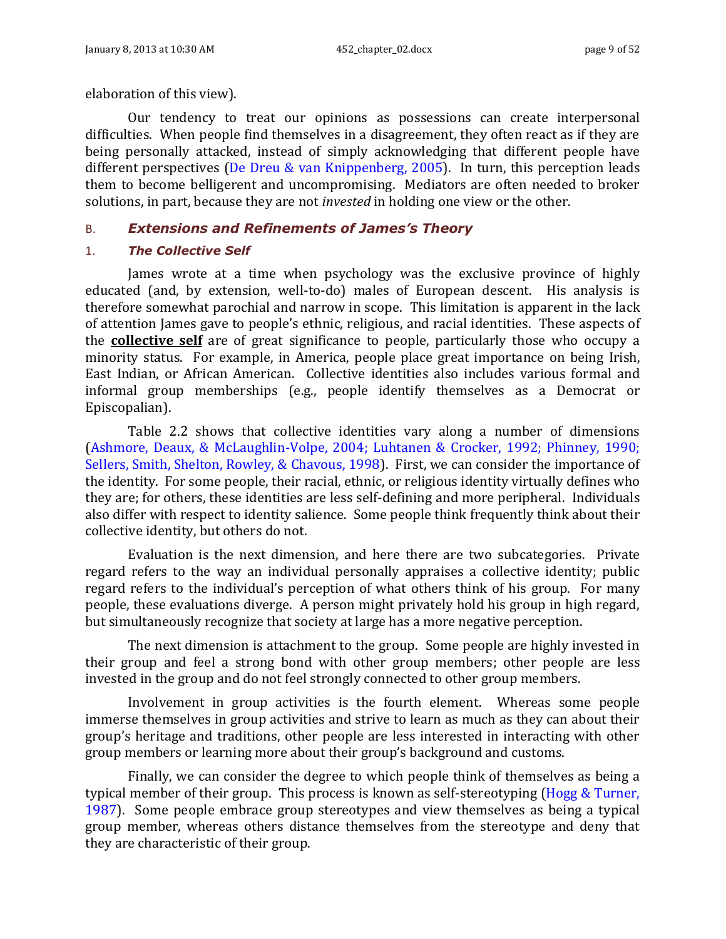elaboration of this view).

Our tendency to treat our opinions as possessions can create interpersonal difficulties. When people find themselves in a disagreement, they often react as if they are being personally attacked, instead of simply acknowledging that different people have different perspectives (De Dreu & van Knippenberg, 2005). In turn, this perception leads them to become belligerent and uncompromising. Mediators are often needed to broker solutions, in part, because they are not *invested* in holding one view or the other.

### <span id="page-8-0"></span>B. *Extensions and Refinements of James's Theory*

### 1. *The Collective Self*

James wrote at a time when psychology was the exclusive province of highly educated (and, by extension, well-to-do) males of European descent. His analysis is therefore somewhat parochial and narrow in scope. This limitation is apparent in the lack of attention James gave to people's ethnic, religious, and racial identities. These aspects of the **collective self** are of great significance to people, particularly those who occupy a minority status. For example, in America, people place great importance on being Irish, East Indian, or African American. Collective identities also includes various formal and informal group memberships (e.g., people identify themselves as a Democrat or Episcopalian).

[Table 2.2](#page-9-0) shows that collective identities vary along a number of dimensions (Ashmore, Deaux, & McLaughlin-Volpe, 2004; Luhtanen & Crocker, 1992; Phinney, 1990; Sellers, Smith, Shelton, Rowley, & Chavous, 1998). First, we can consider the importance of the identity. For some people, their racial, ethnic, or religious identity virtually defines who they are; for others, these identities are less self-defining and more peripheral. Individuals also differ with respect to identity salience. Some people think frequently think about their collective identity, but others do not.

Evaluation is the next dimension, and here there are two subcategories. Private regard refers to the way an individual personally appraises a collective identity; public regard refers to the individual's perception of what others think of his group. For many people, these evaluations diverge. A person might privately hold his group in high regard, but simultaneously recognize that society at large has a more negative perception.

The next dimension is attachment to the group. Some people are highly invested in their group and feel a strong bond with other group members; other people are less invested in the group and do not feel strongly connected to other group members.

Involvement in group activities is the fourth element. Whereas some people immerse themselves in group activities and strive to learn as much as they can about their group's heritage and traditions, other people are less interested in interacting with other group members or learning more about their group's background and customs.

Finally, we can consider the degree to which people think of themselves as being a typical member of their group. This process is known as self-stereotyping (Hogg & Turner, 1987). Some people embrace group stereotypes and view themselves as being a typical group member, whereas others distance themselves from the stereotype and deny that they are characteristic of their group.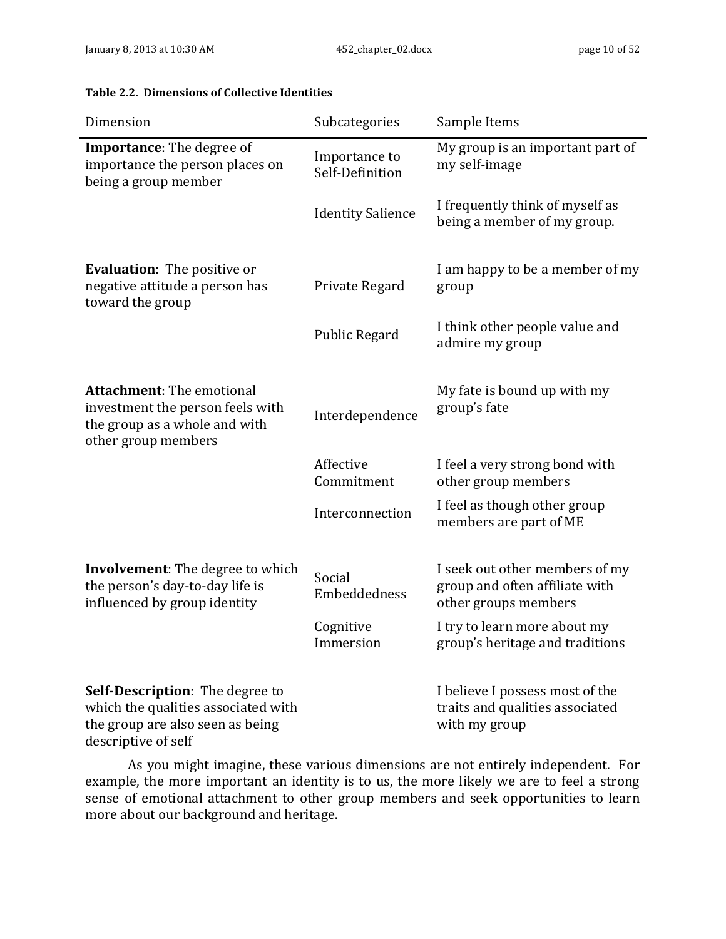| Dimension                                                                                                                         | Subcategories                    | Sample Items                                                                             |
|-----------------------------------------------------------------------------------------------------------------------------------|----------------------------------|------------------------------------------------------------------------------------------|
| <b>Importance:</b> The degree of<br>importance the person places on<br>being a group member                                       | Importance to<br>Self-Definition | My group is an important part of<br>my self-image                                        |
|                                                                                                                                   | <b>Identity Salience</b>         | I frequently think of myself as<br>being a member of my group.                           |
| <b>Evaluation:</b> The positive or<br>negative attitude a person has<br>toward the group                                          | Private Regard                   | I am happy to be a member of my<br>group                                                 |
|                                                                                                                                   | Public Regard                    | I think other people value and<br>admire my group                                        |
| <b>Attachment:</b> The emotional<br>investment the person feels with<br>the group as a whole and with<br>other group members      | Interdependence                  | My fate is bound up with my<br>group's fate                                              |
|                                                                                                                                   | Affective<br>Commitment          | I feel a very strong bond with<br>other group members                                    |
|                                                                                                                                   | Interconnection                  | I feel as though other group<br>members are part of ME                                   |
| <b>Involvement:</b> The degree to which<br>the person's day-to-day life is<br>influenced by group identity                        | Social<br>Embeddedness           | I seek out other members of my<br>group and often affiliate with<br>other groups members |
|                                                                                                                                   | Cognitive<br>Immersion           | I try to learn more about my<br>group's heritage and traditions                          |
| Self-Description: The degree to<br>which the qualities associated with<br>the group are also seen as being<br>descriptive of self |                                  | I believe I possess most of the<br>traits and qualities associated<br>with my group      |

#### <span id="page-9-0"></span>**Table 2.2. Dimensions of Collective Identities**

As you might imagine, these various dimensions are not entirely independent. For example, the more important an identity is to us, the more likely we are to feel a strong sense of emotional attachment to other group members and seek opportunities to learn more about our background and heritage.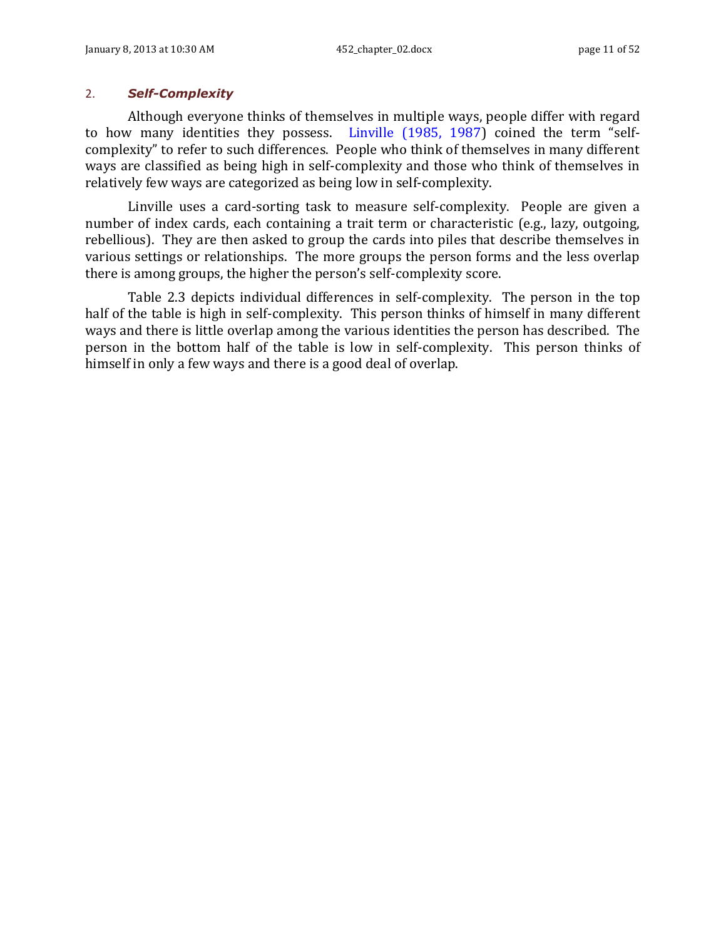### 2. *Self-Complexity*

Although everyone thinks of themselves in multiple ways, people differ with regard to how many identities they possess. Linville (1985, 1987) coined the term "selfcomplexity" to refer to such differences. People who think of themselves in many different ways are classified as being high in self-complexity and those who think of themselves in relatively few ways are categorized as being low in self-complexity.

Linville uses a card-sorting task to measure self-complexity. People are given a number of index cards, each containing a trait term or characteristic (e.g., lazy, outgoing, rebellious). They are then asked to group the cards into piles that describe themselves in various settings or relationships. The more groups the person forms and the less overlap there is among groups, the higher the person's self-complexity score.

[Table 2.3](#page-11-0) depicts individual differences in self-complexity. The person in the top half of the table is high in self-complexity. This person thinks of himself in many different ways and there is little overlap among the various identities the person has described. The person in the bottom half of the table is low in self-complexity. This person thinks of himself in only a few ways and there is a good deal of overlap.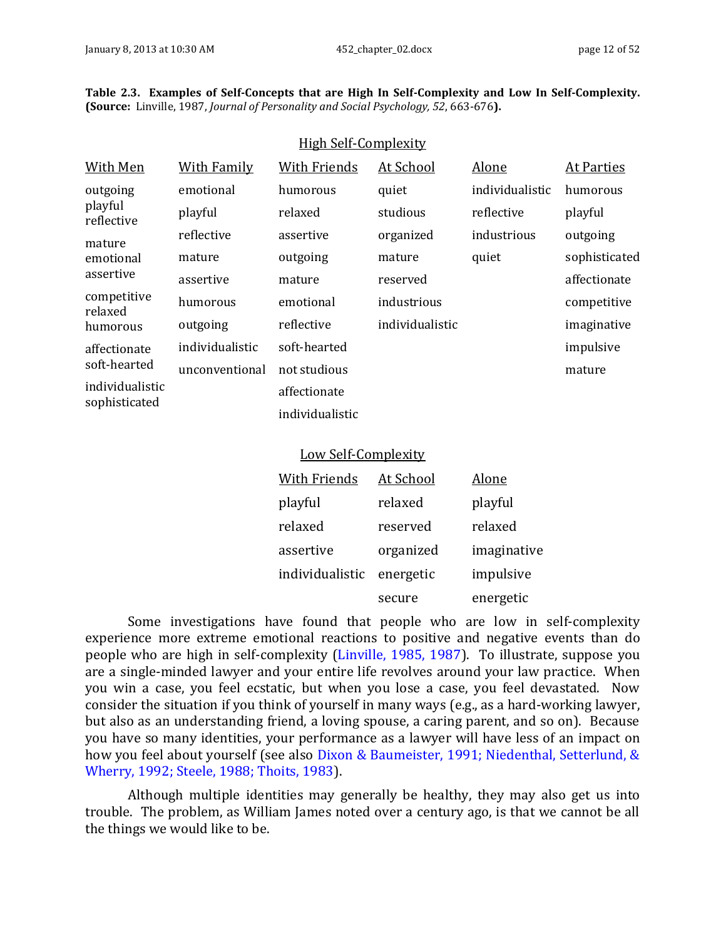<span id="page-11-0"></span>

|  |                                                                                             |  | Table 2.3. Examples of Self-Concepts that are High In Self-Complexity and Low In Self-Complexity. |
|--|---------------------------------------------------------------------------------------------|--|---------------------------------------------------------------------------------------------------|
|  | <b>(Source:</b> Linville, 1987, Journal of Personality and Social Psychology, 52, 663-676). |  |                                                                                                   |

High Self-Complexity

| <u>HIRII JULI-GUIII DIUAILY</u>  |                    |                            |                 |                 |                   |
|----------------------------------|--------------------|----------------------------|-----------------|-----------------|-------------------|
| <b>With Men</b>                  | <b>With Family</b> | <b>With Friends</b>        | At School       | Alone           | <b>At Parties</b> |
| outgoing                         | emotional          | humorous                   | quiet           | individualistic | humorous          |
| playful<br>reflective            | playful            | relaxed                    | studious        | reflective      | playful           |
| mature                           | reflective         | assertive                  | organized       | industrious     | outgoing          |
| emotional                        | mature             | outgoing                   | mature          | quiet           | sophisticated     |
| assertive                        | assertive          | mature                     | reserved        |                 | affectionate      |
| competitive<br>relaxed           | humorous           | emotional                  | industrious     |                 | competitive       |
| humorous                         | outgoing           | reflective                 | individualistic |                 | imaginative       |
| affectionate                     | individualistic    | soft-hearted               |                 |                 | impulsive         |
| soft-hearted                     | unconventional     | not studious               |                 |                 | mature            |
| individualistic<br>sophisticated |                    | affectionate               |                 |                 |                   |
|                                  |                    | individualistic            |                 |                 |                   |
|                                  |                    |                            |                 |                 |                   |
|                                  |                    | <b>Low Self-Complexity</b> |                 |                 |                   |
|                                  |                    | With Friends               | At School       | Alone           |                   |
|                                  |                    | playful                    | relaxed         | playful         |                   |
|                                  |                    | relaxed                    | reserved        | relaxed         |                   |
|                                  |                    |                            |                 |                 |                   |

| Telaxeu                   | Tesel veu | Telaxeu     |
|---------------------------|-----------|-------------|
| assertive                 | organized | imaginative |
| individualistic energetic |           | impulsive   |
|                           | secure    | energetic   |

Some investigations have found that people who are low in self-complexity experience more extreme emotional reactions to positive and negative events than do people who are high in self-complexity (Linville, 1985, 1987). To illustrate, suppose you are a single-minded lawyer and your entire life revolves around your law practice. When you win a case, you feel ecstatic, but when you lose a case, you feel devastated. Now consider the situation if you think of yourself in many ways (e.g., as a hard-working lawyer, but also as an understanding friend, a loving spouse, a caring parent, and so on). Because you have so many identities, your performance as a lawyer will have less of an impact on how you feel about yourself (see also Dixon & Baumeister, 1991; Niedenthal, Setterlund, & Wherry, 1992; Steele, 1988; Thoits, 1983).

Although multiple identities may generally be healthy, they may also get us into trouble. The problem, as William James noted over a century ago, is that we cannot be all the things we would like to be.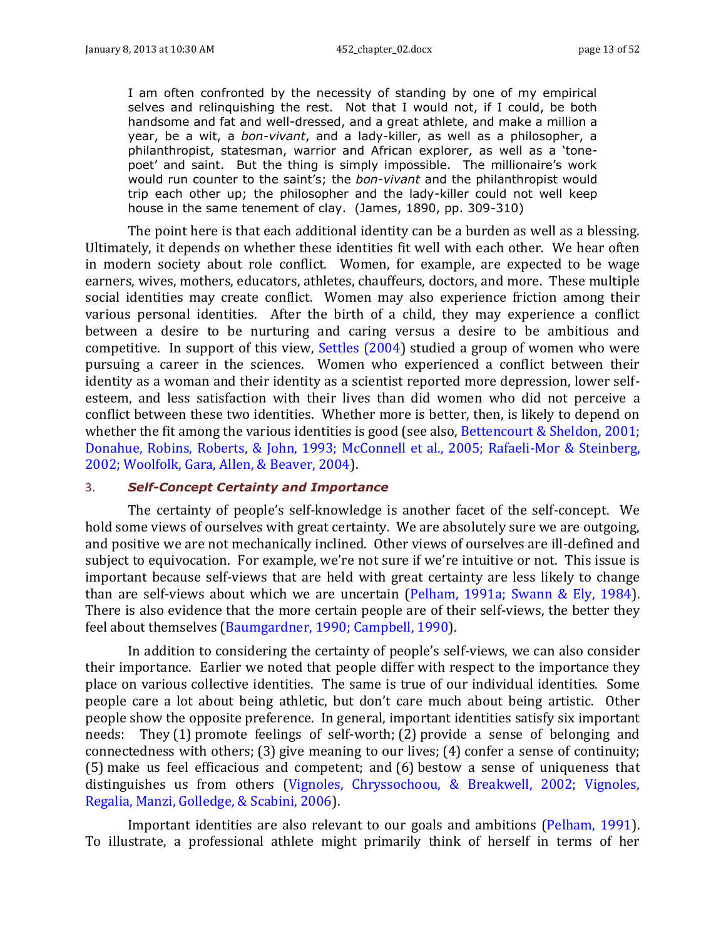I am often confronted by the necessity of standing by one of my empirical selves and relinquishing the rest. Not that I would not, if I could, be both handsome and fat and well-dressed, and a great athlete, and make a million a year, be a wit, a *bon-vivant*, and a lady-killer, as well as a philosopher, a philanthropist, statesman, warrior and African explorer, as well as a 'tonepoet' and saint. But the thing is simply impossible. The millionaire's work would run counter to the saint's; the *bon-vivant* and the philanthropist would trip each other up; the philosopher and the lady-killer could not well keep house in the same tenement of clay. (James, 1890, pp. 309-310)

The point here is that each additional identity can be a burden as well as a blessing. Ultimately, it depends on whether these identities fit well with each other. We hear often in modern society about role conflict. Women, for example, are expected to be wage earners, wives, mothers, educators, athletes, chauffeurs, doctors, and more. These multiple social identities may create conflict. Women may also experience friction among their various personal identities. After the birth of a child, they may experience a conflict between a desire to be nurturing and caring versus a desire to be ambitious and competitive. In support of this view, Settles (2004) studied a group of women who were pursuing a career in the sciences. Women who experienced a conflict between their identity as a woman and their identity as a scientist reported more depression, lower selfesteem, and less satisfaction with their lives than did women who did not perceive a conflict between these two identities. Whether more is better, then, is likely to depend on whether the fit among the various identities is good (see also, Bettencourt & Sheldon, 2001; Donahue, Robins, Roberts, & John, 1993; McConnell et al., 2005; Rafaeli-Mor & Steinberg, 2002; Woolfolk, Gara, Allen, & Beaver, 2004).

#### 3. *Self-Concept Certainty and Importance*

The certainty of people's self-knowledge is another facet of the self-concept. We hold some views of ourselves with great certainty. We are absolutely sure we are outgoing, and positive we are not mechanically inclined. Other views of ourselves are ill-defined and subject to equivocation. For example, we're not sure if we're intuitive or not. This issue is important because self-views that are held with great certainty are less likely to change than are self-views about which we are uncertain (Pelham, 1991a; Swann & Ely, 1984). There is also evidence that the more certain people are of their self-views, the better they feel about themselves (Baumgardner, 1990; Campbell, 1990).

In addition to considering the certainty of people's self-views, we can also consider their importance. Earlier we noted that people differ with respect to the importance they place on various collective identities. The same is true of our individual identities. Some people care a lot about being athletic, but don't care much about being artistic. Other people show the opposite preference. In general, important identities satisfy six important needs: They (1) promote feelings of self-worth; (2) provide a sense of belonging and connectedness with others; (3) give meaning to our lives; (4) confer a sense of continuity; (5) make us feel efficacious and competent; and (6) bestow a sense of uniqueness that distinguishes us from others (Vignoles, Chryssochoou, & Breakwell, 2002; Vignoles, Regalia, Manzi, Golledge, & Scabini, 2006).

Important identities are also relevant to our goals and ambitions (Pelham, 1991). To illustrate, a professional athlete might primarily think of herself in terms of her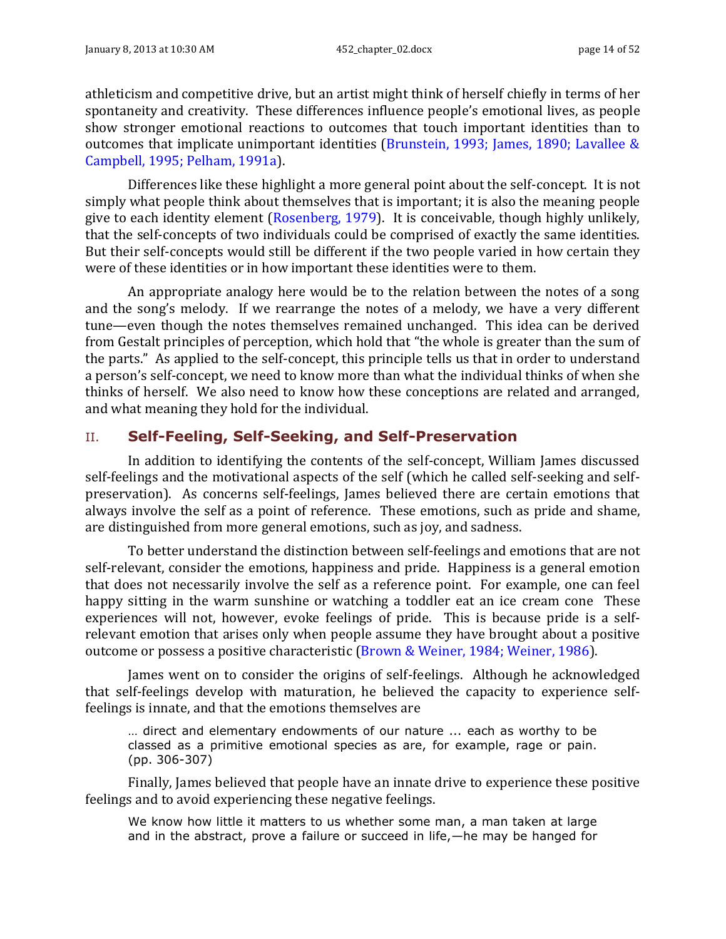athleticism and competitive drive, but an artist might think of herself chiefly in terms of her spontaneity and creativity. These differences influence people's emotional lives, as people show stronger emotional reactions to outcomes that touch important identities than to outcomes that implicate unimportant identities (Brunstein, 1993; James, 1890; Lavallee & Campbell, 1995; Pelham, 1991a).

Differences like these highlight a more general point about the self-concept. It is not simply what people think about themselves that is important; it is also the meaning people give to each identity element (Rosenberg, 1979). It is conceivable, though highly unlikely, that the self-concepts of two individuals could be comprised of exactly the same identities. But their self-concepts would still be different if the two people varied in how certain they were of these identities or in how important these identities were to them.

An appropriate analogy here would be to the relation between the notes of a song and the song's melody. If we rearrange the notes of a melody, we have a very different tune—even though the notes themselves remained unchanged. This idea can be derived from Gestalt principles of perception, which hold that "the whole is greater than the sum of the parts." As applied to the self-concept, this principle tells us that in order to understand a person's self-concept, we need to know more than what the individual thinks of when she thinks of herself. We also need to know how these conceptions are related and arranged, and what meaning they hold for the individual.

# <span id="page-13-0"></span>II. **Self-Feeling, Self-Seeking, and Self-Preservation**

In addition to identifying the contents of the self-concept, William James discussed self-feelings and the motivational aspects of the self (which he called self-seeking and selfpreservation). As concerns self-feelings, James believed there are certain emotions that always involve the self as a point of reference. These emotions, such as pride and shame, are distinguished from more general emotions, such as joy, and sadness.

To better understand the distinction between self-feelings and emotions that are not self-relevant, consider the emotions, happiness and pride. Happiness is a general emotion that does not necessarily involve the self as a reference point. For example, one can feel happy sitting in the warm sunshine or watching a toddler eat an ice cream cone These experiences will not, however, evoke feelings of pride. This is because pride is a selfrelevant emotion that arises only when people assume they have brought about a positive outcome or possess a positive characteristic (Brown & Weiner, 1984; Weiner, 1986).

James went on to consider the origins of self-feelings. Although he acknowledged that self-feelings develop with maturation, he believed the capacity to experience selffeelings is innate, and that the emotions themselves are

… direct and elementary endowments of our nature ... each as worthy to be classed as a primitive emotional species as are, for example, rage or pain. (pp. 306-307)

Finally, James believed that people have an innate drive to experience these positive feelings and to avoid experiencing these negative feelings.

We know how little it matters to us whether some man, a man taken at large and in the abstract, prove a failure or succeed in life,—he may be hanged for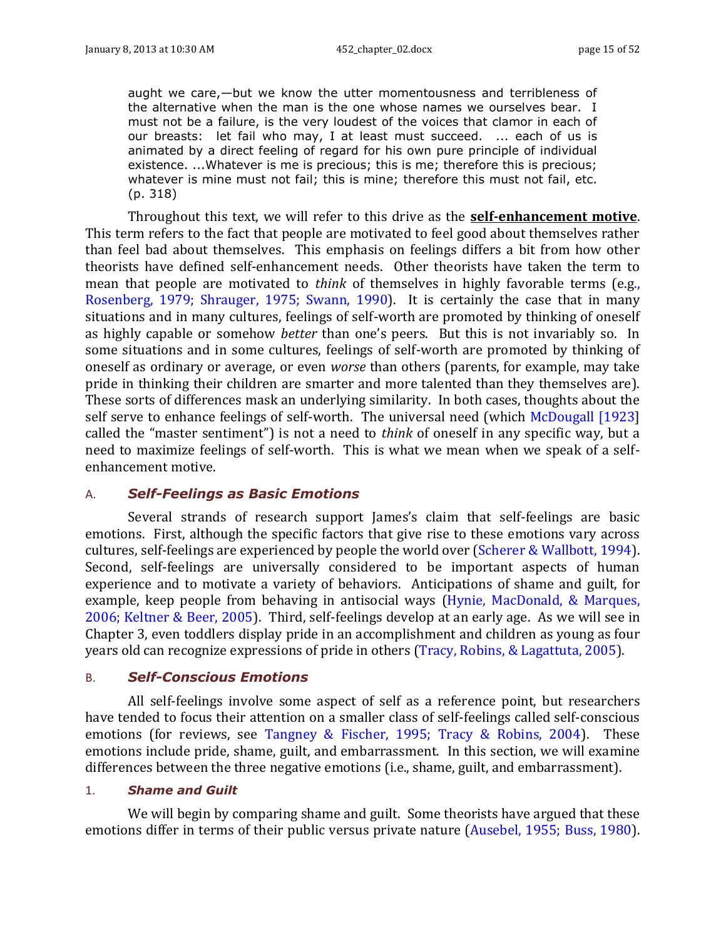aught we care,—but we know the utter momentousness and terribleness of the alternative when the man is the one whose names we ourselves bear. I must not be a failure, is the very loudest of the voices that clamor in each of our breasts: let fail who may, I at least must succeed. ... each of us is animated by a direct feeling of regard for his own pure principle of individual existence. ...Whatever is me is precious; this is me; therefore this is precious; whatever is mine must not fail; this is mine; therefore this must not fail, etc. (p. 318)

Throughout this text, we will refer to this drive as the **self-enhancement motive**. This term refers to the fact that people are motivated to feel good about themselves rather than feel bad about themselves. This emphasis on feelings differs a bit from how other theorists have defined self-enhancement needs. Other theorists have taken the term to mean that people are motivated to *think* of themselves in highly favorable terms (e.g., Rosenberg, 1979; Shrauger, 1975; Swann, 1990). It is certainly the case that in many situations and in many cultures, feelings of self-worth are promoted by thinking of oneself as highly capable or somehow *better* than one's peers. But this is not invariably so. In some situations and in some cultures, feelings of self-worth are promoted by thinking of oneself as ordinary or average, or even *worse* than others (parents, for example, may take pride in thinking their children are smarter and more talented than they themselves are). These sorts of differences mask an underlying similarity. In both cases, thoughts about the self serve to enhance feelings of self-worth. The universal need (which McDougall [1923] called the "master sentiment") is not a need to *think* of oneself in any specific way, but a need to maximize feelings of self-worth. This is what we mean when we speak of a selfenhancement motive.

### <span id="page-14-0"></span>A. *Self-Feelings as Basic Emotions*

Several strands of research support James's claim that self-feelings are basic emotions. First, although the specific factors that give rise to these emotions vary across cultures, self-feelings are experienced by people the world over (Scherer & Wallbott, 1994). Second, self-feelings are universally considered to be important aspects of human experience and to motivate a variety of behaviors. Anticipations of shame and guilt, for example, keep people from behaving in antisocial ways (Hynie, MacDonald, & Marques, 2006; Keltner & Beer, 2005). Third, self-feelings develop at an early age. As we will see in Chapter 3, even toddlers display pride in an accomplishment and children as young as four years old can recognize expressions of pride in others (Tracy, Robins, & Lagattuta, 2005).

#### <span id="page-14-1"></span>B. *Self-Conscious Emotions*

All self-feelings involve some aspect of self as a reference point, but researchers have tended to focus their attention on a smaller class of self-feelings called self-conscious emotions (for reviews, see Tangney & Fischer, 1995; Tracy & Robins, 2004). These emotions include pride, shame, guilt, and embarrassment. In this section, we will examine differences between the three negative emotions (i.e., shame, guilt, and embarrassment).

#### 1. *Shame and Guilt*

We will begin by comparing shame and guilt. Some theorists have argued that these emotions differ in terms of their public versus private nature (Ausebel, 1955; Buss, 1980).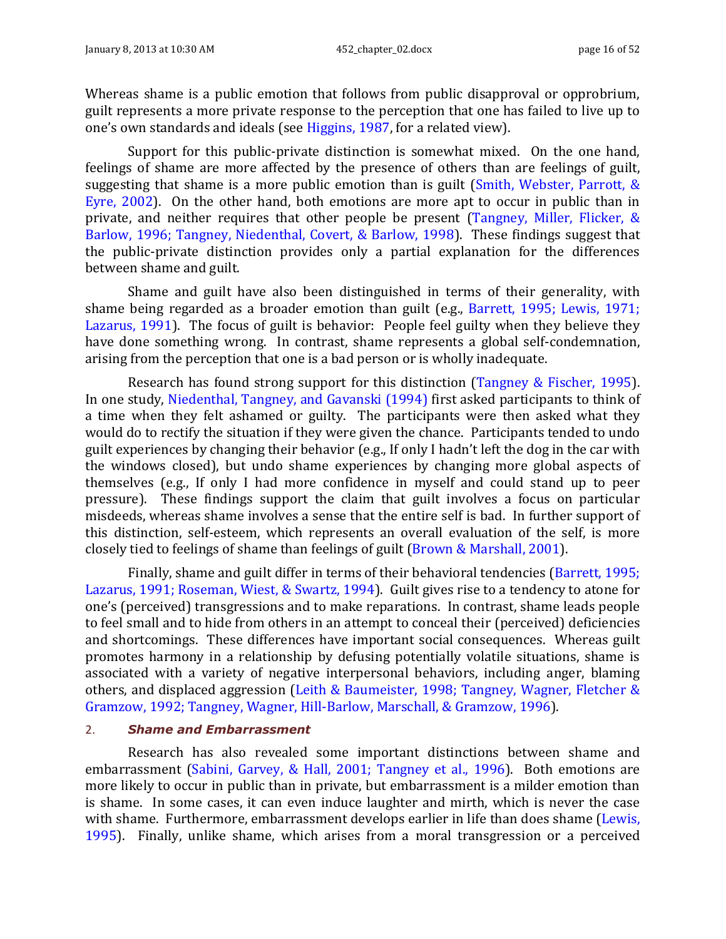Whereas shame is a public emotion that follows from public disapproval or opprobrium, guilt represents a more private response to the perception that one has failed to live up to one's own standards and ideals (see Higgins, 1987, for a related view).

Support for this public-private distinction is somewhat mixed. On the one hand, feelings of shame are more affected by the presence of others than are feelings of guilt, suggesting that shame is a more public emotion than is guilt (Smith, Webster, Parrott, & Eyre, 2002). On the other hand, both emotions are more apt to occur in public than in private, and neither requires that other people be present (Tangney, Miller, Flicker, & Barlow, 1996; Tangney, Niedenthal, Covert, & Barlow, 1998). These findings suggest that the public-private distinction provides only a partial explanation for the differences between shame and guilt.

Shame and guilt have also been distinguished in terms of their generality, with shame being regarded as a broader emotion than guilt (e.g., Barrett, 1995; Lewis, 1971; Lazarus, 1991). The focus of guilt is behavior: People feel guilty when they believe they have done something wrong. In contrast, shame represents a global self-condemnation, arising from the perception that one is a bad person or is wholly inadequate.

Research has found strong support for this distinction (Tangney & Fischer, 1995). In one study, Niedenthal, Tangney, and Gavanski (1994) first asked participants to think of a time when they felt ashamed or guilty. The participants were then asked what they would do to rectify the situation if they were given the chance. Participants tended to undo guilt experiences by changing their behavior (e.g., If only I hadn't left the dog in the car with the windows closed), but undo shame experiences by changing more global aspects of themselves (e.g., If only I had more confidence in myself and could stand up to peer pressure). These findings support the claim that guilt involves a focus on particular misdeeds, whereas shame involves a sense that the entire self is bad. In further support of this distinction, self-esteem, which represents an overall evaluation of the self, is more closely tied to feelings of shame than feelings of guilt (Brown & Marshall, 2001).

Finally, shame and guilt differ in terms of their behavioral tendencies (Barrett, 1995; Lazarus, 1991; Roseman, Wiest, & Swartz, 1994). Guilt gives rise to a tendency to atone for one's (perceived) transgressions and to make reparations. In contrast, shame leads people to feel small and to hide from others in an attempt to conceal their (perceived) deficiencies and shortcomings. These differences have important social consequences. Whereas guilt promotes harmony in a relationship by defusing potentially volatile situations, shame is associated with a variety of negative interpersonal behaviors, including anger, blaming others, and displaced aggression (Leith & Baumeister, 1998; Tangney, Wagner, Fletcher & Gramzow, 1992; Tangney, Wagner, Hill-Barlow, Marschall, & Gramzow, 1996).

#### 2. *Shame and Embarrassment*

Research has also revealed some important distinctions between shame and embarrassment (Sabini, Garvey, & Hall, 2001; Tangney et al., 1996). Both emotions are more likely to occur in public than in private, but embarrassment is a milder emotion than is shame. In some cases, it can even induce laughter and mirth, which is never the case with shame. Furthermore, embarrassment develops earlier in life than does shame (Lewis, 1995). Finally, unlike shame, which arises from a moral transgression or a perceived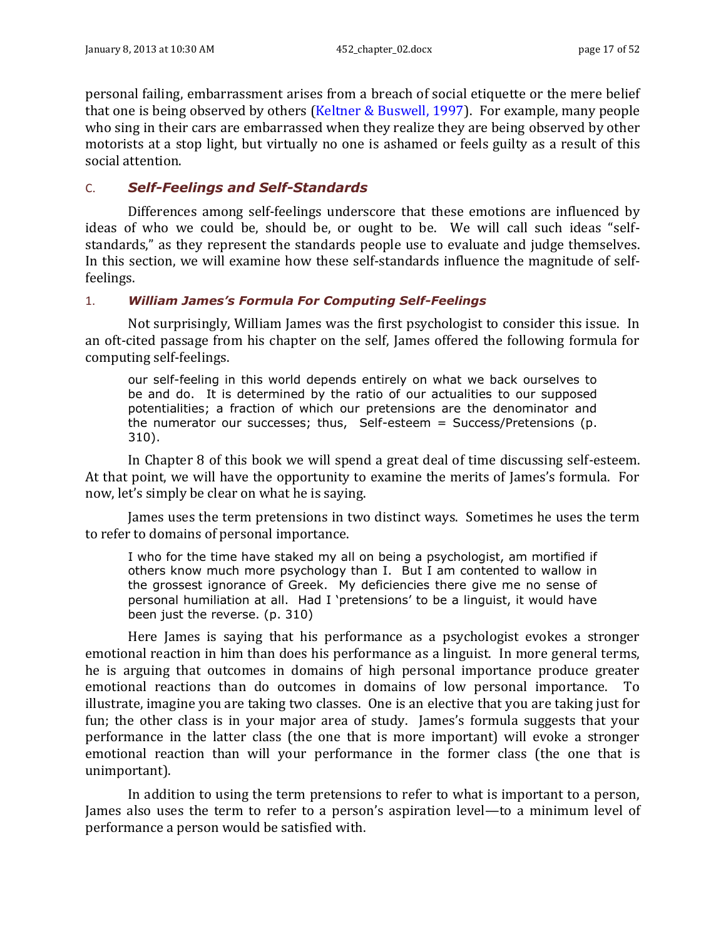personal failing, embarrassment arises from a breach of social etiquette or the mere belief that one is being observed by others (Keltner & Buswell, 1997). For example, many people who sing in their cars are embarrassed when they realize they are being observed by other motorists at a stop light, but virtually no one is ashamed or feels guilty as a result of this social attention.

### <span id="page-16-0"></span>C. *Self-Feelings and Self-Standards*

Differences among self-feelings underscore that these emotions are influenced by ideas of who we could be, should be, or ought to be. We will call such ideas "selfstandards," as they represent the standards people use to evaluate and judge themselves. In this section, we will examine how these self-standards influence the magnitude of selffeelings.

### 1. *William James's Formula For Computing Self-Feelings*

Not surprisingly, William James was the first psychologist to consider this issue. In an oft-cited passage from his chapter on the self, James offered the following formula for computing self-feelings.

our self-feeling in this world depends entirely on what we back ourselves to be and do. It is determined by the ratio of our actualities to our supposed potentialities; a fraction of which our pretensions are the denominator and the numerator our successes; thus, Self-esteem = Success/Pretensions (p. 310).

In Chapter 8 of this book we will spend a great deal of time discussing self-esteem. At that point, we will have the opportunity to examine the merits of James's formula. For now, let's simply be clear on what he is saying.

James uses the term pretensions in two distinct ways. Sometimes he uses the term to refer to domains of personal importance.

I who for the time have staked my all on being a psychologist, am mortified if others know much more psychology than I. But I am contented to wallow in the grossest ignorance of Greek. My deficiencies there give me no sense of personal humiliation at all. Had I 'pretensions' to be a linguist, it would have been just the reverse. (p. 310)

Here James is saying that his performance as a psychologist evokes a stronger emotional reaction in him than does his performance as a linguist. In more general terms, he is arguing that outcomes in domains of high personal importance produce greater emotional reactions than do outcomes in domains of low personal importance. To illustrate, imagine you are taking two classes. One is an elective that you are taking just for fun; the other class is in your major area of study. James's formula suggests that your performance in the latter class (the one that is more important) will evoke a stronger emotional reaction than will your performance in the former class (the one that is unimportant).

In addition to using the term pretensions to refer to what is important to a person, James also uses the term to refer to a person's aspiration level—to a minimum level of performance a person would be satisfied with.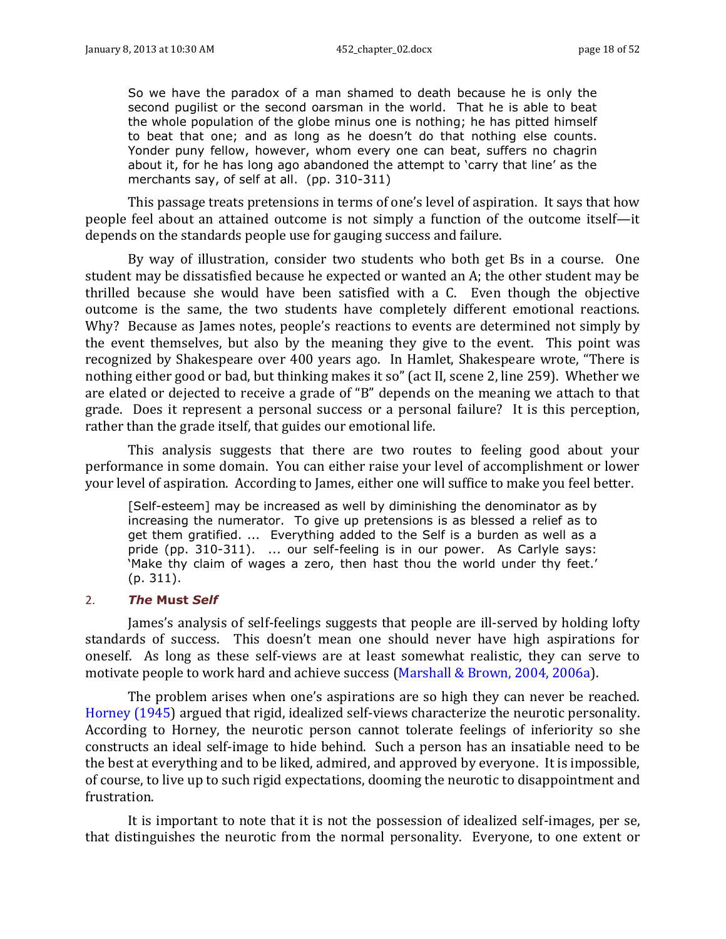So we have the paradox of a man shamed to death because he is only the second pugilist or the second oarsman in the world. That he is able to beat the whole population of the globe minus one is nothing; he has pitted himself to beat that one; and as long as he doesn't do that nothing else counts. Yonder puny fellow, however, whom every one can beat, suffers no chagrin about it, for he has long ago abandoned the attempt to 'carry that line' as the merchants say, of self at all. (pp. 310-311)

This passage treats pretensions in terms of one's level of aspiration. It says that how people feel about an attained outcome is not simply a function of the outcome itself—it depends on the standards people use for gauging success and failure.

By way of illustration, consider two students who both get Bs in a course. One student may be dissatisfied because he expected or wanted an A; the other student may be thrilled because she would have been satisfied with a C. Even though the objective outcome is the same, the two students have completely different emotional reactions. Why? Because as James notes, people's reactions to events are determined not simply by the event themselves, but also by the meaning they give to the event. This point was recognized by Shakespeare over 400 years ago. In Hamlet, Shakespeare wrote, "There is nothing either good or bad, but thinking makes it so" (act II, scene 2, line 259). Whether we are elated or dejected to receive a grade of "B" depends on the meaning we attach to that grade. Does it represent a personal success or a personal failure? It is this perception, rather than the grade itself, that guides our emotional life.

This analysis suggests that there are two routes to feeling good about your performance in some domain. You can either raise your level of accomplishment or lower your level of aspiration. According to James, either one will suffice to make you feel better.

[Self-esteem] may be increased as well by diminishing the denominator as by increasing the numerator. To give up pretensions is as blessed a relief as to get them gratified. ... Everything added to the Self is a burden as well as a pride (pp. 310-311). ... our self-feeling is in our power. As Carlyle says: 'Make thy claim of wages a zero, then hast thou the world under thy feet.' (p. 311).

### 2. *The* **Must** *Self*

James's analysis of self-feelings suggests that people are ill-served by holding lofty standards of success. This doesn't mean one should never have high aspirations for oneself. As long as these self-views are at least somewhat realistic, they can serve to motivate people to work hard and achieve success (Marshall & Brown, 2004, 2006a).

The problem arises when one's aspirations are so high they can never be reached. Horney (1945) argued that rigid, idealized self-views characterize the neurotic personality. According to Horney, the neurotic person cannot tolerate feelings of inferiority so she constructs an ideal self-image to hide behind. Such a person has an insatiable need to be the best at everything and to be liked, admired, and approved by everyone. It is impossible, of course, to live up to such rigid expectations, dooming the neurotic to disappointment and frustration.

It is important to note that it is not the possession of idealized self-images, per se, that distinguishes the neurotic from the normal personality. Everyone, to one extent or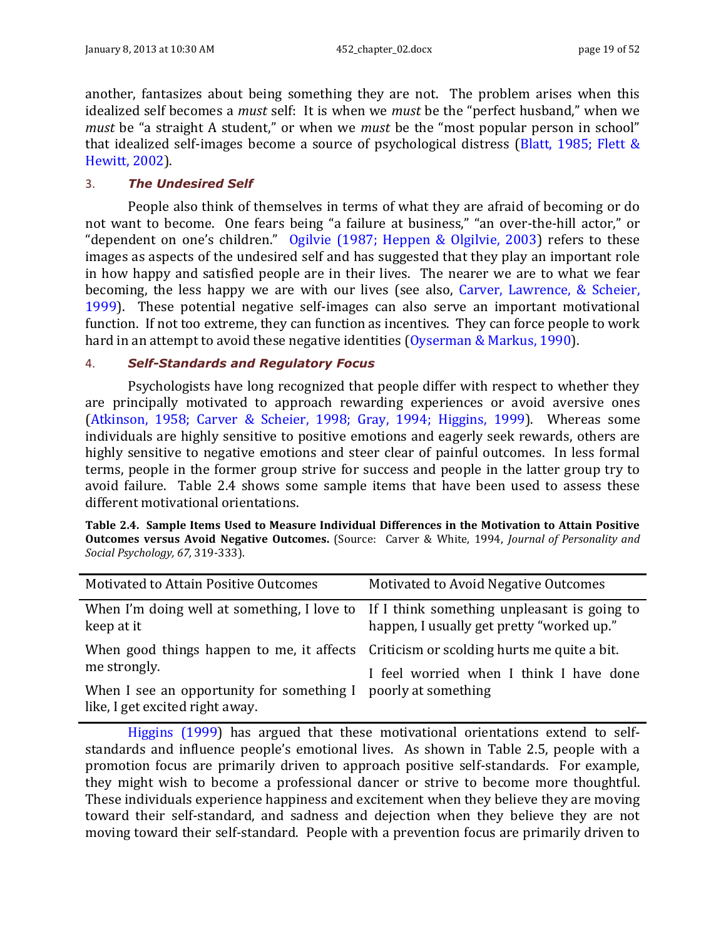another, fantasizes about being something they are not. The problem arises when this idealized self becomes a *must* self: It is when we *must* be the "perfect husband," when we *must* be "a straight A student," or when we *must* be the "most popular person in school" that idealized self-images become a source of psychological distress (Blatt, 1985; Flett & Hewitt, 2002).

### 3. *The Undesired Self*

People also think of themselves in terms of what they are afraid of becoming or do not want to become. One fears being "a failure at business," "an over-the-hill actor," or "dependent on one's children." Ogilvie (1987; Heppen & Olgilvie, 2003) refers to these images as aspects of the undesired self and has suggested that they play an important role in how happy and satisfied people are in their lives. The nearer we are to what we fear becoming, the less happy we are with our lives (see also, Carver, Lawrence, & Scheier, 1999). These potential negative self-images can also serve an important motivational function. If not too extreme, they can function as incentives. They can force people to work hard in an attempt to avoid these negative identities (Oyserman & Markus, 1990).

### 4. *Self-Standards and Regulatory Focus*

Psychologists have long recognized that people differ with respect to whether they are principally motivated to approach rewarding experiences or avoid aversive ones (Atkinson, 1958; Carver & Scheier, 1998; Gray, 1994; Higgins, 1999). Whereas some individuals are highly sensitive to positive emotions and eagerly seek rewards, others are highly sensitive to negative emotions and steer clear of painful outcomes. In less formal terms, people in the former group strive for success and people in the latter group try to avoid failure. [Table 2.4](#page-18-0) shows some sample items that have been used to assess these different motivational orientations.

<span id="page-18-0"></span>

|                                  |  |  | Table 2.4. Sample Items Used to Measure Individual Differences in the Motivation to Attain Positive              |
|----------------------------------|--|--|------------------------------------------------------------------------------------------------------------------|
|                                  |  |  | <b>Outcomes versus Avoid Negative Outcomes.</b> (Source: Carver & White, 1994, <i>Journal of Personality and</i> |
| Social Psychology, 67, 319-333). |  |  |                                                                                                                  |

| Motivated to Attain Positive Outcomes                                                                 | Motivated to Avoid Negative Outcomes      |
|-------------------------------------------------------------------------------------------------------|-------------------------------------------|
| When I'm doing well at something, I love to If I think something unpleasant is going to<br>keep at it | happen, I usually get pretty "worked up." |
| When good things happen to me, it affects Criticism or scolding hurts me quite a bit.                 |                                           |
| me strongly.                                                                                          | I feel worried when I think I have done   |
| When I see an opportunity for something I poorly at something<br>like, I get excited right away.      |                                           |

Higgins (1999) has argued that these motivational orientations extend to selfstandards and influence people's emotional lives. As shown in [Table](#page-19-1) 2.5, people with a promotion focus are primarily driven to approach positive self-standards. For example, they might wish to become a professional dancer or strive to become more thoughtful. These individuals experience happiness and excitement when they believe they are moving toward their self-standard, and sadness and dejection when they believe they are not moving toward their self-standard. People with a prevention focus are primarily driven to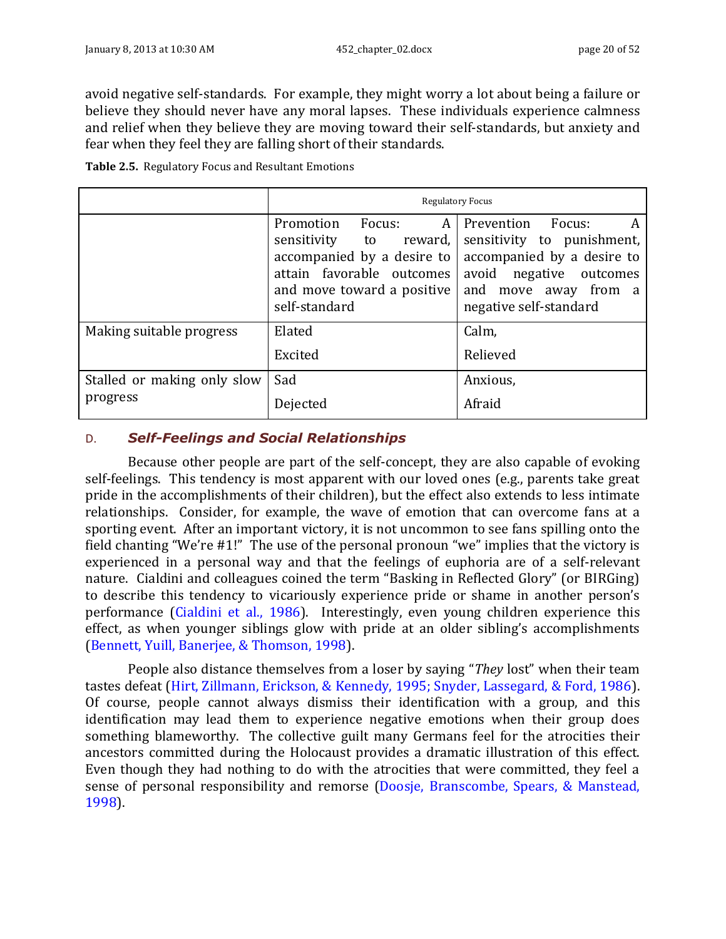avoid negative self-standards. For example, they might worry a lot about being a failure or believe they should never have any moral lapses. These individuals experience calmness and relief when they believe they are moving toward their self-standards, but anxiety and fear when they feel they are falling short of their standards.

<span id="page-19-1"></span>**Table 2.5.** Regulatory Focus and Resultant Emotions

|                                         | <b>Regulatory Focus</b>                                                                                                                                      |                                                                                                                                                                    |  |  |
|-----------------------------------------|--------------------------------------------------------------------------------------------------------------------------------------------------------------|--------------------------------------------------------------------------------------------------------------------------------------------------------------------|--|--|
|                                         | Promotion<br>Focus:<br>A<br>sensitivity to reward,<br>accompanied by a desire to<br>attain favorable outcomes<br>and move toward a positive<br>self-standard | Prevention<br>Focus:<br>A<br>sensitivity to punishment,<br>accompanied by a desire to<br>avoid negative outcomes<br>and move away from a<br>negative self-standard |  |  |
| Making suitable progress                | Elated<br>Excited                                                                                                                                            | Calm,<br>Relieved                                                                                                                                                  |  |  |
| Stalled or making only slow<br>progress | Sad<br>Dejected                                                                                                                                              | Anxious,<br>Afraid                                                                                                                                                 |  |  |

### <span id="page-19-0"></span>D. *Self-Feelings and Social Relationships*

Because other people are part of the self-concept, they are also capable of evoking self-feelings. This tendency is most apparent with our loved ones (e.g., parents take great pride in the accomplishments of their children), but the effect also extends to less intimate relationships. Consider, for example, the wave of emotion that can overcome fans at a sporting event. After an important victory, it is not uncommon to see fans spilling onto the field chanting "We're #1!" The use of the personal pronoun "we" implies that the victory is experienced in a personal way and that the feelings of euphoria are of a self-relevant nature. Cialdini and colleagues coined the term "Basking in Reflected Glory" (or BIRGing) to describe this tendency to vicariously experience pride or shame in another person's performance (Cialdini et al., 1986). Interestingly, even young children experience this effect, as when younger siblings glow with pride at an older sibling's accomplishments (Bennett, Yuill, Banerjee, & Thomson, 1998).

People also distance themselves from a loser by saying "*They* lost" when their team tastes defeat (Hirt, Zillmann, Erickson, & Kennedy, 1995; Snyder, Lassegard, & Ford, 1986). Of course, people cannot always dismiss their identification with a group, and this identification may lead them to experience negative emotions when their group does something blameworthy. The collective guilt many Germans feel for the atrocities their ancestors committed during the Holocaust provides a dramatic illustration of this effect. Even though they had nothing to do with the atrocities that were committed, they feel a sense of personal responsibility and remorse (Doosje, Branscombe, Spears, & Manstead, 1998).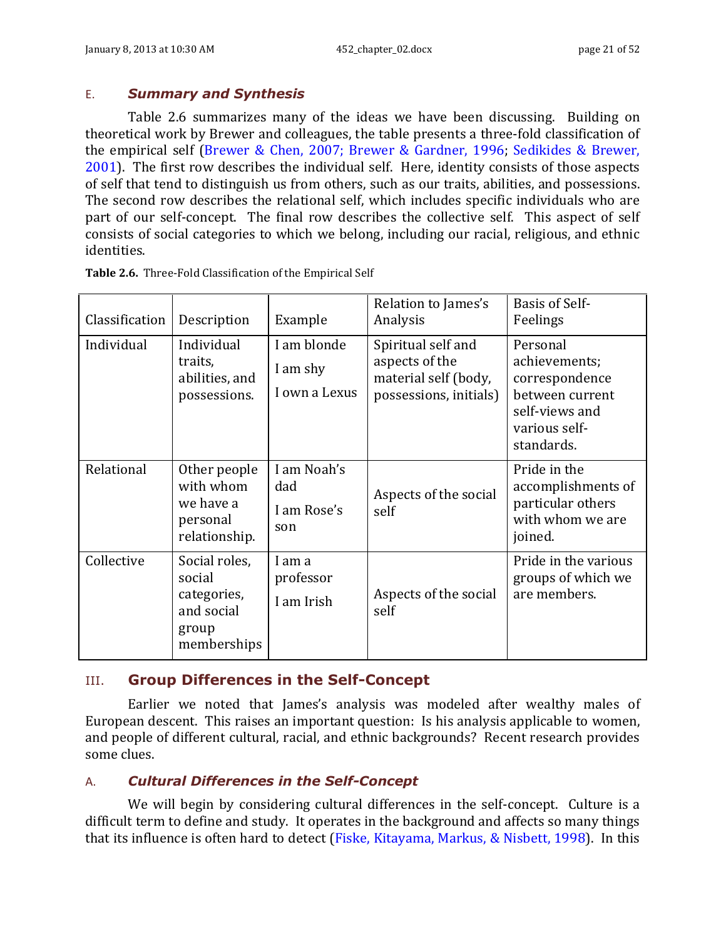### <span id="page-20-0"></span>E. *Summary and Synthesis*

[Table 2.6](#page-20-3) summarizes many of the ideas we have been discussing. Building on theoretical work by Brewer and colleagues, the table presents a three-fold classification of the empirical self (Brewer & Chen, 2007; Brewer & Gardner, 1996; Sedikides & Brewer, 2001). The first row describes the individual self. Here, identity consists of those aspects of self that tend to distinguish us from others, such as our traits, abilities, and possessions. The second row describes the relational self, which includes specific individuals who are part of our self-concept. The final row describes the collective self. This aspect of self consists of social categories to which we belong, including our racial, religious, and ethnic identities.

| Classification | Description                                                                  | Example                                  | Relation to James's<br>Analysis                                                        | <b>Basis of Self-</b><br>Feelings                                                                               |
|----------------|------------------------------------------------------------------------------|------------------------------------------|----------------------------------------------------------------------------------------|-----------------------------------------------------------------------------------------------------------------|
| Individual     | Individual<br>traits,<br>abilities, and<br>possessions.                      | I am blonde<br>I am shy<br>I own a Lexus | Spiritual self and<br>aspects of the<br>material self (body,<br>possessions, initials) | Personal<br>achievements;<br>correspondence<br>between current<br>self-views and<br>various self-<br>standards. |
| Relational     | Other people<br>with whom<br>we have a<br>personal<br>relationship.          | I am Noah's<br>dad<br>I am Rose's<br>son | Aspects of the social<br>self                                                          | Pride in the<br>accomplishments of<br>particular others<br>with whom we are<br>joined.                          |
| Collective     | Social roles,<br>social<br>categories,<br>and social<br>group<br>memberships | I am a<br>professor<br>I am Irish        | Aspects of the social<br>self                                                          | Pride in the various<br>groups of which we<br>are members.                                                      |

<span id="page-20-3"></span>**Table 2.6.** Three-Fold Classification of the Empirical Self

# <span id="page-20-1"></span>III. **Group Differences in the Self-Concept**

Earlier we noted that James's analysis was modeled after wealthy males of European descent. This raises an important question: Is his analysis applicable to women, and people of different cultural, racial, and ethnic backgrounds? Recent research provides some clues.

# <span id="page-20-2"></span>A. *Cultural Differences in the Self-Concept*

We will begin by considering cultural differences in the self-concept. Culture is a difficult term to define and study. It operates in the background and affects so many things that its influence is often hard to detect (Fiske, Kitayama, Markus, & Nisbett, 1998). In this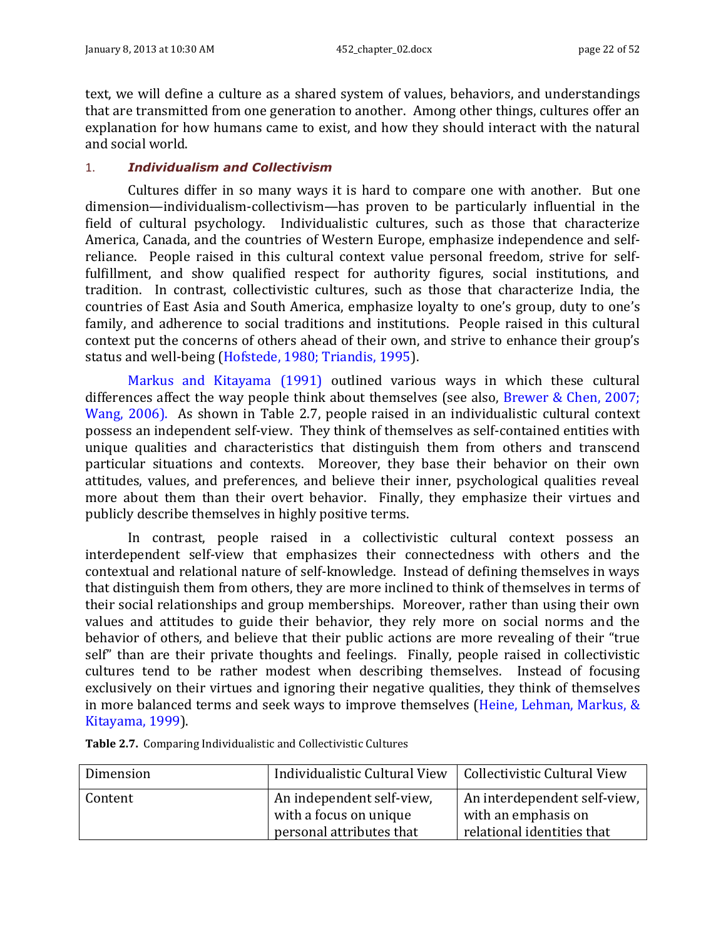text, we will define a culture as a shared system of values, behaviors, and understandings that are transmitted from one generation to another. Among other things, cultures offer an explanation for how humans came to exist, and how they should interact with the natural and social world.

### 1. *Individualism and Collectivism*

Cultures differ in so many ways it is hard to compare one with another. But one dimension—individualism-collectivism—has proven to be particularly influential in the field of cultural psychology. Individualistic cultures, such as those that characterize America, Canada, and the countries of Western Europe, emphasize independence and selfreliance. People raised in this cultural context value personal freedom, strive for selffulfillment, and show qualified respect for authority figures, social institutions, and tradition. In contrast, collectivistic cultures, such as those that characterize India, the countries of East Asia and South America, emphasize loyalty to one's group, duty to one's family, and adherence to social traditions and institutions. People raised in this cultural context put the concerns of others ahead of their own, and strive to enhance their group's status and well-being (Hofstede, 1980; Triandis, 1995).

Markus and Kitayama (1991) outlined various ways in which these cultural differences affect the way people think about themselves (see also, Brewer & Chen, 2007; Wang, 2006). As shown in [Table 2.7,](#page-21-0) people raised in an individualistic cultural context possess an independent self-view. They think of themselves as self-contained entities with unique qualities and characteristics that distinguish them from others and transcend particular situations and contexts. Moreover, they base their behavior on their own attitudes, values, and preferences, and believe their inner, psychological qualities reveal more about them than their overt behavior. Finally, they emphasize their virtues and publicly describe themselves in highly positive terms.

In contrast, people raised in a collectivistic cultural context possess an interdependent self-view that emphasizes their connectedness with others and the contextual and relational nature of self-knowledge. Instead of defining themselves in ways that distinguish them from others, they are more inclined to think of themselves in terms of their social relationships and group memberships. Moreover, rather than using their own values and attitudes to guide their behavior, they rely more on social norms and the behavior of others, and believe that their public actions are more revealing of their "true self" than are their private thoughts and feelings. Finally, people raised in collectivistic cultures tend to be rather modest when describing themselves. Instead of focusing exclusively on their virtues and ignoring their negative qualities, they think of themselves in more balanced terms and seek ways to improve themselves (Heine, Lehman, Markus, & Kitayama, 1999).

| Dimension | Individualistic Cultural View   Collectivistic Cultural View |                                                     |
|-----------|--------------------------------------------------------------|-----------------------------------------------------|
| Content   | An independent self-view,<br>with a focus on unique          | An interdependent self-view,<br>with an emphasis on |
|           | personal attributes that                                     | relational identities that                          |

<span id="page-21-0"></span>**Table 2.7.** Comparing Individualistic and Collectivistic Cultures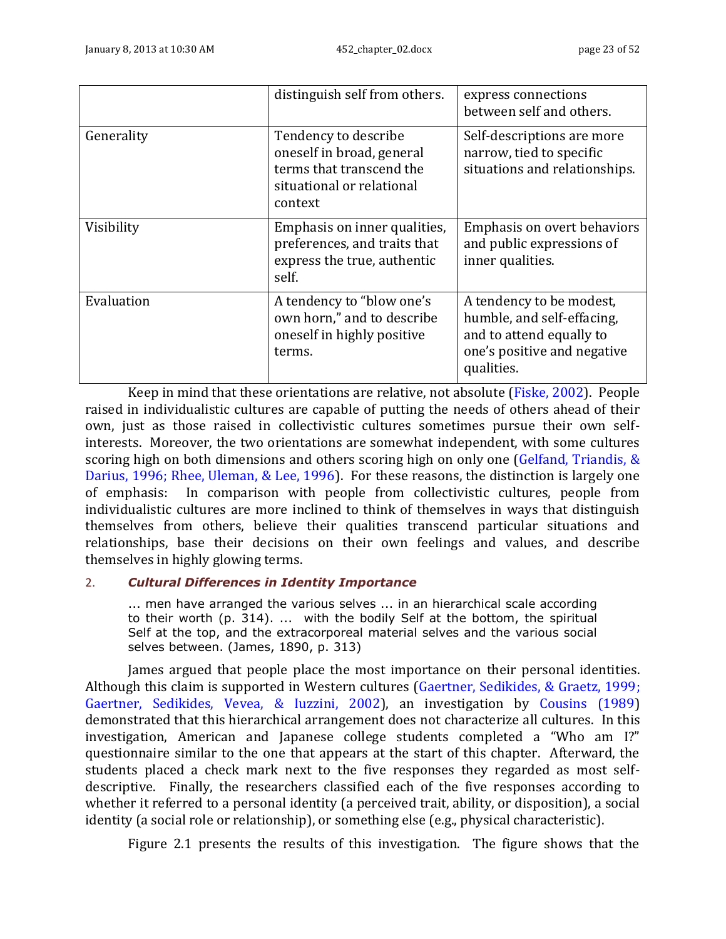|            | distinguish self from others.                                                                                         | express connections<br>between self and others.                                                                                 |
|------------|-----------------------------------------------------------------------------------------------------------------------|---------------------------------------------------------------------------------------------------------------------------------|
| Generality | Tendency to describe<br>oneself in broad, general<br>terms that transcend the<br>situational or relational<br>context | Self-descriptions are more<br>narrow, tied to specific<br>situations and relationships.                                         |
| Visibility | Emphasis on inner qualities,<br>preferences, and traits that<br>express the true, authentic<br>self.                  | Emphasis on overt behaviors<br>and public expressions of<br>inner qualities.                                                    |
| Evaluation | A tendency to "blow one's<br>own horn," and to describe<br>oneself in highly positive<br>terms.                       | A tendency to be modest,<br>humble, and self-effacing,<br>and to attend equally to<br>one's positive and negative<br>qualities. |

Keep in mind that these orientations are relative, not absolute (Fiske, 2002). People raised in individualistic cultures are capable of putting the needs of others ahead of their own, just as those raised in collectivistic cultures sometimes pursue their own selfinterests. Moreover, the two orientations are somewhat independent, with some cultures scoring high on both dimensions and others scoring high on only one (Gelfand, Triandis, & Darius, 1996; Rhee, Uleman, & Lee, 1996). For these reasons, the distinction is largely one of emphasis: In comparison with people from collectivistic cultures, people from individualistic cultures are more inclined to think of themselves in ways that distinguish themselves from others, believe their qualities transcend particular situations and relationships, base their decisions on their own feelings and values, and describe themselves in highly glowing terms.

### 2. *Cultural Differences in Identity Importance*

... men have arranged the various selves ... in an hierarchical scale according to their worth (p. 314). ... with the bodily Self at the bottom, the spiritual Self at the top, and the extracorporeal material selves and the various social selves between. (James, 1890, p. 313)

James argued that people place the most importance on their personal identities. Although this claim is supported in Western cultures (Gaertner, Sedikides, & Graetz, 1999; Gaertner, Sedikides, Vevea, & Iuzzini, 2002), an investigation by Cousins (1989) demonstrated that this hierarchical arrangement does not characterize all cultures. In this investigation, American and Japanese college students completed a "Who am I?" questionnaire similar to the one that appears at the start of this chapter. Afterward, the students placed a check mark next to the five responses they regarded as most selfdescriptive. Finally, the researchers classified each of the five responses according to whether it referred to a personal identity (a perceived trait, ability, or disposition), a social identity (a social role or relationship), or something else (e.g., physical characteristic).

[Figure 2.1](#page-23-0) presents the results of this investigation. The figure shows that the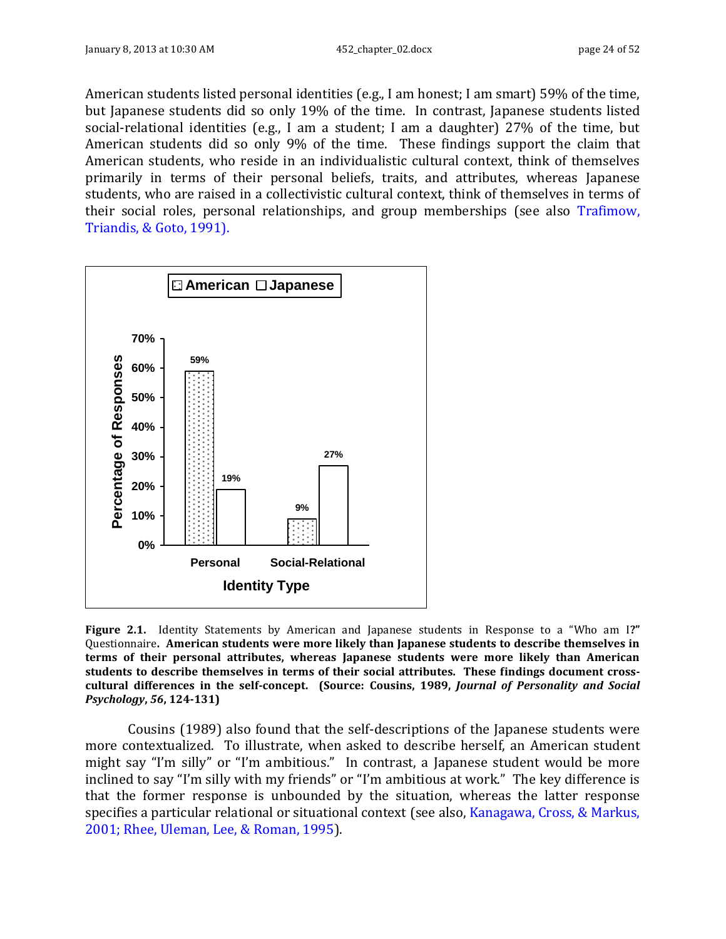American students listed personal identities (e.g., I am honest; I am smart) 59% of the time, but Japanese students did so only 19% of the time. In contrast, Japanese students listed social-relational identities (e.g., I am a student; I am a daughter) 27% of the time, but American students did so only 9% of the time. These findings support the claim that American students, who reside in an individualistic cultural context, think of themselves primarily in terms of their personal beliefs, traits, and attributes, whereas Japanese students, who are raised in a collectivistic cultural context, think of themselves in terms of their social roles, personal relationships, and group memberships (see also Trafimow, Triandis, & Goto, 1991).



<span id="page-23-0"></span>**Figure 2.1.** Identity Statements by American and Japanese students in Response to a "Who am I**?"**  Questionnaire**. American students were more likely than Japanese students to describe themselves in terms of their personal attributes, whereas Japanese students were more likely than American students to describe themselves in terms of their social attributes. These findings document crosscultural differences in the self-concept. (Source: Cousins, 1989,** *Journal of Personality and Social Psychology***,** *56***, 124-131)**

Cousins (1989) also found that the self-descriptions of the Japanese students were more contextualized. To illustrate, when asked to describe herself, an American student might say "I'm silly" or "I'm ambitious." In contrast, a Japanese student would be more inclined to say "I'm silly with my friends" or "I'm ambitious at work." The key difference is that the former response is unbounded by the situation, whereas the latter response specifies a particular relational or situational context (see also, Kanagawa, Cross, & Markus, 2001; Rhee, Uleman, Lee, & Roman, 1995).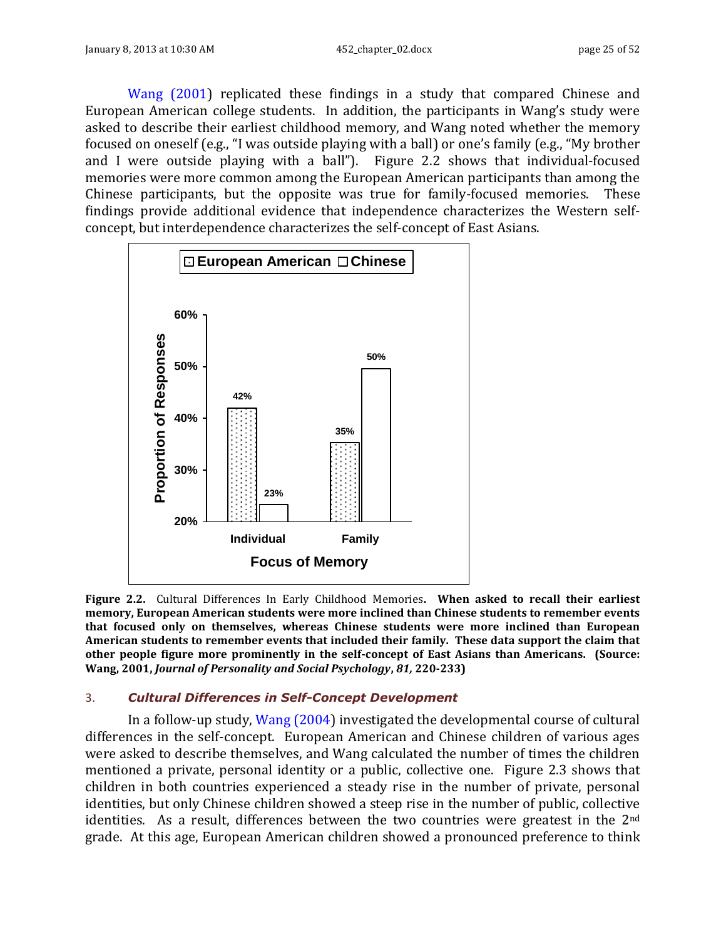Wang (2001) replicated these findings in a study that compared Chinese and European American college students. In addition, the participants in Wang's study were asked to describe their earliest childhood memory, and Wang noted whether the memory focused on oneself (e.g., "I was outside playing with a ball) or one's family (e.g., "My brother and I were outside playing with a ball"). [Figure 2.2](#page-24-0) shows that individual-focused memories were more common among the European American participants than among the Chinese participants, but the opposite was true for family-focused memories. These findings provide additional evidence that independence characterizes the Western selfconcept, but interdependence characterizes the self-concept of East Asians.



<span id="page-24-0"></span>**Figure 2.2.** Cultural Differences In Early Childhood Memories**. When asked to recall their earliest memory, European American students were more inclined than Chinese students to remember events that focused only on themselves, whereas Chinese students were more inclined than European American students to remember events that included their family. These data support the claim that other people figure more prominently in the self-concept of East Asians than Americans. (Source: Wang, 2001,** *Journal of Personality and Social Psychology***,** *81,* **220-233)**

### 3. *Cultural Differences in Self-Concept Development*

In a follow-up study, Wang (2004) investigated the developmental course of cultural differences in the self-concept. European American and Chinese children of various ages were asked to describe themselves, and Wang calculated the number of times the children mentioned a private, personal identity or a public, collective one. [Figure 2.3](#page-26-0) shows that children in both countries experienced a steady rise in the number of private, personal identities, but only Chinese children showed a steep rise in the number of public, collective identities. As a result, differences between the two countries were greatest in the 2<sup>nd</sup> grade. At this age, European American children showed a pronounced preference to think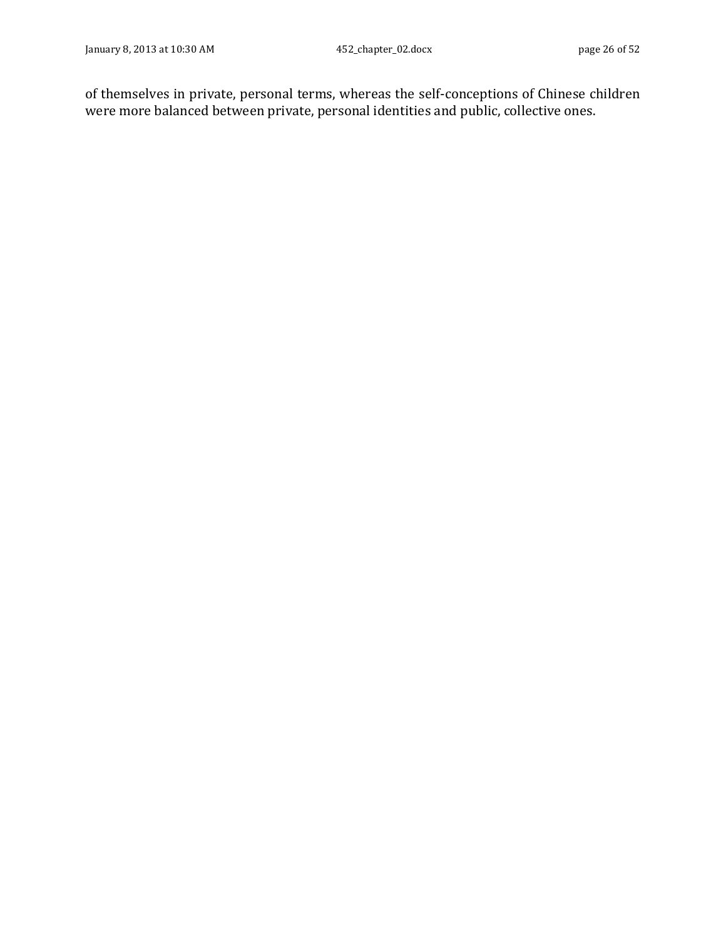of themselves in private, personal terms, whereas the self-conceptions of Chinese children were more balanced between private, personal identities and public, collective ones.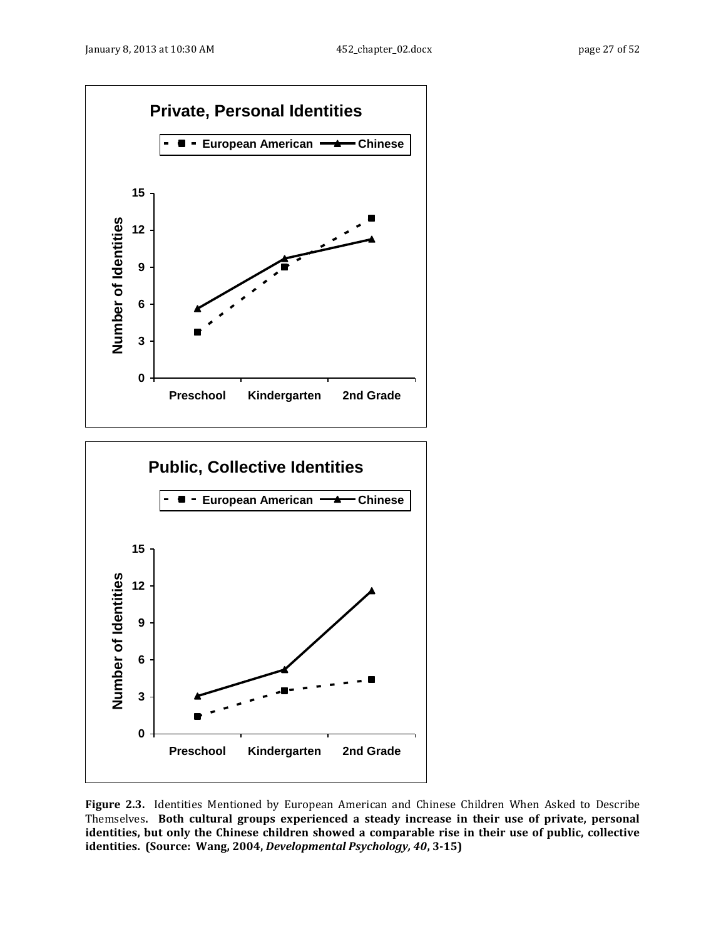



<span id="page-26-0"></span>**Figure 2.3.** Identities Mentioned by European American and Chinese Children When Asked to Describe Themselves**. Both cultural groups experienced a steady increase in their use of private, personal identities, but only the Chinese children showed a comparable rise in their use of public, collective identities. (Source: Wang, 2004,** *Developmental Psychology, 40***, 3-15)**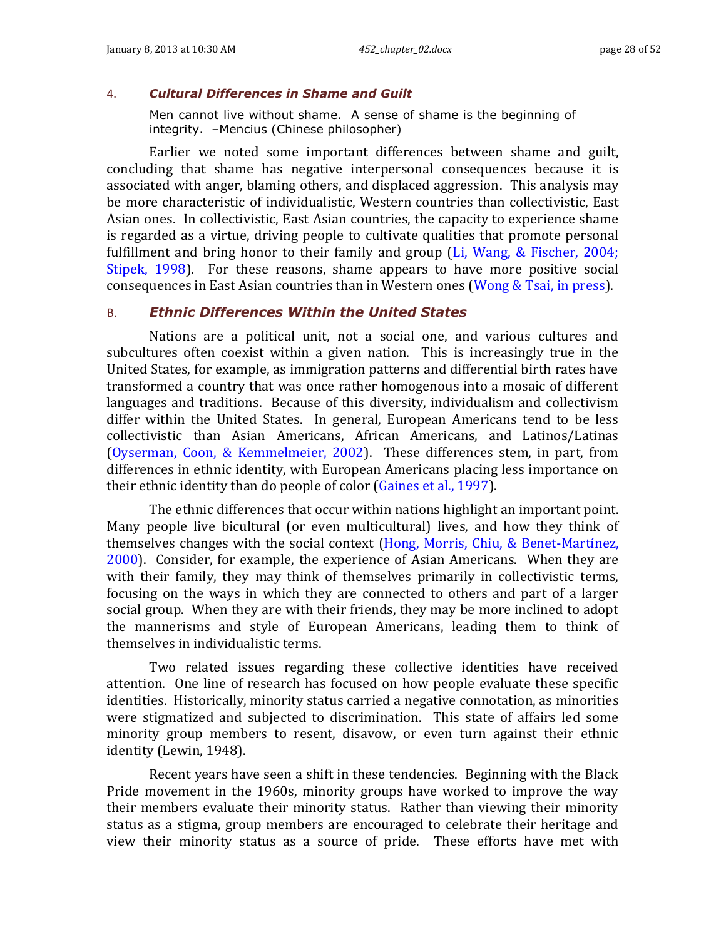### 4. *Cultural Differences in Shame and Guilt*

Men cannot live without shame. A sense of shame is the beginning of integrity. –Mencius (Chinese philosopher)

Earlier we noted some important differences between shame and guilt, concluding that shame has negative interpersonal consequences because it is associated with anger, blaming others, and displaced aggression. This analysis may be more characteristic of individualistic, Western countries than collectivistic, East Asian ones. In collectivistic, East Asian countries, the capacity to experience shame is regarded as a virtue, driving people to cultivate qualities that promote personal fulfillment and bring honor to their family and group (Li, Wang, & Fischer, 2004; Stipek, 1998). For these reasons, shame appears to have more positive social consequences in East Asian countries than in Western ones (Wong & Tsai, in press).

### <span id="page-27-0"></span>B. *Ethnic Differences Within the United States*

Nations are a political unit, not a social one, and various cultures and subcultures often coexist within a given nation. This is increasingly true in the United States, for example, as immigration patterns and differential birth rates have transformed a country that was once rather homogenous into a mosaic of different languages and traditions. Because of this diversity, individualism and collectivism differ within the United States. In general, European Americans tend to be less collectivistic than Asian Americans, African Americans, and Latinos/Latinas (Oyserman, Coon, & Kemmelmeier, 2002). These differences stem, in part, from differences in ethnic identity, with European Americans placing less importance on their ethnic identity than do people of color (Gaines et al., 1997).

The ethnic differences that occur within nations highlight an important point. Many people live bicultural (or even multicultural) lives, and how they think of themselves changes with the social context (Hong, Morris, Chiu, & Benet-Martínez, 2000). Consider, for example, the experience of Asian Americans. When they are with their family, they may think of themselves primarily in collectivistic terms, focusing on the ways in which they are connected to others and part of a larger social group. When they are with their friends, they may be more inclined to adopt the mannerisms and style of European Americans, leading them to think of themselves in individualistic terms.

Two related issues regarding these collective identities have received attention. One line of research has focused on how people evaluate these specific identities. Historically, minority status carried a negative connotation, as minorities were stigmatized and subjected to discrimination. This state of affairs led some minority group members to resent, disavow, or even turn against their ethnic identity (Lewin, 1948).

Recent years have seen a shift in these tendencies. Beginning with the Black Pride movement in the 1960s, minority groups have worked to improve the way their members evaluate their minority status. Rather than viewing their minority status as a stigma, group members are encouraged to celebrate their heritage and view their minority status as a source of pride. These efforts have met with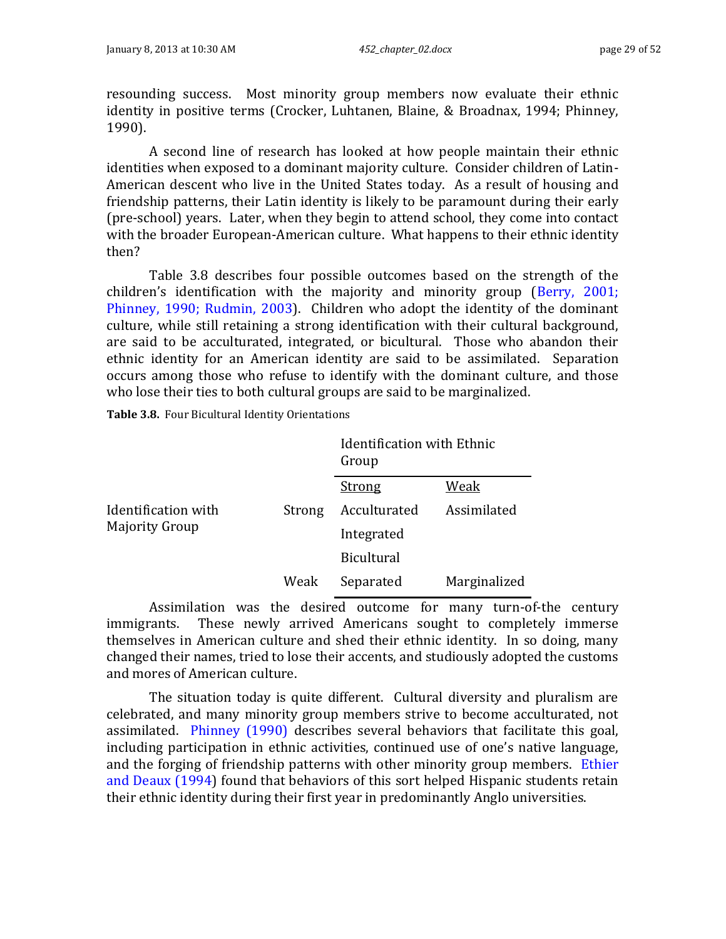resounding success. Most minority group members now evaluate their ethnic identity in positive terms (Crocker, Luhtanen, Blaine, & Broadnax, 1994; Phinney, 1990).

A second line of research has looked at how people maintain their ethnic identities when exposed to a dominant majority culture. Consider children of Latin-American descent who live in the United States today. As a result of housing and friendship patterns, their Latin identity is likely to be paramount during their early (pre-school) years. Later, when they begin to attend school, they come into contact with the broader European-American culture. What happens to their ethnic identity then?

[Table 3.8](#page-28-0) describes four possible outcomes based on the strength of the children's identification with the majority and minority group (Berry, 2001; Phinney, 1990; Rudmin, 2003). Children who adopt the identity of the dominant culture, while still retaining a strong identification with their cultural background, are said to be acculturated, integrated, or bicultural. Those who abandon their ethnic identity for an American identity are said to be assimilated. Separation occurs among those who refuse to identify with the dominant culture, and those who lose their ties to both cultural groups are said to be marginalized.

<span id="page-28-0"></span>**Table 3.8.** Four Bicultural Identity Orientations

|                                              |        | Identification with Ethnic<br>Group |              |
|----------------------------------------------|--------|-------------------------------------|--------------|
|                                              |        | Strong                              | Weak         |
| Identification with<br><b>Majority Group</b> | Strong | Acculturated                        | Assimilated  |
|                                              |        | Integrated                          |              |
|                                              |        | <b>Bicultural</b>                   |              |
|                                              | Weak   | Separated                           | Marginalized |

Assimilation was the desired outcome for many turn-of-the century immigrants. These newly arrived Americans sought to completely immerse themselves in American culture and shed their ethnic identity. In so doing, many changed their names, tried to lose their accents, and studiously adopted the customs and mores of American culture.

The situation today is quite different. Cultural diversity and pluralism are celebrated, and many minority group members strive to become acculturated, not assimilated. Phinney (1990) describes several behaviors that facilitate this goal, including participation in ethnic activities, continued use of one's native language, and the forging of friendship patterns with other minority group members. Ethier and Deaux (1994) found that behaviors of this sort helped Hispanic students retain their ethnic identity during their first year in predominantly Anglo universities.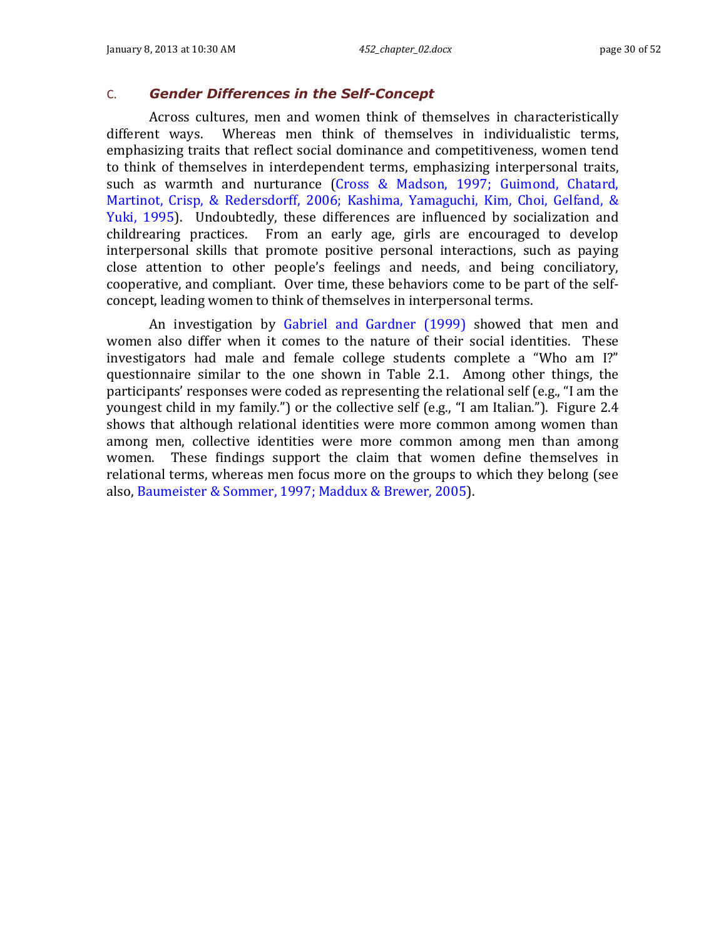### <span id="page-29-0"></span>C. *Gender Differences in the Self-Concept*

Across cultures, men and women think of themselves in characteristically different ways. Whereas men think of themselves in individualistic terms, emphasizing traits that reflect social dominance and competitiveness, women tend to think of themselves in interdependent terms, emphasizing interpersonal traits, such as warmth and nurturance (Cross & Madson, 1997; Guimond, Chatard, Martinot, Crisp, & Redersdorff, 2006; Kashima, Yamaguchi, Kim, Choi, Gelfand, & Yuki, 1995). Undoubtedly, these differences are influenced by socialization and childrearing practices. From an early age, girls are encouraged to develop interpersonal skills that promote positive personal interactions, such as paying close attention to other people's feelings and needs, and being conciliatory, cooperative, and compliant. Over time, these behaviors come to be part of the selfconcept, leading women to think of themselves in interpersonal terms.

An investigation by Gabriel and Gardner (1999) showed that men and women also differ when it comes to the nature of their social identities. These investigators had male and female college students complete a "Who am I?" questionnaire similar to the one shown in [Table 2.1.](#page-2-1) Among other things, the participants' responses were coded as representing the relational self (e.g., "I am the youngest child in my family.") or the collective self (e.g., "I am Italian."). [Figure 2.4](#page-30-1) shows that although relational identities were more common among women than among men, collective identities were more common among men than among women. These findings support the claim that women define themselves in relational terms, whereas men focus more on the groups to which they belong (see also, Baumeister & Sommer, 1997; Maddux & Brewer, 2005).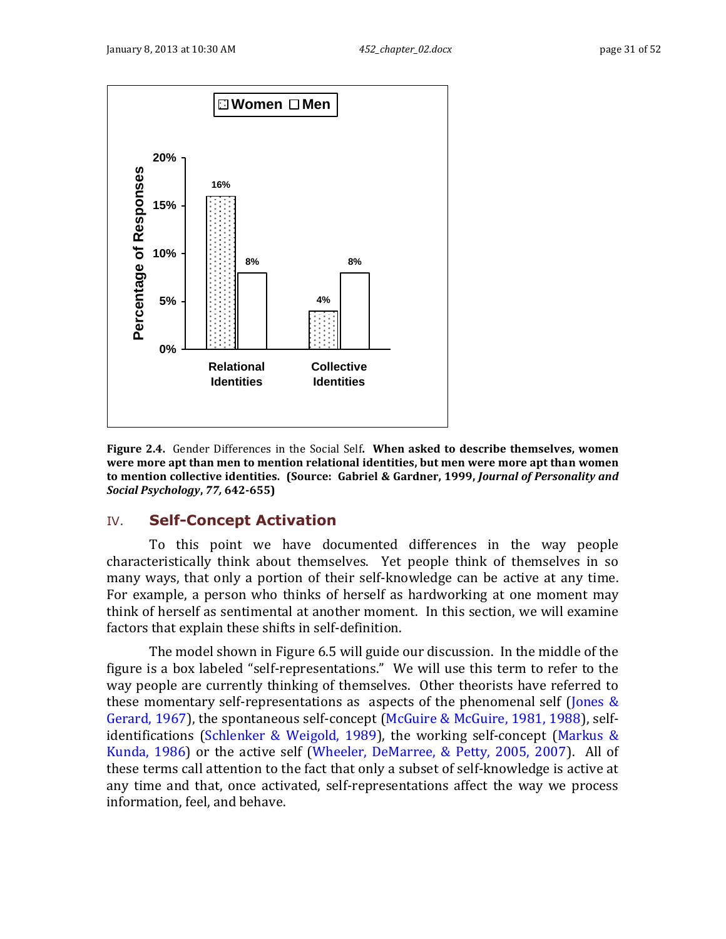

<span id="page-30-1"></span>**Figure 2.4.** Gender Differences in the Social Self**. When asked to describe themselves, women were more apt than men to mention relational identities, but men were more apt than women to mention collective identities. (Source: Gabriel & Gardner, 1999,** *Journal of Personality and Social Psychology***,** *77,* **642-655)**

# <span id="page-30-0"></span>IV. **Self-Concept Activation**

To this point we have documented differences in the way people characteristically think about themselves. Yet people think of themselves in so many ways, that only a portion of their self-knowledge can be active at any time. For example, a person who thinks of herself as hardworking at one moment may think of herself as sentimental at another moment. In this section, we will examine factors that explain these shifts in self-definition.

The model shown in [Figure 6.5](#page-31-1) will guide our discussion. In the middle of the figure is a box labeled "self-representations." We will use this term to refer to the way people are currently thinking of themselves. Other theorists have referred to these momentary self-representations as aspects of the phenomenal self (Jones  $\&$ Gerard, 1967), the spontaneous self-concept (McGuire & McGuire, 1981, 1988), selfidentifications (Schlenker & Weigold, 1989), the working self-concept (Markus & Kunda, 1986) or the active self (Wheeler, DeMarree, & Petty, 2005, 2007). All of these terms call attention to the fact that only a subset of self-knowledge is active at any time and that, once activated, self-representations affect the way we process information, feel, and behave.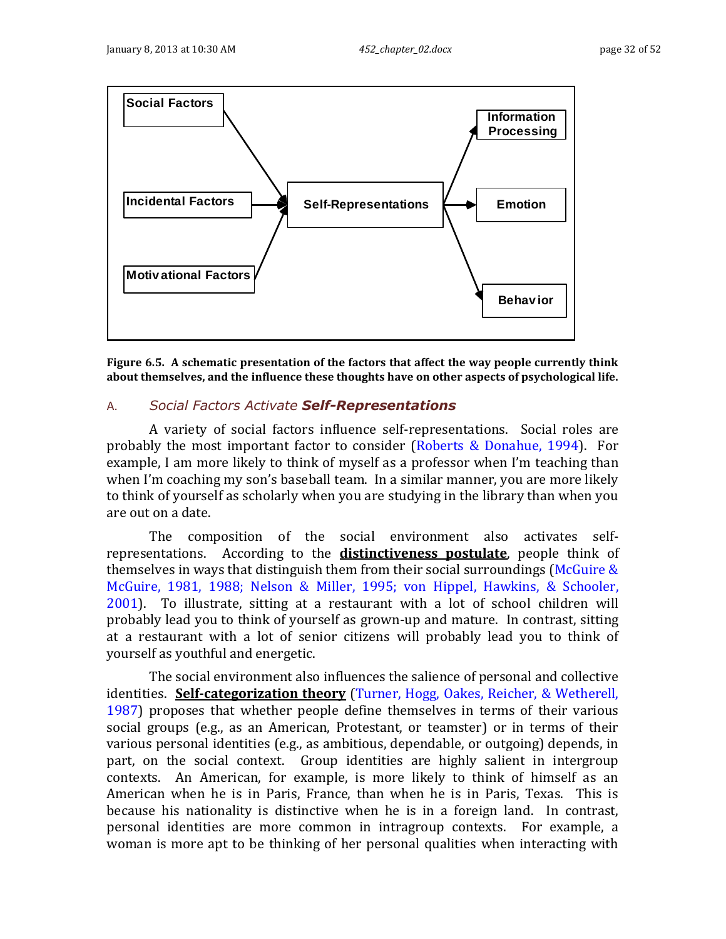

<span id="page-31-1"></span>**Figure 6.5. A schematic presentation of the factors that affect the way people currently think about themselves, and the influence these thoughts have on other aspects of psychological life.**

### <span id="page-31-0"></span>A. *Social Factors Activate Self-Representations*

A variety of social factors influence self-representations. Social roles are probably the most important factor to consider (Roberts & Donahue, 1994). For example, I am more likely to think of myself as a professor when I'm teaching than when I'm coaching my son's baseball team. In a similar manner, you are more likely to think of yourself as scholarly when you are studying in the library than when you are out on a date.

The composition of the social environment also activates selfrepresentations. According to the **distinctiveness postulate**, people think of themselves in ways that distinguish them from their social surroundings (McGuire  $\&$ McGuire, 1981, 1988; Nelson & Miller, 1995; von Hippel, Hawkins, & Schooler, 2001). To illustrate, sitting at a restaurant with a lot of school children will probably lead you to think of yourself as grown-up and mature. In contrast, sitting at a restaurant with a lot of senior citizens will probably lead you to think of yourself as youthful and energetic.

The social environment also influences the salience of personal and collective identities. **Self-categorization theory** (Turner, Hogg, Oakes, Reicher, & Wetherell, 1987) proposes that whether people define themselves in terms of their various social groups (e.g., as an American, Protestant, or teamster) or in terms of their various personal identities (e.g., as ambitious, dependable, or outgoing) depends, in part, on the social context. Group identities are highly salient in intergroup contexts. An American, for example, is more likely to think of himself as an American when he is in Paris, France, than when he is in Paris, Texas. This is because his nationality is distinctive when he is in a foreign land. In contrast, personal identities are more common in intragroup contexts. For example, a woman is more apt to be thinking of her personal qualities when interacting with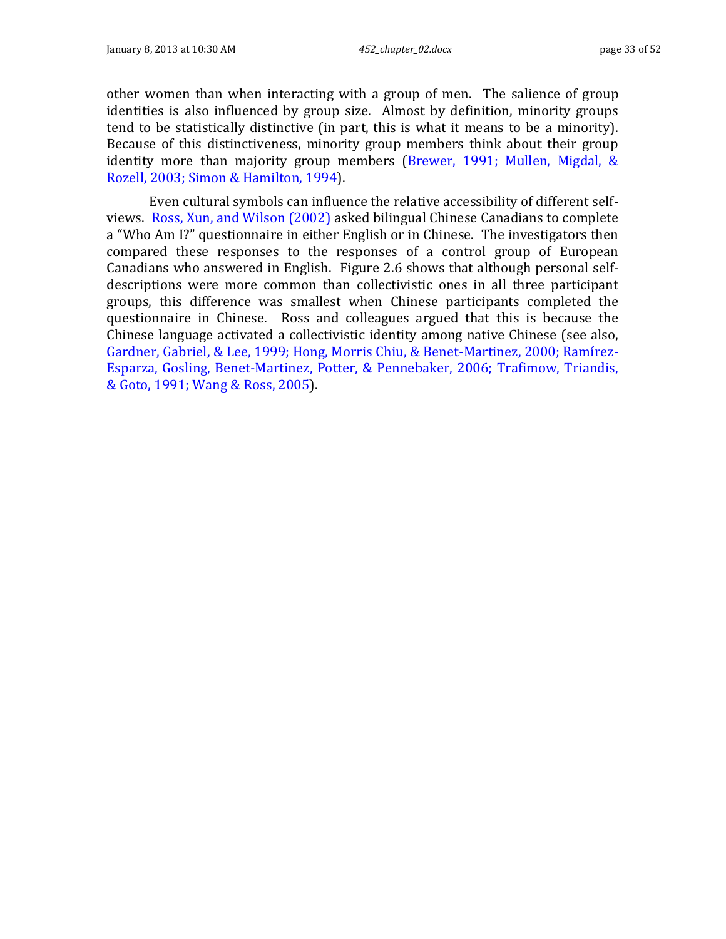other women than when interacting with a group of men. The salience of group identities is also influenced by group size. Almost by definition, minority groups tend to be statistically distinctive (in part, this is what it means to be a minority). Because of this distinctiveness, minority group members think about their group identity more than majority group members (Brewer, 1991; Mullen, Migdal, & Rozell, 2003; Simon & Hamilton, 1994).

Even cultural symbols can influence the relative accessibility of different selfviews. Ross, Xun, and Wilson (2002) asked bilingual Chinese Canadians to complete a "Who Am I?" questionnaire in either English or in Chinese. The investigators then compared these responses to the responses of a control group of European Canadians who answered in English. [Figure 2.6](#page-33-1) shows that although personal selfdescriptions were more common than collectivistic ones in all three participant groups, this difference was smallest when Chinese participants completed the questionnaire in Chinese. Ross and colleagues argued that this is because the Chinese language activated a collectivistic identity among native Chinese (see also, Gardner, Gabriel, & Lee, 1999; Hong, Morris Chiu, & Benet-Martinez, 2000; Ramírez-Esparza, Gosling, Benet-Martinez, Potter, & Pennebaker, 2006; Trafimow, Triandis, & Goto, 1991; Wang & Ross, 2005).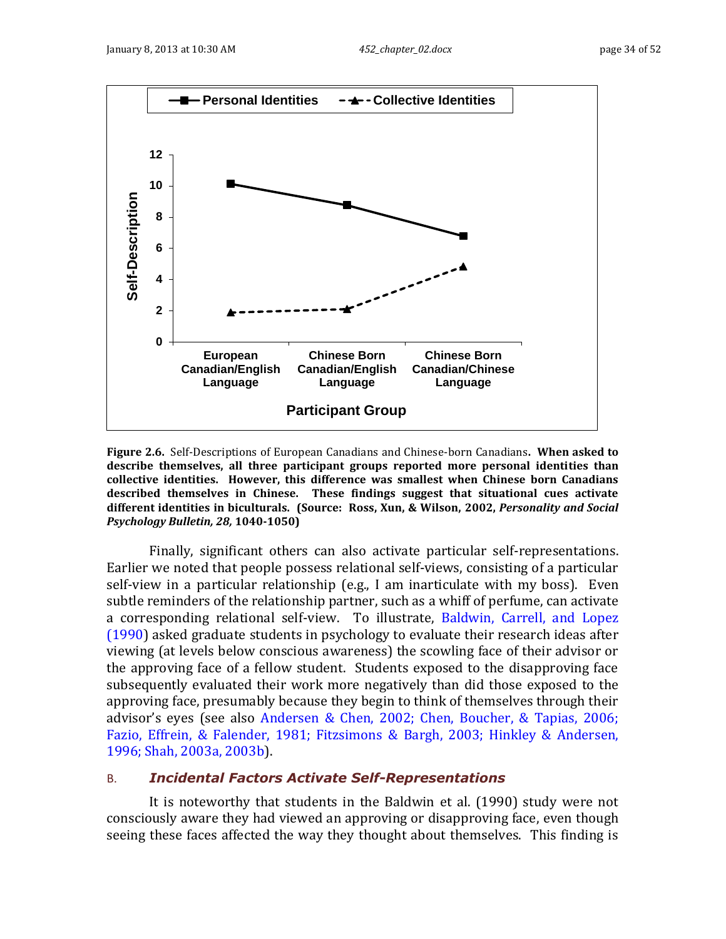

<span id="page-33-1"></span>**Figure 2.6.** Self-Descriptions of European Canadians and Chinese-born Canadians**. When asked to describe themselves, all three participant groups reported more personal identities than collective identities. However, this difference was smallest when Chinese born Canadians described themselves in Chinese. These findings suggest that situational cues activate different identities in biculturals. (Source: Ross, Xun, & Wilson, 2002,** *Personality and Social Psychology Bulletin, 28,* **1040-1050)**

Finally, significant others can also activate particular self-representations. Earlier we noted that people possess relational self-views, consisting of a particular self-view in a particular relationship (e.g., I am inarticulate with my boss). Even subtle reminders of the relationship partner, such as a whiff of perfume, can activate a corresponding relational self-view. To illustrate, Baldwin, Carrell, and Lopez (1990) asked graduate students in psychology to evaluate their research ideas after viewing (at levels below conscious awareness) the scowling face of their advisor or the approving face of a fellow student. Students exposed to the disapproving face subsequently evaluated their work more negatively than did those exposed to the approving face, presumably because they begin to think of themselves through their advisor's eyes (see also Andersen & Chen, 2002; Chen, Boucher, & Tapias, 2006; Fazio, Effrein, & Falender, 1981; Fitzsimons & Bargh, 2003; Hinkley & Andersen, 1996; Shah, 2003a, 2003b).

### <span id="page-33-0"></span>B. *Incidental Factors Activate Self-Representations*

It is noteworthy that students in the Baldwin et al. (1990) study were not consciously aware they had viewed an approving or disapproving face, even though seeing these faces affected the way they thought about themselves. This finding is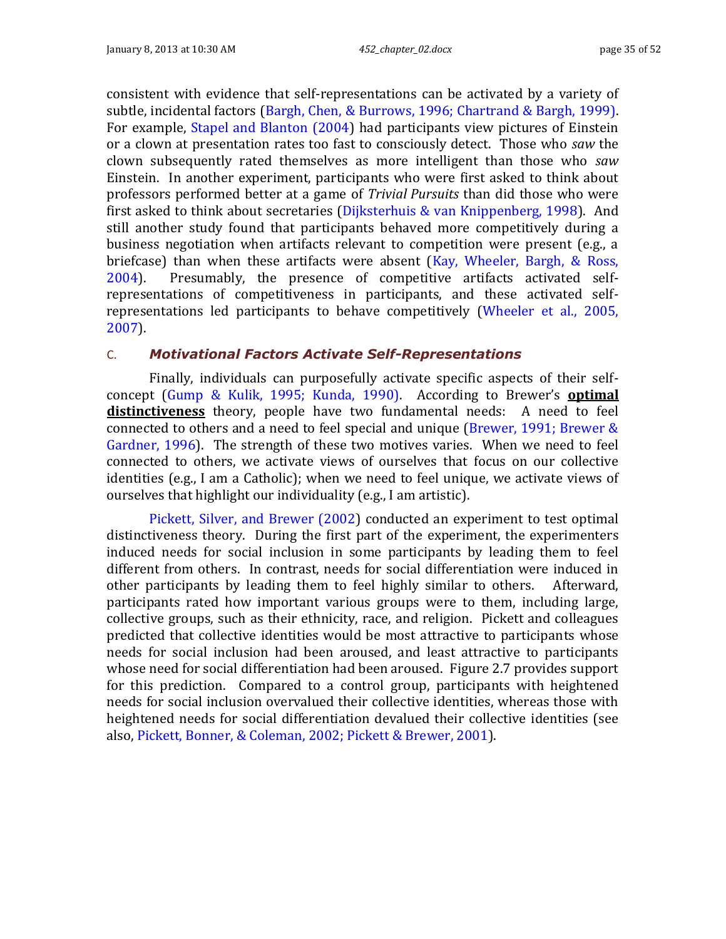consistent with evidence that self-representations can be activated by a variety of subtle, incidental factors (Bargh, Chen, & Burrows, 1996; Chartrand & Bargh, 1999). For example, Stapel and Blanton (2004) had participants view pictures of Einstein or a clown at presentation rates too fast to consciously detect. Those who *saw* the clown subsequently rated themselves as more intelligent than those who *saw* Einstein. In another experiment, participants who were first asked to think about professors performed better at a game of *Trivial Pursuits* than did those who were first asked to think about secretaries (Dijksterhuis & van Knippenberg, 1998). And still another study found that participants behaved more competitively during a business negotiation when artifacts relevant to competition were present (e.g., a briefcase) than when these artifacts were absent (Kay, Wheeler, Bargh, & Ross, 2004). Presumably, the presence of competitive artifacts activated selfrepresentations of competitiveness in participants, and these activated selfrepresentations led participants to behave competitively (Wheeler et al., 2005, 2007).

### <span id="page-34-0"></span>C. *Motivational Factors Activate Self-Representations*

Finally, individuals can purposefully activate specific aspects of their selfconcept (Gump & Kulik, 1995; Kunda, 1990). According to Brewer's **optimal distinctiveness** theory, people have two fundamental needs: A need to feel connected to others and a need to feel special and unique (Brewer, 1991; Brewer & Gardner, 1996). The strength of these two motives varies. When we need to feel connected to others, we activate views of ourselves that focus on our collective identities (e.g., I am a Catholic); when we need to feel unique, we activate views of ourselves that highlight our individuality (e.g., I am artistic).

Pickett, Silver, and Brewer (2002) conducted an experiment to test optimal distinctiveness theory. During the first part of the experiment, the experimenters induced needs for social inclusion in some participants by leading them to feel different from others. In contrast, needs for social differentiation were induced in other participants by leading them to feel highly similar to others. Afterward, participants rated how important various groups were to them, including large, collective groups, such as their ethnicity, race, and religion. Pickett and colleagues predicted that collective identities would be most attractive to participants whose needs for social inclusion had been aroused, and least attractive to participants whose need for social differentiation had been aroused. [Figure 2.7](#page-35-1) provides support for this prediction. Compared to a control group, participants with heightened needs for social inclusion overvalued their collective identities, whereas those with heightened needs for social differentiation devalued their collective identities (see also, Pickett, Bonner, & Coleman, 2002; Pickett & Brewer, 2001).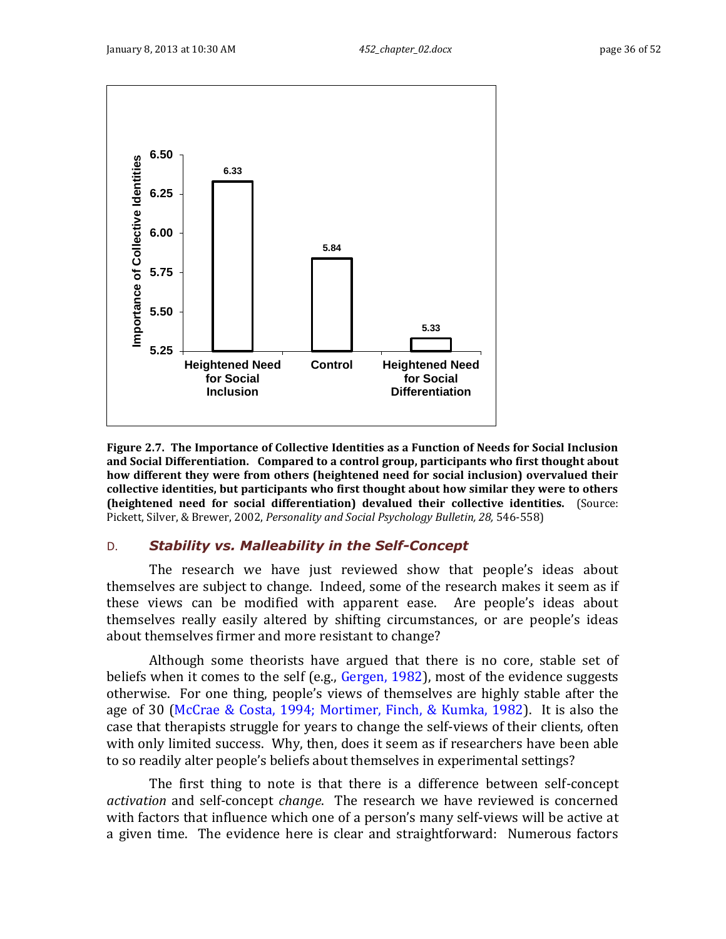

<span id="page-35-1"></span>**Figure 2.7. The Importance of Collective Identities as a Function of Needs for Social Inclusion and Social Differentiation. Compared to a control group, participants who first thought about how different they were from others (heightened need for social inclusion) overvalued their collective identities, but participants who first thought about how similar they were to others (heightened need for social differentiation) devalued their collective identities.** (Source: Pickett, Silver, & Brewer, 2002, *Personality and Social Psychology Bulletin, 28,* 546-558)

# <span id="page-35-0"></span>D. *Stability vs. Malleability in the Self-Concept*

The research we have just reviewed show that people's ideas about themselves are subject to change. Indeed, some of the research makes it seem as if these views can be modified with apparent ease. Are people's ideas about themselves really easily altered by shifting circumstances, or are people's ideas about themselves firmer and more resistant to change?

Although some theorists have argued that there is no core, stable set of beliefs when it comes to the self (e.g., Gergen, 1982), most of the evidence suggests otherwise. For one thing, people's views of themselves are highly stable after the age of 30 (McCrae & Costa, 1994; Mortimer, Finch, & Kumka, 1982). It is also the case that therapists struggle for years to change the self-views of their clients, often with only limited success. Why, then, does it seem as if researchers have been able to so readily alter people's beliefs about themselves in experimental settings?

The first thing to note is that there is a difference between self-concept *activation* and self-concept *change*. The research we have reviewed is concerned with factors that influence which one of a person's many self-views will be active at a given time. The evidence here is clear and straightforward: Numerous factors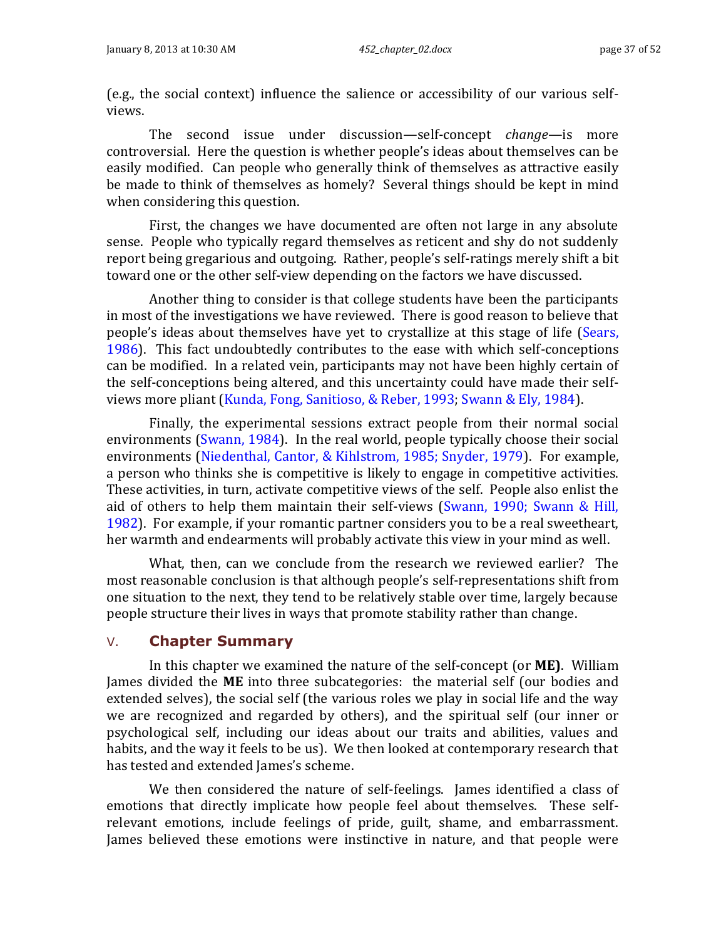(e.g., the social context) influence the salience or accessibility of our various selfviews.

The second issue under discussion—self-concept *change*—is more controversial. Here the question is whether people's ideas about themselves can be easily modified. Can people who generally think of themselves as attractive easily be made to think of themselves as homely? Several things should be kept in mind when considering this question.

First, the changes we have documented are often not large in any absolute sense. People who typically regard themselves as reticent and shy do not suddenly report being gregarious and outgoing. Rather, people's self-ratings merely shift a bit toward one or the other self-view depending on the factors we have discussed.

Another thing to consider is that college students have been the participants in most of the investigations we have reviewed. There is good reason to believe that people's ideas about themselves have yet to crystallize at this stage of life (Sears, 1986). This fact undoubtedly contributes to the ease with which self-conceptions can be modified. In a related vein, participants may not have been highly certain of the self-conceptions being altered, and this uncertainty could have made their selfviews more pliant (Kunda, Fong, Sanitioso, & Reber, 1993; Swann & Ely, 1984).

Finally, the experimental sessions extract people from their normal social environments (Swann, 1984). In the real world, people typically choose their social environments (Niedenthal, Cantor, & Kihlstrom, 1985; Snyder, 1979). For example, a person who thinks she is competitive is likely to engage in competitive activities. These activities, in turn, activate competitive views of the self. People also enlist the aid of others to help them maintain their self-views (Swann, 1990; Swann & Hill, 1982). For example, if your romantic partner considers you to be a real sweetheart, her warmth and endearments will probably activate this view in your mind as well.

What, then, can we conclude from the research we reviewed earlier? The most reasonable conclusion is that although people's self-representations shift from one situation to the next, they tend to be relatively stable over time, largely because people structure their lives in ways that promote stability rather than change.

### <span id="page-36-0"></span>V. **Chapter Summary**

In this chapter we examined the nature of the self-concept (or **ME)**. William James divided the **ME** into three subcategories: the material self (our bodies and extended selves), the social self (the various roles we play in social life and the way we are recognized and regarded by others), and the spiritual self (our inner or psychological self, including our ideas about our traits and abilities, values and habits, and the way it feels to be us). We then looked at contemporary research that has tested and extended James's scheme.

We then considered the nature of self-feelings. James identified a class of emotions that directly implicate how people feel about themselves. These selfrelevant emotions, include feelings of pride, guilt, shame, and embarrassment. James believed these emotions were instinctive in nature, and that people were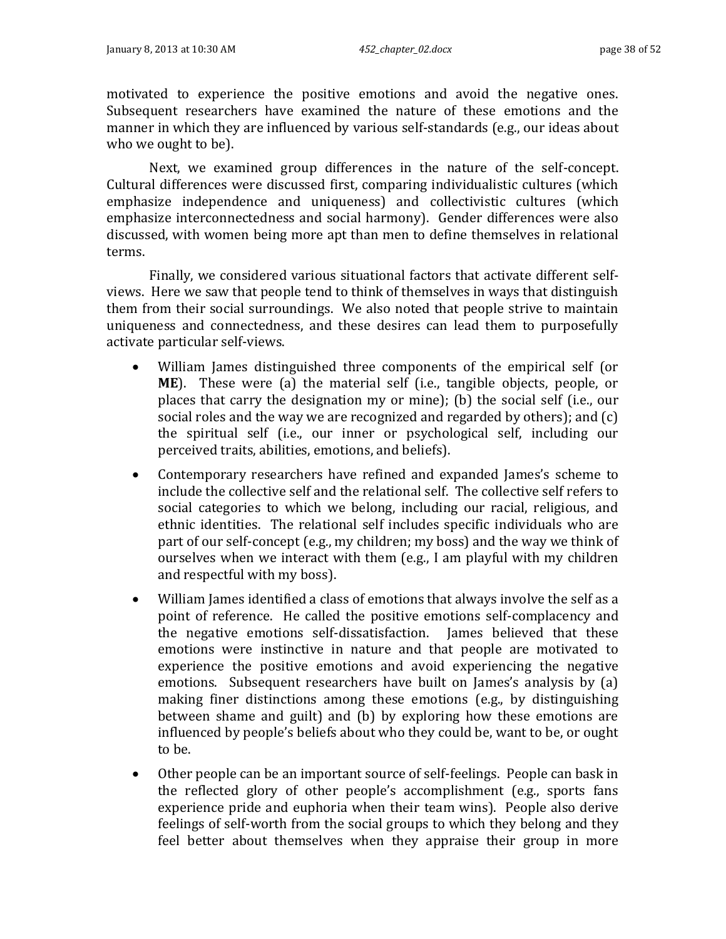motivated to experience the positive emotions and avoid the negative ones. Subsequent researchers have examined the nature of these emotions and the manner in which they are influenced by various self-standards (e.g., our ideas about who we ought to be).

Next, we examined group differences in the nature of the self-concept. Cultural differences were discussed first, comparing individualistic cultures (which emphasize independence and uniqueness) and collectivistic cultures (which emphasize interconnectedness and social harmony). Gender differences were also discussed, with women being more apt than men to define themselves in relational terms.

Finally, we considered various situational factors that activate different selfviews. Here we saw that people tend to think of themselves in ways that distinguish them from their social surroundings. We also noted that people strive to maintain uniqueness and connectedness, and these desires can lead them to purposefully activate particular self-views.

- William James distinguished three components of the empirical self (or **ME**). These were (a) the material self (i.e., tangible objects, people, or places that carry the designation my or mine); (b) the social self (i.e., our social roles and the way we are recognized and regarded by others); and (c) the spiritual self (i.e., our inner or psychological self, including our perceived traits, abilities, emotions, and beliefs).
- Contemporary researchers have refined and expanded James's scheme to include the collective self and the relational self. The collective self refers to social categories to which we belong, including our racial, religious, and ethnic identities. The relational self includes specific individuals who are part of our self-concept (e.g., my children; my boss) and the way we think of ourselves when we interact with them (e.g., I am playful with my children and respectful with my boss).
- William James identified a class of emotions that always involve the self as a point of reference. He called the positive emotions self-complacency and the negative emotions self-dissatisfaction. James believed that these emotions were instinctive in nature and that people are motivated to experience the positive emotions and avoid experiencing the negative emotions. Subsequent researchers have built on James's analysis by (a) making finer distinctions among these emotions (e.g., by distinguishing between shame and guilt) and (b) by exploring how these emotions are influenced by people's beliefs about who they could be, want to be, or ought to be.
- Other people can be an important source of self-feelings. People can bask in the reflected glory of other people's accomplishment (e.g., sports fans experience pride and euphoria when their team wins). People also derive feelings of self-worth from the social groups to which they belong and they feel better about themselves when they appraise their group in more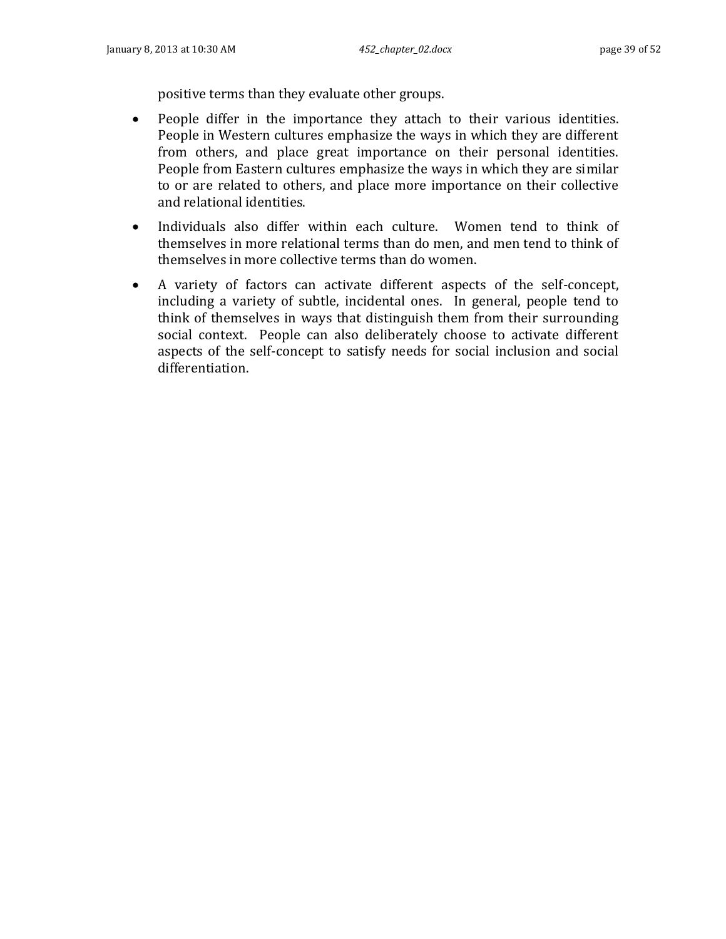positive terms than they evaluate other groups.

- People differ in the importance they attach to their various identities. People in Western cultures emphasize the ways in which they are different from others, and place great importance on their personal identities. People from Eastern cultures emphasize the ways in which they are similar to or are related to others, and place more importance on their collective and relational identities.
- Individuals also differ within each culture. Women tend to think of themselves in more relational terms than do men, and men tend to think of themselves in more collective terms than do women.
- A variety of factors can activate different aspects of the self-concept, including a variety of subtle, incidental ones. In general, people tend to think of themselves in ways that distinguish them from their surrounding social context. People can also deliberately choose to activate different aspects of the self-concept to satisfy needs for social inclusion and social differentiation.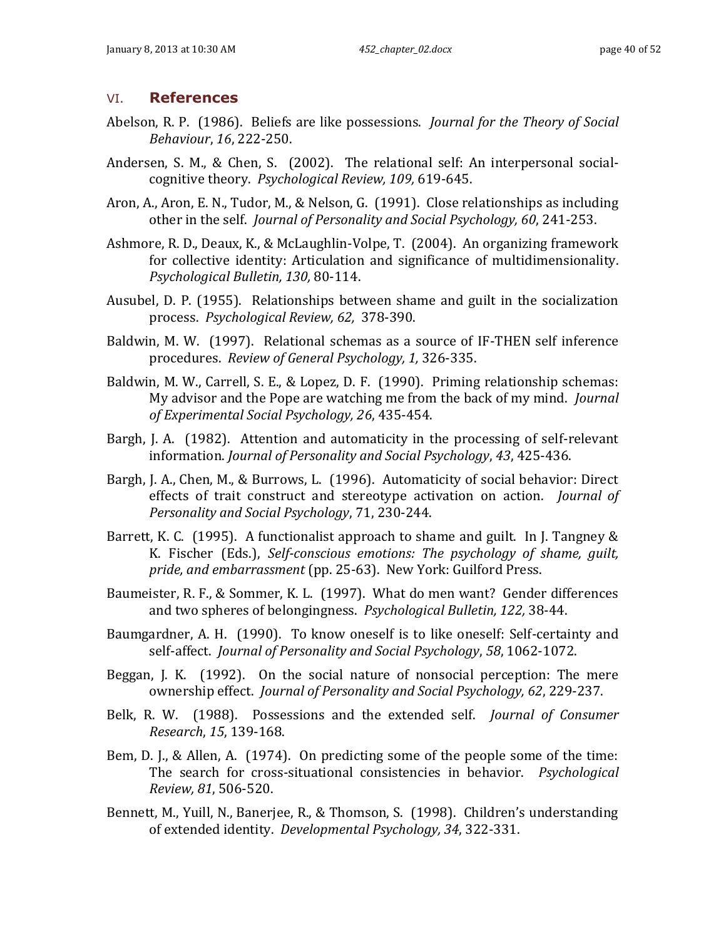### <span id="page-39-0"></span>VI. **References**

- Abelson, R. P. (1986). Beliefs are like possessions. *Journal for the Theory of Social Behaviour*, *16*, 222-250.
- Andersen, S. M., & Chen, S. (2002). The relational self: An interpersonal socialcognitive theory. *Psychological Review, 109,* 619-645.
- Aron, A., Aron, E. N., Tudor, M., & Nelson, G. (1991). Close relationships as including other in the self. *Journal of Personality and Social Psychology, 60*, 241-253.
- Ashmore, R. D., Deaux, K., & McLaughlin-Volpe, T. (2004). An organizing framework for collective identity: Articulation and significance of multidimensionality. *Psychological Bulletin, 130,* 80-114.
- Ausubel, D. P. (1955). Relationships between shame and guilt in the socialization process. *Psychological Review, 62,* 378-390.
- Baldwin, M. W. (1997). Relational schemas as a source of IF-THEN self inference procedures. *Review of General Psychology, 1,* 326-335.
- Baldwin, M. W., Carrell, S. E., & Lopez, D. F. (1990). Priming relationship schemas: My advisor and the Pope are watching me from the back of my mind. *Journal of Experimental Social Psychology, 26*, 435-454.
- Bargh, J. A. (1982). Attention and automaticity in the processing of self-relevant information. *Journal of Personality and Social Psychology*, *43*, 425-436.
- Bargh, J. A., Chen, M., & Burrows, L. (1996). Automaticity of social behavior: Direct effects of trait construct and stereotype activation on action. *Journal of Personality and Social Psychology*, 71, 230-244.
- Barrett, K. C. (1995). A functionalist approach to shame and guilt. In J. Tangney & K. Fischer (Eds.), *Self-conscious emotions: The psychology of shame, guilt, pride, and embarrassment* (pp. 25-63). New York: Guilford Press.
- Baumeister, R. F., & Sommer, K. L. (1997). What do men want? Gender differences and two spheres of belongingness. *Psychological Bulletin, 122,* 38-44.
- Baumgardner, A. H. (1990). To know oneself is to like oneself: Self-certainty and self-affect. *Journal of Personality and Social Psychology*, *58*, 1062-1072.
- Beggan, J. K. (1992). On the social nature of nonsocial perception: The mere ownership effect. *Journal of Personality and Social Psychology, 62*, 229-237.
- Belk, R. W. (1988). Possessions and the extended self. *Journal of Consumer Research*, *15*, 139-168.
- Bem, D. J., & Allen, A. (1974). On predicting some of the people some of the time: The search for cross-situational consistencies in behavior. *Psychological Review, 81*, 506-520.
- Bennett, M., Yuill, N., Banerjee, R., & Thomson, S. (1998). Children's understanding of extended identity. *Developmental Psychology, 34*, 322-331.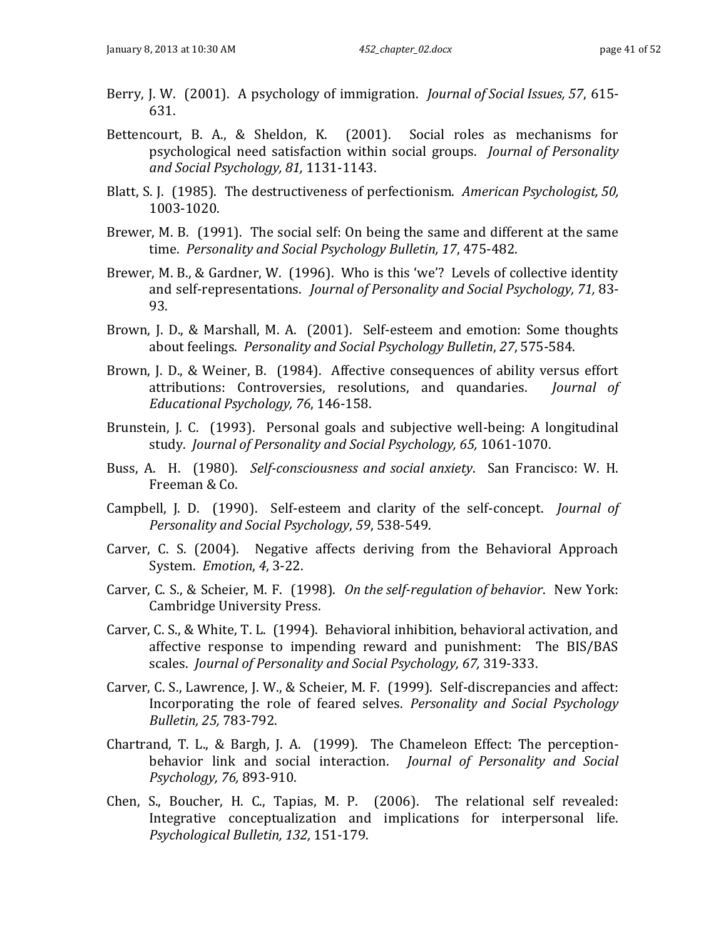- Berry, J. W. (2001). A psychology of immigration. *Journal of Social Issues, 57*, 615- 631.
- Bettencourt, B. A., & Sheldon, K. (2001). Social roles as mechanisms for psychological need satisfaction within social groups. *Journal of Personality and Social Psychology, 81,* 1131-1143.
- Blatt, S. J. (1985). The destructiveness of perfectionism. *American Psychologist, 50,* 1003-1020.
- Brewer, M. B. (1991). The social self: On being the same and different at the same time. *Personality and Social Psychology Bulletin, 17*, 475-482.
- Brewer, M. B., & Gardner, W. (1996). Who is this 'we'? Levels of collective identity and self-representations. *Journal of Personality and Social Psychology, 71,* 83- 93.
- Brown, J. D., & Marshall, M. A. (2001). Self-esteem and emotion: Some thoughts about feelings. *Personality and Social Psychology Bulletin*, *27*, 575-584.
- Brown, J. D., & Weiner, B. (1984). Affective consequences of ability versus effort attributions: Controversies, resolutions, and quandaries. *Journal of Educational Psychology, 76*, 146-158.
- Brunstein, J. C. (1993). Personal goals and subjective well-being: A longitudinal study. *Journal of Personality and Social Psychology, 65,* 1061-1070.
- Buss, A. H. (1980). *Self-consciousness and social anxiety*. San Francisco: W. H. Freeman & Co.
- Campbell, J. D. (1990). Self-esteem and clarity of the self-concept. *Journal of Personality and Social Psychology*, *59*, 538-549.
- Carver, C. S. (2004). Negative affects deriving from the Behavioral Approach System. *Emotion*, *4*, 3-22.
- Carver, C. S., & Scheier, M. F. (1998). *On the self-regulation of behavior*. New York: Cambridge University Press.
- Carver, C. S., & White, T. L. (1994). Behavioral inhibition, behavioral activation, and affective response to impending reward and punishment: The BIS/BAS scales. *Journal of Personality and Social Psychology, 67,* 319-333.
- Carver, C. S., Lawrence, J. W., & Scheier, M. F. (1999). Self-discrepancies and affect: Incorporating the role of feared selves. *Personality and Social Psychology Bulletin, 25,* 783-792.
- Chartrand, T. L., & Bargh, J. A. (1999). The Chameleon Effect: The perceptionbehavior link and social interaction. *Journal of Personality and Social Psychology, 76,* 893-910.
- Chen, S., Boucher, H. C., Tapias, M. P. (2006). The relational self revealed: Integrative conceptualization and implications for interpersonal life. *Psychological Bulletin, 132,* 151-179.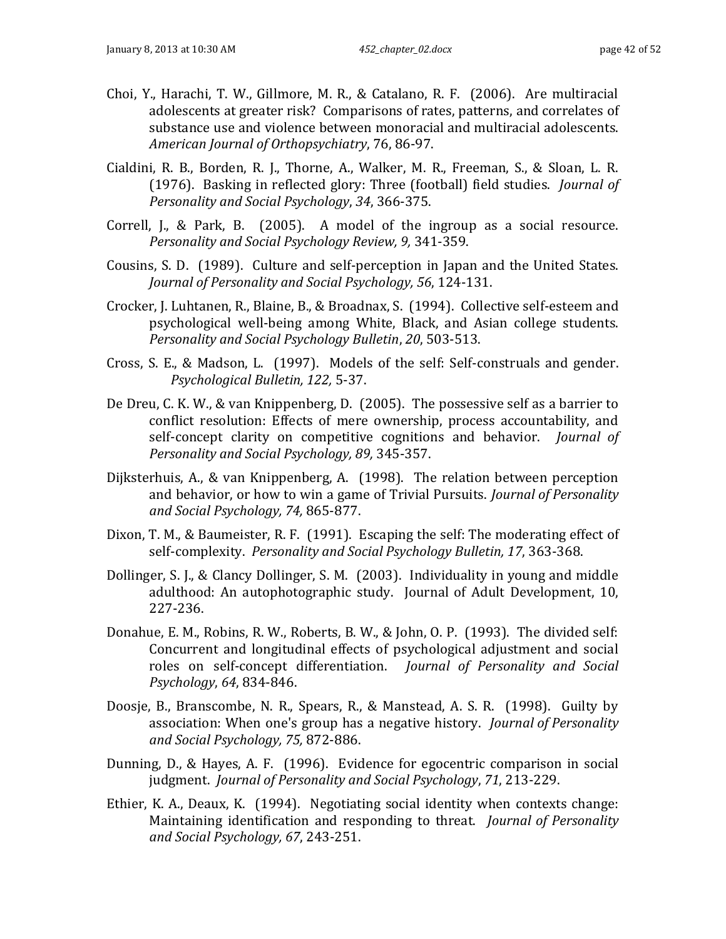- Choi, Y., Harachi, T. W., Gillmore, M. R., & Catalano, R. F. (2006). Are multiracial adolescents at greater risk? Comparisons of rates, patterns, and correlates of substance use and violence between monoracial and multiracial adolescents. *American Journal of Orthopsychiatry*, 76, 86-97.
- Cialdini, R. B., Borden, R. J., Thorne, A., Walker, M. R., Freeman, S., & Sloan, L. R. (1976). Basking in reflected glory: Three (football) field studies. *Journal of Personality and Social Psychology*, *34*, 366-375.
- Correll, J., & Park, B. (2005). A model of the ingroup as a social resource. *Personality and Social Psychology Review, 9,* 341-359.
- Cousins, S. D. (1989). Culture and self-perception in Japan and the United States. *Journal of Personality and Social Psychology, 56*, 124-131.
- Crocker, J. Luhtanen, R., Blaine, B., & Broadnax, S. (1994). Collective self-esteem and psychological well-being among White, Black, and Asian college students. *Personality and Social Psychology Bulletin*, *20*, 503-513.
- Cross, S. E., & Madson, L. (1997). Models of the self: Self-construals and gender. *Psychological Bulletin, 122,* 5-37.
- De Dreu, C. K. W., & van Knippenberg, D. (2005). The possessive self as a barrier to conflict resolution: Effects of mere ownership, process accountability, and self-concept clarity on competitive cognitions and behavior. *Journal of Personality and Social Psychology, 89,* 345-357.
- Dijksterhuis, A., & van Knippenberg, A. (1998). The relation between perception and behavior, or how to win a game of Trivial Pursuits. *Journal of Personality and Social Psychology, 74,* 865-877.
- Dixon, T. M., & Baumeister, R. F. (1991). Escaping the self: The moderating effect of self-complexity. *Personality and Social Psychology Bulletin, 17*, 363-368.
- Dollinger, S. J., & Clancy Dollinger, S. M. (2003). Individuality in young and middle adulthood: An autophotographic study. Journal of Adult Development, 10, 227-236.
- Donahue, E. M., Robins, R. W., Roberts, B. W., & John, O. P. (1993). The divided self: Concurrent and longitudinal effects of psychological adjustment and social roles on self-concept differentiation. *Journal of Personality and Social Psychology*, *64*, 834-846.
- Doosje, B., Branscombe, N. R., Spears, R., & Manstead, A. S. R. (1998). Guilty by association: When one's group has a negative history. *Journal of Personality and Social Psychology, 75,* 872-886.
- Dunning, D., & Hayes, A. F. (1996). Evidence for egocentric comparison in social judgment. *Journal of Personality and Social Psychology*, *71*, 213-229.
- Ethier, K. A., Deaux, K. (1994). Negotiating social identity when contexts change: Maintaining identification and responding to threat. *Journal of Personality and Social Psychology, 67*, 243-251.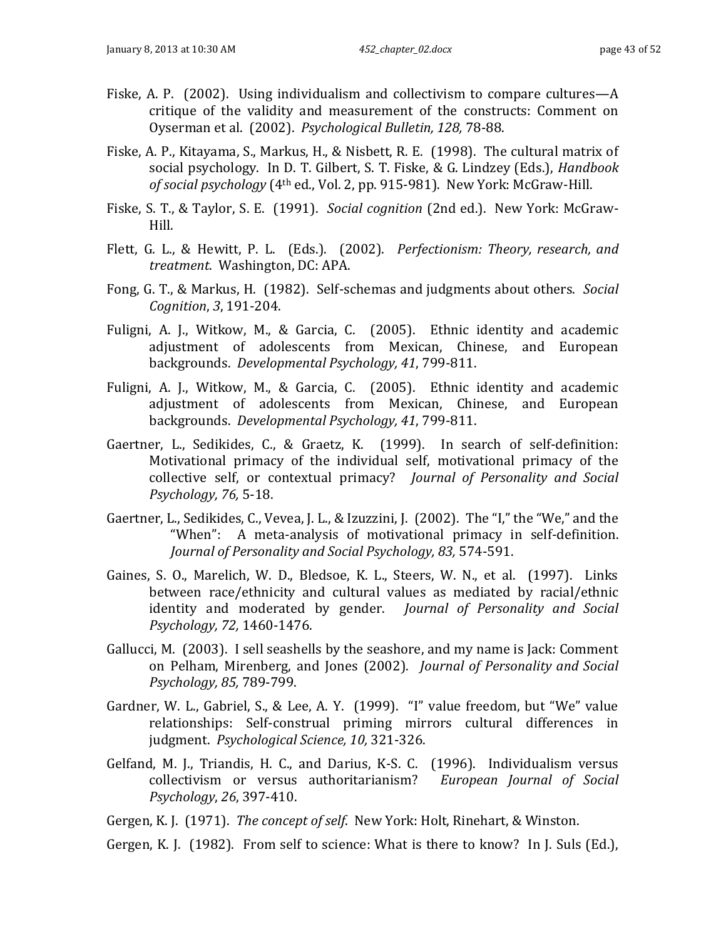- Fiske, A. P. (2002). Using individualism and collectivism to compare cultures—A critique of the validity and measurement of the constructs: Comment on Oyserman et al. (2002). *Psychological Bulletin, 128,* 78-88.
- Fiske, A. P., Kitayama, S., Markus, H., & Nisbett, R. E. (1998). The cultural matrix of social psychology. In D. T. Gilbert, S. T. Fiske, & G. Lindzey (Eds.), *Handbook of social psychology* (4th ed., Vol. 2, pp. 915-981). New York: McGraw-Hill.
- Fiske, S. T., & Taylor, S. E. (1991). *Social cognition* (2nd ed.). New York: McGraw-Hill.
- Flett, G. L., & Hewitt, P. L. (Eds.). (2002). *Perfectionism: Theory, research, and treatment*. Washington, DC: APA.
- Fong, G. T., & Markus, H. (1982). Self-schemas and judgments about others. *Social Cognition*, *3*, 191-204.
- Fuligni, A. J., Witkow, M., & Garcia, C. (2005). Ethnic identity and academic adjustment of adolescents from Mexican, Chinese, and European backgrounds. *Developmental Psychology, 41*, 799-811.
- Fuligni, A. J., Witkow, M., & Garcia, C. (2005). Ethnic identity and academic adjustment of adolescents from Mexican, Chinese, and European backgrounds. *Developmental Psychology, 41*, 799-811.
- Gaertner, L., Sedikides, C., & Graetz, K. (1999). In search of self-definition: Motivational primacy of the individual self, motivational primacy of the collective self, or contextual primacy? *Journal of Personality and Social Psychology, 76,* 5-18.
- Gaertner, L., Sedikides, C., Vevea, J. L., & Izuzzini, J. (2002). The "I," the "We," and the "When": A meta-analysis of motivational primacy in self-definition. *Journal of Personality and Social Psychology, 83,* 574-591.
- Gaines, S. O., Marelich, W. D., Bledsoe, K. L., Steers, W. N., et al. (1997). Links between race/ethnicity and cultural values as mediated by racial/ethnic identity and moderated by gender. *Journal of Personality and Social Psychology, 72,* 1460-1476.
- Gallucci, M. (2003). I sell seashells by the seashore, and my name is Jack: Comment on Pelham, Mirenberg, and Jones (2002). *Journal of Personality and Social Psychology, 85,* 789-799.
- Gardner, W. L., Gabriel, S., & Lee, A. Y. (1999). "I" value freedom, but "We" value relationships: Self-construal priming mirrors cultural differences in judgment. *Psychological Science, 10,* 321-326.
- Gelfand, M. J., Triandis, H. C., and Darius, K-S. C. (1996). Individualism versus collectivism or versus authoritarianism? *European Journal of Social Psychology*, *26*, 397-410.
- Gergen, K. J. (1971). *The concept of self*. New York: Holt, Rinehart, & Winston.
- Gergen, K. J. (1982). From self to science: What is there to know? In J. Suls (Ed.),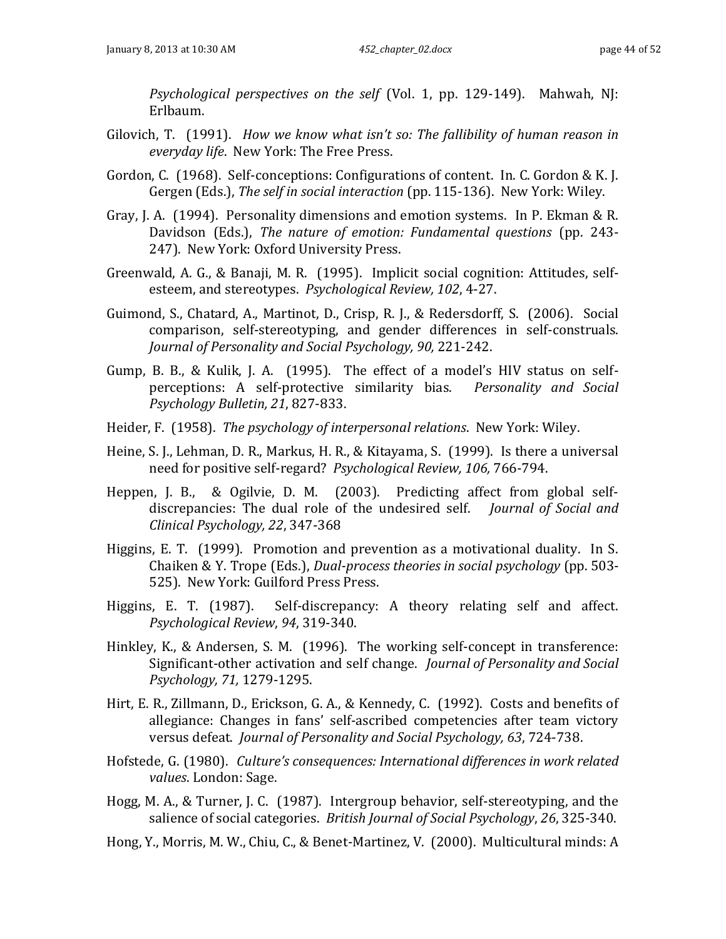*Psychological perspectives on the self* (Vol. 1, pp. 129-149). Mahwah, NJ: Erlbaum.

- Gilovich, T. (1991). *How we know what isn't so: The fallibility of human reason in everyday life*. New York: The Free Press.
- Gordon, C. (1968). Self-conceptions: Configurations of content. In. C. Gordon & K. J. Gergen (Eds.), *The self in social interaction* (pp. 115-136). New York: Wiley.
- Gray, J. A. (1994). Personality dimensions and emotion systems. In P. Ekman & R. Davidson (Eds.), *The nature of emotion: Fundamental questions* (pp. 243- 247). New York: Oxford University Press.
- Greenwald, A. G., & Banaji, M. R. (1995). Implicit social cognition: Attitudes, selfesteem, and stereotypes. *Psychological Review, 102*, 4-27.
- Guimond, S., Chatard, A., Martinot, D., Crisp, R. J., & Redersdorff, S. (2006). Social comparison, self-stereotyping, and gender differences in self-construals. *Journal of Personality and Social Psychology, 90,* 221-242.
- Gump, B. B., & Kulik, J. A. (1995). The effect of a model's HIV status on selfperceptions: A self-protective similarity bias. *Personality and Social Psychology Bulletin, 21*, 827-833.
- Heider, F. (1958). *The psychology of interpersonal relations*. New York: Wiley.
- Heine, S. J., Lehman, D. R., Markus, H. R., & Kitayama, S. (1999). Is there a universal need for positive self-regard? *Psychological Review, 106,* 766-794.
- Heppen, J. B., & Ogilvie, D. M. (2003). Predicting affect from global selfdiscrepancies: The dual role of the undesired self. *Journal of Social and Clinical Psychology, 22*, 347-368
- Higgins, E. T. (1999). Promotion and prevention as a motivational duality. In S. Chaiken & Y. Trope (Eds.), *Dual-process theories in social psychology* (pp. 503- 525). New York: Guilford Press Press.
- Higgins, E. T. (1987). Self-discrepancy: A theory relating self and affect. *Psychological Review*, *94*, 319-340.
- Hinkley, K., & Andersen, S. M. (1996). The working self-concept in transference: Significant-other activation and self change. *Journal of Personality and Social Psychology, 71,* 1279-1295.
- Hirt, E. R., Zillmann, D., Erickson, G. A., & Kennedy, C. (1992). Costs and benefits of allegiance: Changes in fans' self-ascribed competencies after team victory versus defeat. *Journal of Personality and Social Psychology, 63*, 724-738.
- Hofstede, G. (1980). *Culture's consequences: International differences in work related values*. London: Sage.
- Hogg, M. A., & Turner, J. C. (1987). Intergroup behavior, self-stereotyping, and the salience of social categories. *British Journal of Social Psychology*, *26*, 325-340.
- Hong, Y., Morris, M. W., Chiu, C., & Benet-Martinez, V. (2000). Multicultural minds: A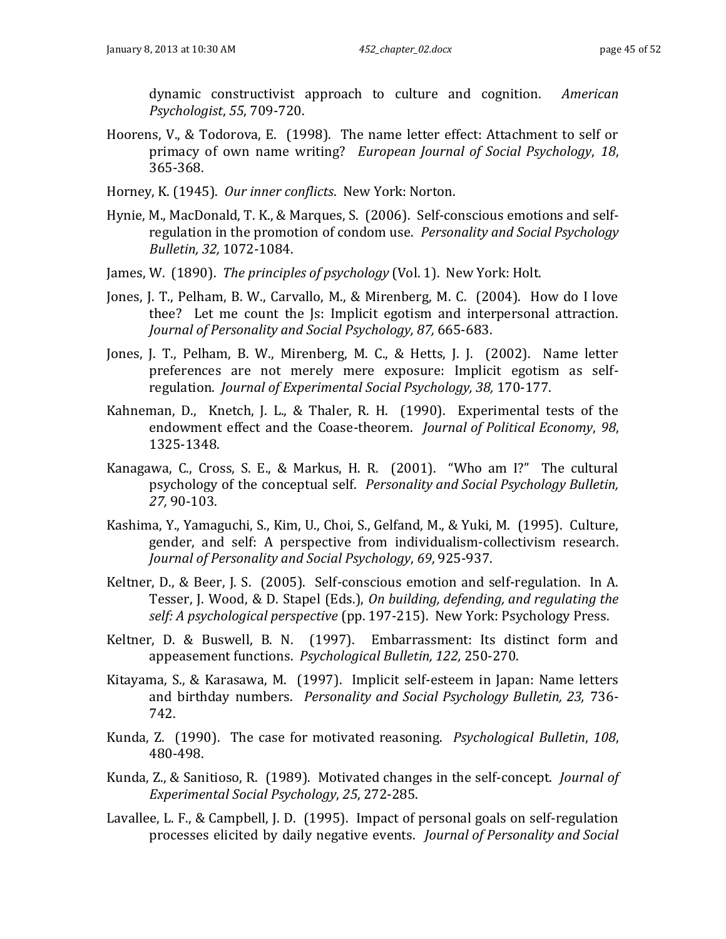dynamic constructivist approach to culture and cognition. *American Psychologist*, *55*, 709-720.

- Hoorens, V., & Todorova, E. (1998). The name letter effect: Attachment to self or primacy of own name writing? *European Journal of Social Psychology*, *18*, 365-368.
- Horney, K. (1945). *Our inner conflicts*. New York: Norton.
- Hynie, M., MacDonald, T. K., & Marques, S. (2006). Self-conscious emotions and selfregulation in the promotion of condom use. *Personality and Social Psychology Bulletin, 32,* 1072-1084.
- James, W. (1890). *The principles of psychology* (Vol. 1). New York: Holt.
- Jones, J. T., Pelham, B. W., Carvallo, M., & Mirenberg, M. C. (2004). How do I love thee? Let me count the Js: Implicit egotism and interpersonal attraction. *Journal of Personality and Social Psychology, 87,* 665-683.
- Jones, J. T., Pelham, B. W., Mirenberg, M. C., & Hetts, J. J. (2002). Name letter preferences are not merely mere exposure: Implicit egotism as selfregulation. *Journal of Experimental Social Psychology, 38,* 170-177.
- Kahneman, D., Knetch, J. L., & Thaler, R. H. (1990). Experimental tests of the endowment effect and the Coase-theorem. *Journal of Political Economy*, *98*, 1325-1348.
- Kanagawa, C., Cross, S. E., & Markus, H. R. (2001). "Who am I?" The cultural psychology of the conceptual self. *Personality and Social Psychology Bulletin, 27,* 90-103.
- Kashima, Y., Yamaguchi, S., Kim, U., Choi, S., Gelfand, M., & Yuki, M. (1995). Culture, gender, and self: A perspective from individualism-collectivism research. *Journal of Personality and Social Psychology*, *69*, 925-937.
- Keltner, D., & Beer, J. S. (2005). Self-conscious emotion and self-regulation. In A. Tesser, J. Wood, & D. Stapel (Eds.), *On building, defending, and regulating the self: A psychological perspective* (pp. 197-215). New York: Psychology Press.
- Keltner, D. & Buswell, B. N. (1997). Embarrassment: Its distinct form and appeasement functions. *Psychological Bulletin, 122,* 250-270.
- Kitayama, S., & Karasawa, M. (1997). Implicit self-esteem in Japan: Name letters and birthday numbers. *Personality and Social Psychology Bulletin, 23,* 736- 742.
- Kunda, Z. (1990). The case for motivated reasoning. *Psychological Bulletin*, *108*, 480-498.
- Kunda, Z., & Sanitioso, R. (1989). Motivated changes in the self-concept. *Journal of Experimental Social Psychology*, *25*, 272-285.
- Lavallee, L. F., & Campbell, J. D. (1995). Impact of personal goals on self-regulation processes elicited by daily negative events. *Journal of Personality and Social*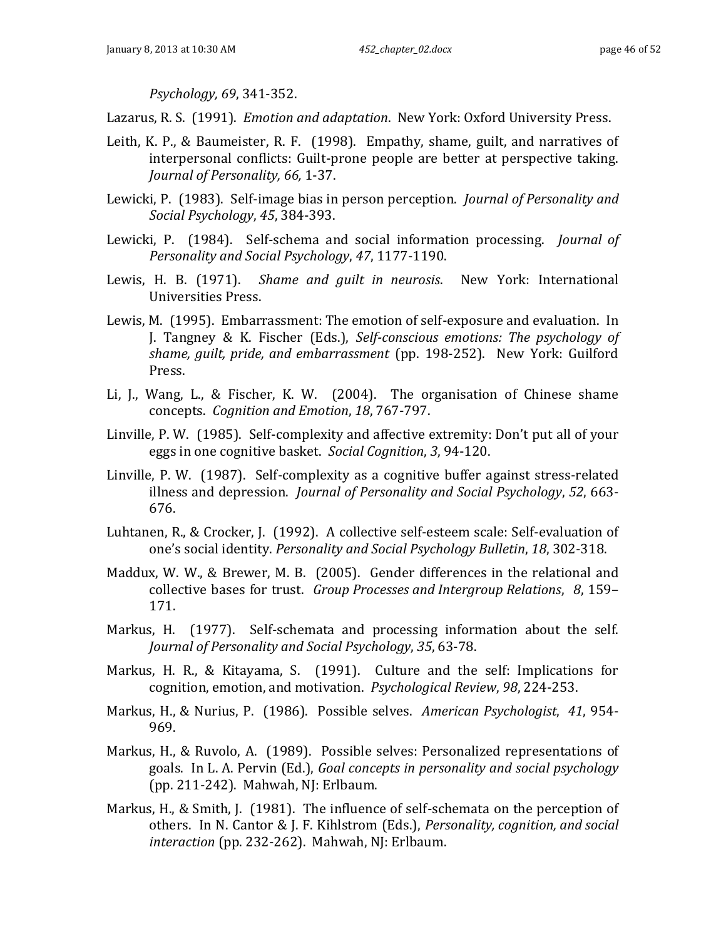*Psychology, 69*, 341-352.

Lazarus, R. S. (1991). *Emotion and adaptation*. New York: Oxford University Press.

- Leith, K. P., & Baumeister, R. F. (1998). Empathy, shame, guilt, and narratives of interpersonal conflicts: Guilt-prone people are better at perspective taking. *Journal of Personality, 66,* 1-37.
- Lewicki, P. (1983). Self-image bias in person perception. *Journal of Personality and Social Psychology*, *45*, 384-393.
- Lewicki, P. (1984). Self-schema and social information processing. *Journal of Personality and Social Psychology*, *47*, 1177-1190.
- Lewis, H. B. (1971). *Shame and guilt in neurosis*. New York: International Universities Press.
- Lewis, M. (1995). Embarrassment: The emotion of self-exposure and evaluation. In J. Tangney & K. Fischer (Eds.), *Self-conscious emotions: The psychology of shame, guilt, pride, and embarrassment* (pp. 198-252). New York: Guilford Press.
- Li, J., Wang, L., & Fischer, K. W. (2004). The organisation of Chinese shame concepts. *Cognition and Emotion*, *18*, 767-797.
- Linville, P. W. (1985). Self-complexity and affective extremity: Don't put all of your eggs in one cognitive basket. *Social Cognition*, *3*, 94-120.
- Linville, P. W. (1987). Self-complexity as a cognitive buffer against stress-related illness and depression. *Journal of Personality and Social Psychology*, *52*, 663- 676.
- Luhtanen, R., & Crocker, J. (1992). A collective self-esteem scale: Self-evaluation of one's social identity. *Personality and Social Psychology Bulletin*, *18*, 302-318.
- Maddux, W. W., & Brewer, M. B. (2005). Gender differences in the relational and collective bases for trust. *Group Processes and Intergroup Relations*, *8*, 159– 171.
- Markus, H. (1977). Self-schemata and processing information about the self. *Journal of Personality and Social Psychology*, *35*, 63-78.
- Markus, H. R., & Kitayama, S. (1991). Culture and the self: Implications for cognition, emotion, and motivation. *Psychological Review*, *98*, 224-253.
- Markus, H., & Nurius, P. (1986). Possible selves. *American Psychologist*, *41*, 954- 969.
- Markus, H., & Ruvolo, A. (1989). Possible selves: Personalized representations of goals. In L. A. Pervin (Ed.), *Goal concepts in personality and social psychology* (pp. 211-242). Mahwah, NJ: Erlbaum.
- Markus, H., & Smith, J. (1981). The influence of self-schemata on the perception of others. In N. Cantor & J. F. Kihlstrom (Eds.), *Personality, cognition, and social interaction* (pp. 232-262). Mahwah, NJ: Erlbaum.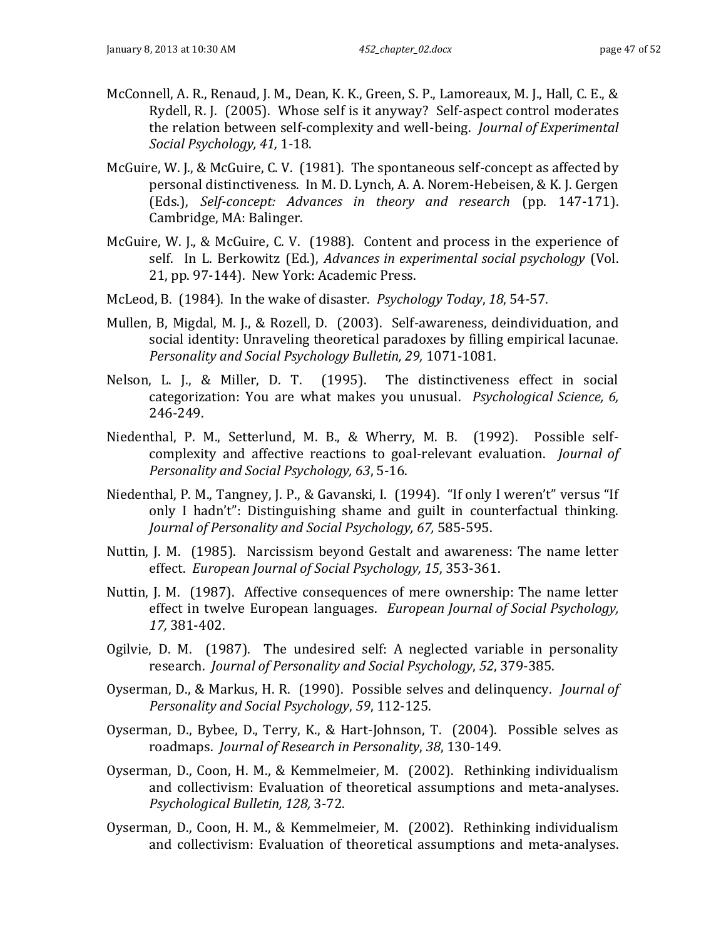- McConnell, A. R., Renaud, J. M., Dean, K. K., Green, S. P., Lamoreaux, M. J., Hall, C. E., & Rydell, R. J. (2005). Whose self is it anyway? Self-aspect control moderates the relation between self-complexity and well-being. *Journal of Experimental Social Psychology, 41,* 1-18.
- McGuire, W. J., & McGuire, C. V. (1981). The spontaneous self-concept as affected by personal distinctiveness. In M. D. Lynch, A. A. Norem-Hebeisen, & K. J. Gergen (Eds.), *Self-concept: Advances in theory and research* (pp. 147-171). Cambridge, MA: Balinger.
- McGuire, W. J., & McGuire, C. V. (1988). Content and process in the experience of self. In L. Berkowitz (Ed.), *Advances in experimental social psychology* (Vol. 21, pp. 97-144). New York: Academic Press.
- McLeod, B. (1984). In the wake of disaster. *Psychology Today*, *18*, 54-57.
- Mullen, B, Migdal, M. J., & Rozell, D. (2003). Self-awareness, deindividuation, and social identity: Unraveling theoretical paradoxes by filling empirical lacunae. *Personality and Social Psychology Bulletin, 29,* 1071-1081.
- Nelson, L. J., & Miller, D. T. (1995). The distinctiveness effect in social categorization: You are what makes you unusual. *Psychological Science, 6,* 246-249.
- Niedenthal, P. M., Setterlund, M. B., & Wherry, M. B. (1992). Possible selfcomplexity and affective reactions to goal-relevant evaluation. *Journal of Personality and Social Psychology, 63*, 5-16.
- Niedenthal, P. M., Tangney, J. P., & Gavanski, I. (1994). "If only I weren't" versus "If only I hadn't": Distinguishing shame and guilt in counterfactual thinking. *Journal of Personality and Social Psychology, 67,* 585-595.
- Nuttin, J. M. (1985). Narcissism beyond Gestalt and awareness: The name letter effect. *European Journal of Social Psychology, 15*, 353-361.
- Nuttin, J. M. (1987). Affective consequences of mere ownership: The name letter effect in twelve European languages. *European Journal of Social Psychology, 17,* 381-402.
- Ogilvie, D. M. (1987). The undesired self: A neglected variable in personality research. *Journal of Personality and Social Psychology*, *52*, 379-385.
- Oyserman, D., & Markus, H. R. (1990). Possible selves and delinquency. *Journal of Personality and Social Psychology*, *59*, 112-125.
- Oyserman, D., Bybee, D., Terry, K., & Hart-Johnson, T. (2004). Possible selves as roadmaps. *Journal of Research in Personality*, *38*, 130-149.
- Oyserman, D., Coon, H. M., & Kemmelmeier, M. (2002). Rethinking individualism and collectivism: Evaluation of theoretical assumptions and meta-analyses. *Psychological Bulletin, 128,* 3-72.
- Oyserman, D., Coon, H. M., & Kemmelmeier, M. (2002). Rethinking individualism and collectivism: Evaluation of theoretical assumptions and meta-analyses.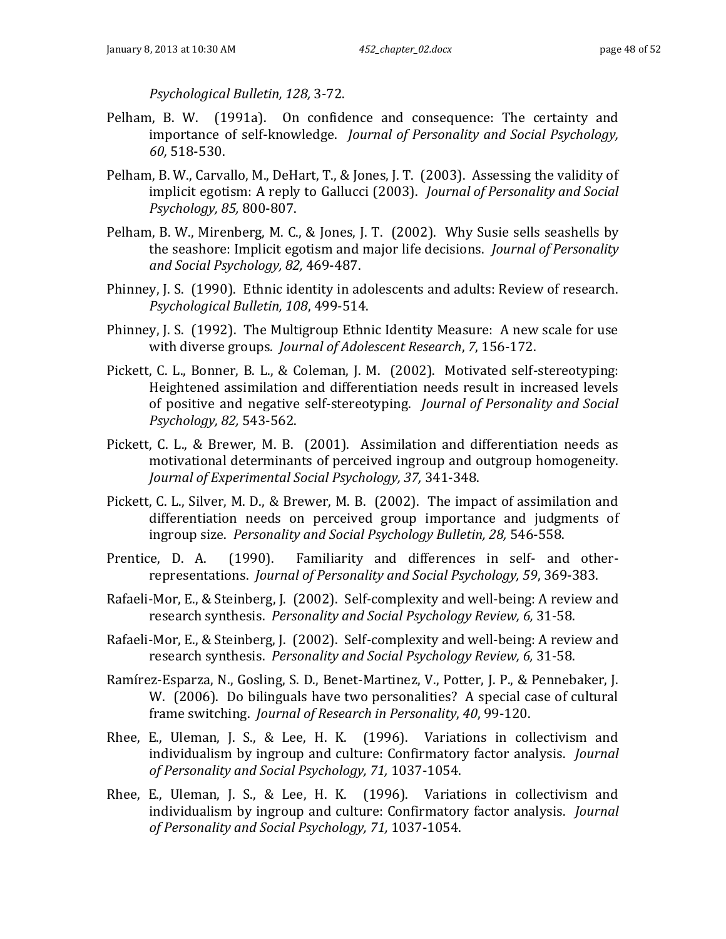*Psychological Bulletin, 128,* 3-72.

- Pelham, B. W. (1991a). On confidence and consequence: The certainty and importance of self-knowledge. *Journal of Personality and Social Psychology, 60,* 518-530.
- Pelham, B. W., Carvallo, M., DeHart, T., & Jones, J. T. (2003). Assessing the validity of implicit egotism: A reply to Gallucci (2003). *Journal of Personality and Social Psychology, 85,* 800-807.
- Pelham, B. W., Mirenberg, M. C., & Jones, J. T. (2002). Why Susie sells seashells by the seashore: Implicit egotism and major life decisions. *Journal of Personality and Social Psychology, 82,* 469-487.
- Phinney, J. S. (1990). Ethnic identity in adolescents and adults: Review of research. *Psychological Bulletin, 108*, 499-514.
- Phinney, J. S. (1992). The Multigroup Ethnic Identity Measure: A new scale for use with diverse groups*. Journal of Adolescent Research*, *7*, 156-172.
- Pickett, C. L., Bonner, B. L., & Coleman, J. M. (2002). Motivated self-stereotyping: Heightened assimilation and differentiation needs result in increased levels of positive and negative self-stereotyping. *Journal of Personality and Social Psychology, 82,* 543-562.
- Pickett, C. L., & Brewer, M. B. (2001). Assimilation and differentiation needs as motivational determinants of perceived ingroup and outgroup homogeneity. *Journal of Experimental Social Psychology, 37,* 341-348.
- Pickett, C. L., Silver, M. D., & Brewer, M. B. (2002). The impact of assimilation and differentiation needs on perceived group importance and judgments of ingroup size. *Personality and Social Psychology Bulletin, 28,* 546-558.
- Prentice, D. A. (1990). Familiarity and differences in self- and otherrepresentations. *Journal of Personality and Social Psychology, 59*, 369-383.
- Rafaeli-Mor, E., & Steinberg, J. (2002). Self-complexity and well-being: A review and research synthesis. *Personality and Social Psychology Review, 6,* 31-58.
- Rafaeli-Mor, E., & Steinberg, J. (2002). Self-complexity and well-being: A review and research synthesis. *Personality and Social Psychology Review, 6,* 31-58.
- Ramírez-Esparza, N., Gosling, S. D., Benet-Martinez, V., Potter, J. P., & Pennebaker, J. W. (2006). Do bilinguals have two personalities? A special case of cultural frame switching. *Journal of Research in Personality*, *40*, 99-120.
- Rhee, E., Uleman, J. S., & Lee, H. K. (1996). Variations in collectivism and individualism by ingroup and culture: Confirmatory factor analysis. *Journal of Personality and Social Psychology, 71,* 1037-1054.
- Rhee, E., Uleman, J. S., & Lee, H. K. (1996). Variations in collectivism and individualism by ingroup and culture: Confirmatory factor analysis. *Journal of Personality and Social Psychology, 71,* 1037-1054.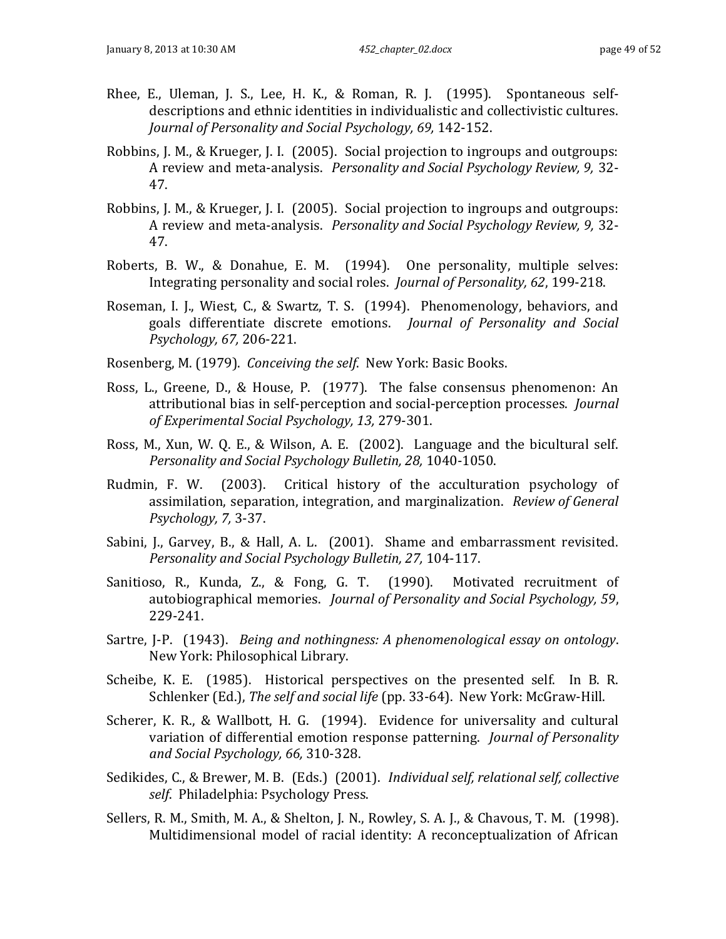- Rhee, E., Uleman, J. S., Lee, H. K., & Roman, R. J. (1995). Spontaneous selfdescriptions and ethnic identities in individualistic and collectivistic cultures. *Journal of Personality and Social Psychology, 69,* 142-152.
- Robbins, J. M., & Krueger, J. I. (2005). Social projection to ingroups and outgroups: A review and meta-analysis. *Personality and Social Psychology Review, 9,* 32- 47.
- Robbins, J. M., & Krueger, J. I. (2005). Social projection to ingroups and outgroups: A review and meta-analysis. *Personality and Social Psychology Review, 9,* 32- 47.
- Roberts, B. W., & Donahue, E. M. (1994). One personality, multiple selves: Integrating personality and social roles. *Journal of Personality, 62*, 199-218.
- Roseman, I. J., Wiest, C., & Swartz, T. S. (1994). Phenomenology, behaviors, and goals differentiate discrete emotions. *Journal of Personality and Social Psychology, 67,* 206-221.
- Rosenberg, M. (1979). *Conceiving the self*. New York: Basic Books.
- Ross, L., Greene, D., & House, P. (1977). The false consensus phenomenon: An attributional bias in self-perception and social-perception processes. *Journal of Experimental Social Psychology, 13,* 279-301.
- Ross, M., Xun, W. Q. E., & Wilson, A. E. (2002). Language and the bicultural self. *Personality and Social Psychology Bulletin, 28,* 1040-1050.
- Rudmin, F. W. (2003). Critical history of the acculturation psychology of assimilation, separation, integration, and marginalization. *Review of General Psychology, 7,* 3-37.
- Sabini, J., Garvey, B., & Hall, A. L. (2001). Shame and embarrassment revisited. *Personality and Social Psychology Bulletin, 27,* 104-117.
- Sanitioso, R., Kunda, Z., & Fong, G. T. (1990). Motivated recruitment of autobiographical memories. *Journal of Personality and Social Psychology, 59*, 229-241.
- Sartre, J-P. (1943). *Being and nothingness: A phenomenological essay on ontology*. New York: Philosophical Library.
- Scheibe, K. E. (1985). Historical perspectives on the presented self. In B. R. Schlenker (Ed.), *The self and social life* (pp. 33-64). New York: McGraw-Hill.
- Scherer, K. R., & Wallbott, H. G. (1994). Evidence for universality and cultural variation of differential emotion response patterning. *Journal of Personality and Social Psychology, 66,* 310-328.
- Sedikides, C., & Brewer, M. B. (Eds.) (2001). *Individual self, relational self, collective self*. Philadelphia: Psychology Press.
- Sellers, R. M., Smith, M. A., & Shelton, J. N., Rowley, S. A. J., & Chavous, T. M. (1998). Multidimensional model of racial identity: A reconceptualization of African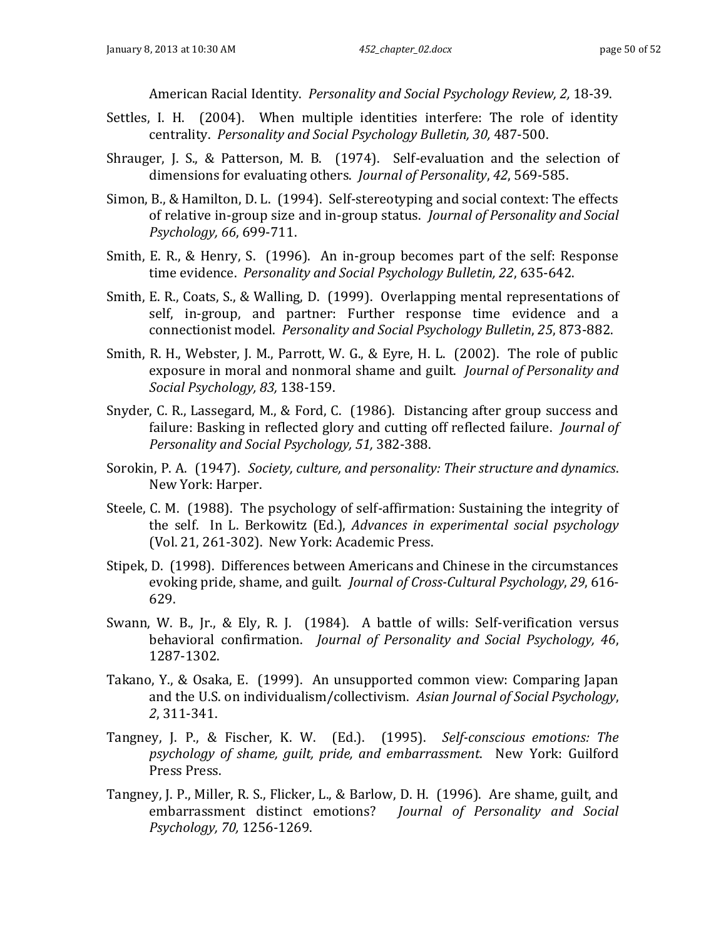American Racial Identity. *Personality and Social Psychology Review, 2,* 18-39.

- Settles, I. H. (2004). When multiple identities interfere: The role of identity centrality. *Personality and Social Psychology Bulletin, 30,* 487-500.
- Shrauger, J. S., & Patterson, M. B. (1974). Self-evaluation and the selection of dimensions for evaluating others. *Journal of Personality*, *42*, 569-585.
- Simon, B., & Hamilton, D. L. (1994). Self-stereotyping and social context: The effects of relative in-group size and in-group status. *Journal of Personality and Social Psychology, 66*, 699-711.
- Smith, E. R., & Henry, S. (1996). An in-group becomes part of the self: Response time evidence. *Personality and Social Psychology Bulletin, 22*, 635-642.
- Smith, E. R., Coats, S., & Walling, D. (1999). Overlapping mental representations of self, in-group, and partner: Further response time evidence and a connectionist model. *Personality and Social Psychology Bulletin*, *25*, 873-882.
- Smith, R. H., Webster, J. M., Parrott, W. G., & Eyre, H. L. (2002). The role of public exposure in moral and nonmoral shame and guilt. *Journal of Personality and Social Psychology, 83,* 138-159.
- Snyder, C. R., Lassegard, M., & Ford, C. (1986). Distancing after group success and failure: Basking in reflected glory and cutting off reflected failure. *Journal of Personality and Social Psychology, 51,* 382-388.
- Sorokin, P. A. (1947). *Society, culture, and personality: Their structure and dynamics*. New York: Harper.
- Steele, C. M. (1988). The psychology of self-affirmation: Sustaining the integrity of the self. In L. Berkowitz (Ed.), *Advances in experimental social psychology* (Vol. 21, 261-302). New York: Academic Press.
- Stipek, D. (1998). Differences between Americans and Chinese in the circumstances evoking pride, shame, and guilt. *Journal of Cross-Cultural Psychology*, *29*, 616- 629.
- Swann, W. B., Jr., & Ely, R. J. (1984). A battle of wills: Self-verification versus behavioral confirmation. *Journal of Personality and Social Psychology, 46*, 1287-1302.
- Takano, Y., & Osaka, E. (1999). An unsupported common view: Comparing Japan and the U.S. on individualism/collectivism. *Asian Journal of Social Psychology*, *2*, 311-341.
- Tangney, J. P., & Fischer, K. W. (Ed.). (1995). *Self-conscious emotions: The psychology of shame, guilt, pride, and embarrassment*. New York: Guilford Press Press.
- Tangney, J. P., Miller, R. S., Flicker, L., & Barlow, D. H. (1996). Are shame, guilt, and embarrassment distinct emotions? *Journal of Personality and Social Psychology, 70,* 1256-1269.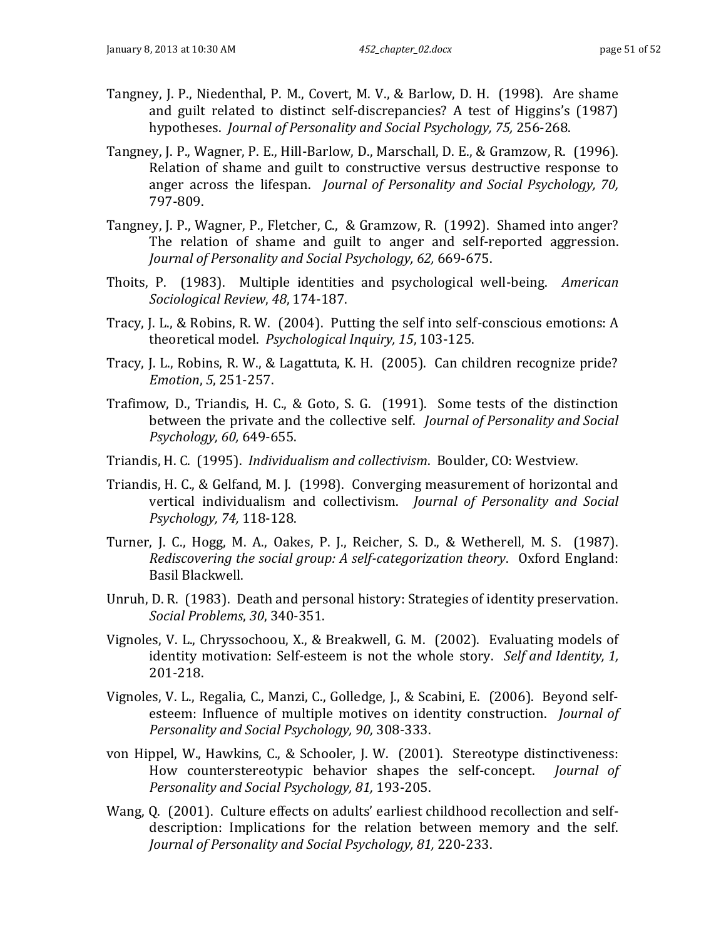- Tangney, J. P., Niedenthal, P. M., Covert, M. V., & Barlow, D. H. (1998). Are shame and guilt related to distinct self-discrepancies? A test of Higgins's (1987) hypotheses. *Journal of Personality and Social Psychology, 75,* 256-268.
- Tangney, J. P., Wagner, P. E., Hill-Barlow, D., Marschall, D. E., & Gramzow, R. (1996). Relation of shame and guilt to constructive versus destructive response to anger across the lifespan. *Journal of Personality and Social Psychology, 70,* 797-809.
- Tangney, J. P., Wagner, P., Fletcher, C., & Gramzow, R. (1992). Shamed into anger? The relation of shame and guilt to anger and self-reported aggression. *Journal of Personality and Social Psychology, 62,* 669-675.
- Thoits, P. (1983). Multiple identities and psychological well-being. *American Sociological Review*, *48*, 174-187.
- Tracy, J. L., & Robins, R. W. (2004). Putting the self into self-conscious emotions: A theoretical model. *Psychological Inquiry, 15*, 103-125.
- Tracy, J. L., Robins, R. W., & Lagattuta, K. H. (2005). Can children recognize pride? *Emotion*, *5*, 251-257.
- Trafimow, D., Triandis, H. C., & Goto, S. G. (1991). Some tests of the distinction between the private and the collective self. *Journal of Personality and Social Psychology, 60,* 649-655.
- Triandis, H. C. (1995). *Individualism and collectivism*. Boulder, CO: Westview.
- Triandis, H. C., & Gelfand, M. J. (1998). Converging measurement of horizontal and vertical individualism and collectivism. *Journal of Personality and Social Psychology, 74,* 118-128.
- Turner, J. C., Hogg, M. A., Oakes, P. J., Reicher, S. D., & Wetherell, M. S. (1987). *Rediscovering the social group: A self-categorization theory*. Oxford England: Basil Blackwell.
- Unruh, D. R. (1983). Death and personal history: Strategies of identity preservation. *Social Problems*, *30*, 340-351.
- Vignoles, V. L., Chryssochoou, X., & Breakwell, G. M. (2002). Evaluating models of identity motivation: Self-esteem is not the whole story. *Self and Identity, 1,* 201-218.
- Vignoles, V. L., Regalia, C., Manzi, C., Golledge, J., & Scabini, E. (2006). Beyond selfesteem: Influence of multiple motives on identity construction. *Journal of Personality and Social Psychology, 90,* 308-333.
- von Hippel, W., Hawkins, C., & Schooler, J. W. (2001). Stereotype distinctiveness: How counterstereotypic behavior shapes the self-concept. *Journal of Personality and Social Psychology, 81,* 193-205.
- Wang, Q. (2001). Culture effects on adults' earliest childhood recollection and selfdescription: Implications for the relation between memory and the self. *Journal of Personality and Social Psychology, 81,* 220-233.